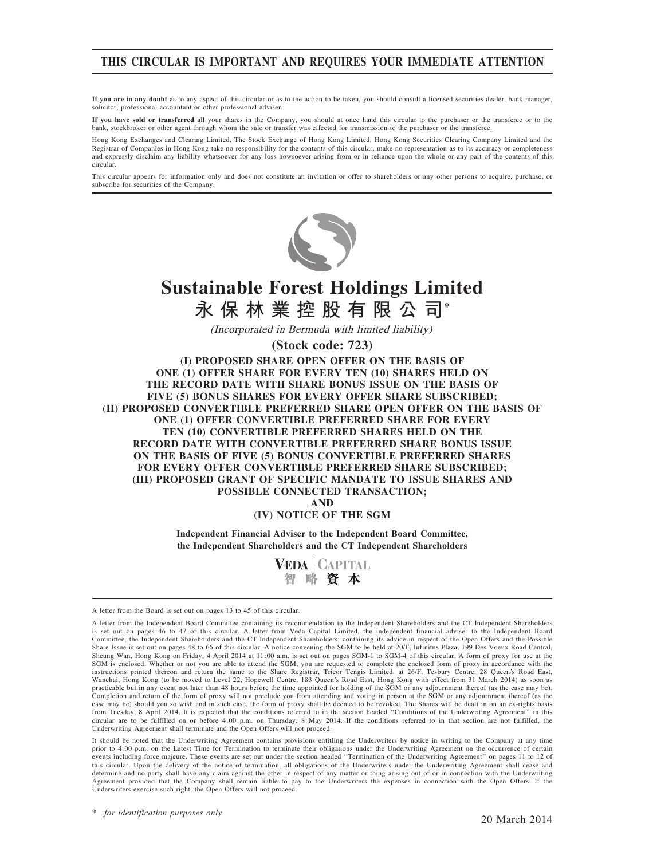## THIS CIRCULAR IS IMPORTANT AND REQUIRES YOUR IMMEDIATE ATTENTION

If you are in any doubt as to any aspect of this circular or as to the action to be taken, you should consult a licensed securities dealer, bank manager, solicitor, professional accountant or other professional adviser.

If you have sold or transferred all your shares in the Company, you should at once hand this circular to the purchaser or the transferee or to the bank, stockbroker or other agent through whom the sale or transfer was effected for transmission to the purchaser or the transferee.

Hong Kong Exchanges and Clearing Limited, The Stock Exchange of Hong Kong Limited, Hong Kong Securities Clearing Company Limited and the Registrar of Companies in Hong Kong take no responsibility for the contents of this circular, make no representation as to its accuracy or completeness and expressly disclaim any liability whatsoever for any loss howsoever arising from or in reliance upon the whole or any part of the contents of this circular

This circular appears for information only and does not constitute an invitation or offer to shareholders or any other persons to acquire, purchase, or subscribe for securities of the Company.



# **Sustainable Forest Holdings Limited 永保林業控股有限公司\***

(Incorporated in Bermuda with limited liability)

**(Stock code: 723)**

(I) PROPOSED SHARE OPEN OFFER ON THE BASIS OF ONE (1) OFFER SHARE FOR EVERY TEN (10) SHARES HELD ON THE RECORD DATE WITH SHARE BONUS ISSUE ON THE BASIS OF FIVE (5) BONUS SHARES FOR EVERY OFFER SHARE SUBSCRIBED; (II) PROPOSED CONVERTIBLE PREFERRED SHARE OPEN OFFER ON THE BASIS OF ONE (1) OFFER CONVERTIBLE PREFERRED SHARE FOR EVERY TEN (10) CONVERTIBLE PREFERRED SHARES HELD ON THE RECORD DATE WITH CONVERTIBLE PREFERRED SHARE BONUS ISSUE ON THE BASIS OF FIVE (5) BONUS CONVERTIBLE PREFERRED SHARES FOR EVERY OFFER CONVERTIBLE PREFERRED SHARE SUBSCRIBED; (III) PROPOSED GRANT OF SPECIFIC MANDATE TO ISSUE SHARES AND POSSIBLE CONNECTED TRANSACTION;

AND

#### (IV) NOTICE OF THE SGM

Independent Financial Adviser to the Independent Board Committee, the Independent Shareholders and the CT Independent Shareholders



A letter from the Board is set out on pages 13 to 45 of this circular.

A letter from the Independent Board Committee containing its recommendation to the Independent Shareholders and the CT Independent Shareholders is set out on pages 46 to 47 of this circular. A letter from Veda Capital Limited, the independent financial adviser to the Independent Board Committee, the Independent Shareholders and the CT Independent Shareholders, containing its advice in respect of the Open Offers and the Possible Share Issue is set out on pages 48 to 66 of this circular. A notice convening the SGM to be held at 20/F, Infinitus Plaza, 199 Des Voeux Road Central, Sheung Wan, Hong Kong on Friday, 4 April 2014 at 11:00 a.m. is set out on pages SGM-1 to SGM-4 of this circular. A form of proxy for use at the SGM is enclosed. Whether or not you are able to attend the SGM, you are requested to complete the enclosed form of proxy in accordance with the instructions printed thereon and return the same to the Share Registrar, Tricor Tengis Limited, at 26/F, Tesbury Centre, 28 Queen's Road East, Wanchai, Hong Kong (to be moved to Level 22, Hopewell Centre, 183 Queen's Road East, Hong Kong with effect from 31 March 2014) as soon as practicable but in any event not later than 48 hours before the time appointed for holding of the SGM or any adjournment thereof (as the case may be). Completion and return of the form of proxy will not preclude you from attending and voting in person at the SGM or any adjournment thereof (as the case may be) should you so wish and in such case, the form of proxy shall be deemed to be revoked. The Shares will be dealt in on an ex-rights basis from Tuesday, 8 April 2014. It is expected that the conditions referred to in the section headed ''Conditions of the Underwriting Agreement'' in this circular are to be fulfilled on or before 4:00 p.m. on Thursday, 8 May 2014. If the conditions referred to in that section are not fulfilled, the Underwriting Agreement shall terminate and the Open Offers will not proceed.

It should be noted that the Underwriting Agreement contains provisions entitling the Underwriters by notice in writing to the Company at any time prior to 4:00 p.m. on the Latest Time for Termination to terminate their obligations under the Underwriting Agreement on the occurrence of certain<br>events including force majeure. These events are set out under the section this circular. Upon the delivery of the notice of termination, all obligations of the Underwriters under the Underwriting Agreement shall cease and determine and no party shall have any claim against the other in respect of any matter or thing arising out of or in connection with the Underwriting Agreement provided that the Company shall remain liable to pay to the Underwriters the expenses in connection with the Open Offers. If the Underwriters exercise such right, the Open Offers will not proceed.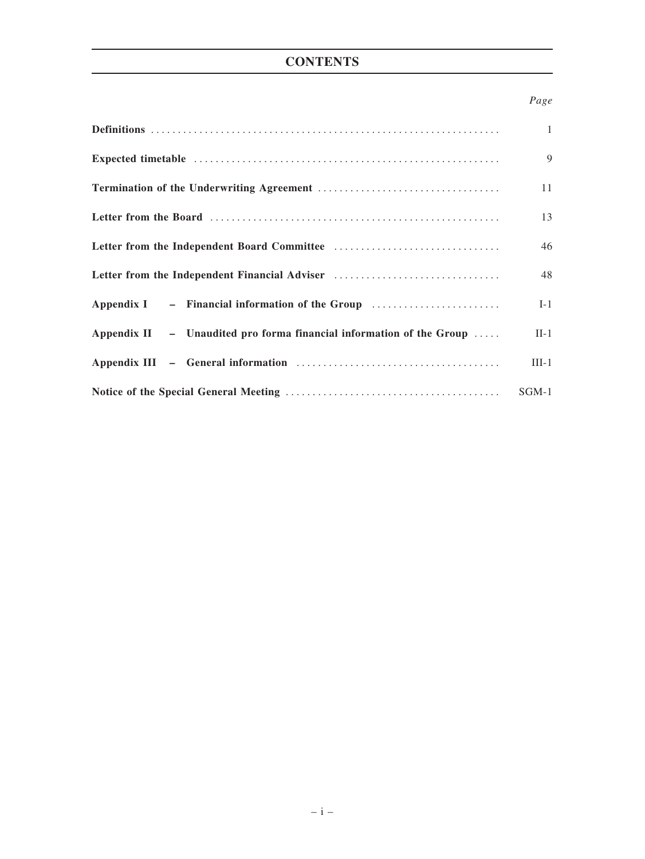# **CONTENTS**

#### Page

|                                                                      | $\mathbf{1}$ |
|----------------------------------------------------------------------|--------------|
|                                                                      | 9            |
|                                                                      | 11           |
|                                                                      | 13           |
|                                                                      | 46           |
| Letter from the Independent Financial Adviser                        | 48           |
| Appendix I – Financial information of the Group                      | $I-1$        |
| Appendix II - Unaudited pro forma financial information of the Group | $II-1$       |
|                                                                      | $III-1$      |
|                                                                      | $SGM-1$      |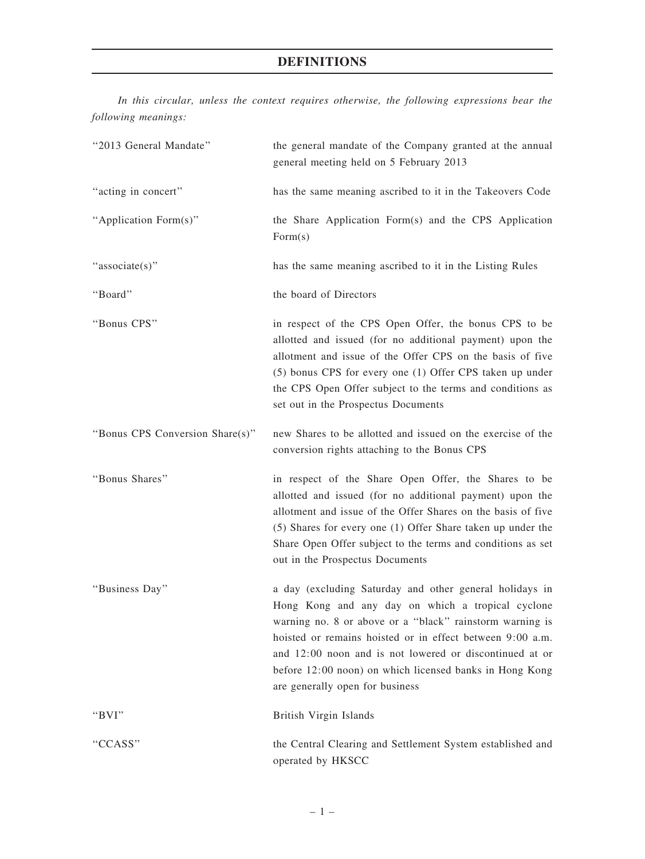In this circular, unless the context requires otherwise, the following expressions bear the following meanings:

| "2013 General Mandate"          | the general mandate of the Company granted at the annual<br>general meeting held on 5 February 2013                                                                                                                                                                                                                                                                                            |
|---------------------------------|------------------------------------------------------------------------------------------------------------------------------------------------------------------------------------------------------------------------------------------------------------------------------------------------------------------------------------------------------------------------------------------------|
| "acting in concert"             | has the same meaning ascribed to it in the Takeovers Code                                                                                                                                                                                                                                                                                                                                      |
| "Application Form(s)"           | the Share Application Form(s) and the CPS Application<br>Form(s)                                                                                                                                                                                                                                                                                                                               |
| "associate(s)"                  | has the same meaning ascribed to it in the Listing Rules                                                                                                                                                                                                                                                                                                                                       |
| "Board"                         | the board of Directors                                                                                                                                                                                                                                                                                                                                                                         |
| "Bonus CPS"                     | in respect of the CPS Open Offer, the bonus CPS to be<br>allotted and issued (for no additional payment) upon the<br>allotment and issue of the Offer CPS on the basis of five<br>(5) bonus CPS for every one (1) Offer CPS taken up under<br>the CPS Open Offer subject to the terms and conditions as<br>set out in the Prospectus Documents                                                 |
| "Bonus CPS Conversion Share(s)" | new Shares to be allotted and issued on the exercise of the<br>conversion rights attaching to the Bonus CPS                                                                                                                                                                                                                                                                                    |
| "Bonus Shares"                  | in respect of the Share Open Offer, the Shares to be<br>allotted and issued (for no additional payment) upon the<br>allotment and issue of the Offer Shares on the basis of five<br>(5) Shares for every one (1) Offer Share taken up under the<br>Share Open Offer subject to the terms and conditions as set<br>out in the Prospectus Documents                                              |
| "Business Day"                  | a day (excluding Saturday and other general holidays in<br>Hong Kong and any day on which a tropical cyclone<br>warning no. 8 or above or a "black" rainstorm warning is<br>hoisted or remains hoisted or in effect between 9:00 a.m.<br>and 12:00 noon and is not lowered or discontinued at or<br>before 12:00 noon) on which licensed banks in Hong Kong<br>are generally open for business |
| " $BVI"$                        | British Virgin Islands                                                                                                                                                                                                                                                                                                                                                                         |
| "CCASS"                         | the Central Clearing and Settlement System established and<br>operated by HKSCC                                                                                                                                                                                                                                                                                                                |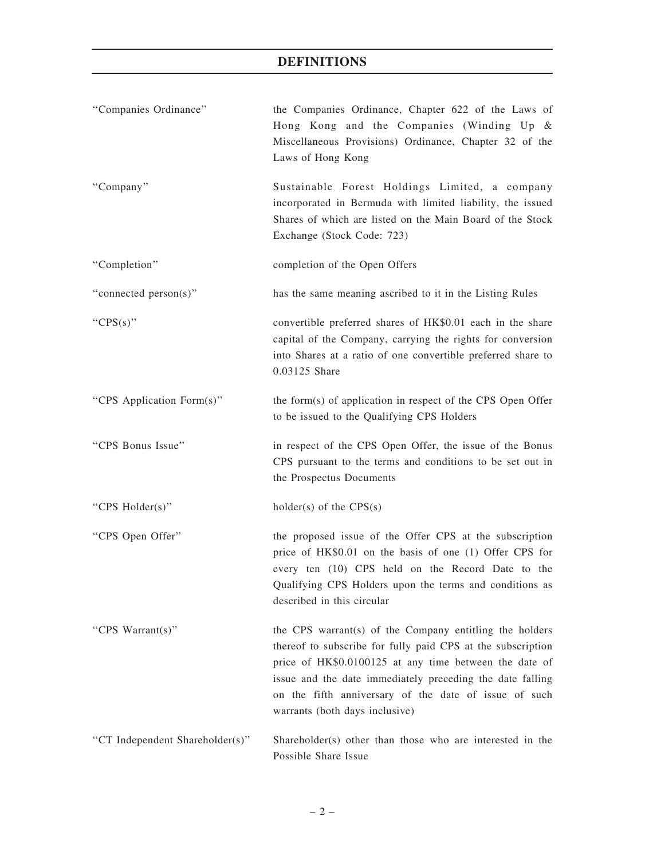| "Companies Ordinance"           | the Companies Ordinance, Chapter 622 of the Laws of<br>Hong Kong and the Companies (Winding Up &<br>Miscellaneous Provisions) Ordinance, Chapter 32 of the<br>Laws of Hong Kong                                                                                                                                                          |
|---------------------------------|------------------------------------------------------------------------------------------------------------------------------------------------------------------------------------------------------------------------------------------------------------------------------------------------------------------------------------------|
| "Company"                       | Sustainable Forest Holdings Limited, a company<br>incorporated in Bermuda with limited liability, the issued<br>Shares of which are listed on the Main Board of the Stock<br>Exchange (Stock Code: 723)                                                                                                                                  |
| "Completion"                    | completion of the Open Offers                                                                                                                                                                                                                                                                                                            |
| "connected person(s)"           | has the same meaning ascribed to it in the Listing Rules                                                                                                                                                                                                                                                                                 |
| " $CPS(s)$ "                    | convertible preferred shares of HK\$0.01 each in the share<br>capital of the Company, carrying the rights for conversion<br>into Shares at a ratio of one convertible preferred share to<br>0.03125 Share                                                                                                                                |
| "CPS Application Form(s)"       | the form(s) of application in respect of the CPS Open Offer<br>to be issued to the Qualifying CPS Holders                                                                                                                                                                                                                                |
| "CPS Bonus Issue"               | in respect of the CPS Open Offer, the issue of the Bonus<br>CPS pursuant to the terms and conditions to be set out in<br>the Prospectus Documents                                                                                                                                                                                        |
| "CPS Holder(s)"                 | holder(s) of the $CPS(s)$                                                                                                                                                                                                                                                                                                                |
| "CPS Open Offer"                | the proposed issue of the Offer CPS at the subscription<br>price of HK\$0.01 on the basis of one (1) Offer CPS for<br>every ten (10) CPS held on the Record Date to the<br>Qualifying CPS Holders upon the terms and conditions as<br>described in this circular                                                                         |
| "CPS Warrant(s)"                | the CPS warrant(s) of the Company entitling the holders<br>thereof to subscribe for fully paid CPS at the subscription<br>price of HK\$0.0100125 at any time between the date of<br>issue and the date immediately preceding the date falling<br>on the fifth anniversary of the date of issue of such<br>warrants (both days inclusive) |
| "CT Independent Shareholder(s)" | Shareholder(s) other than those who are interested in the<br>Possible Share Issue                                                                                                                                                                                                                                                        |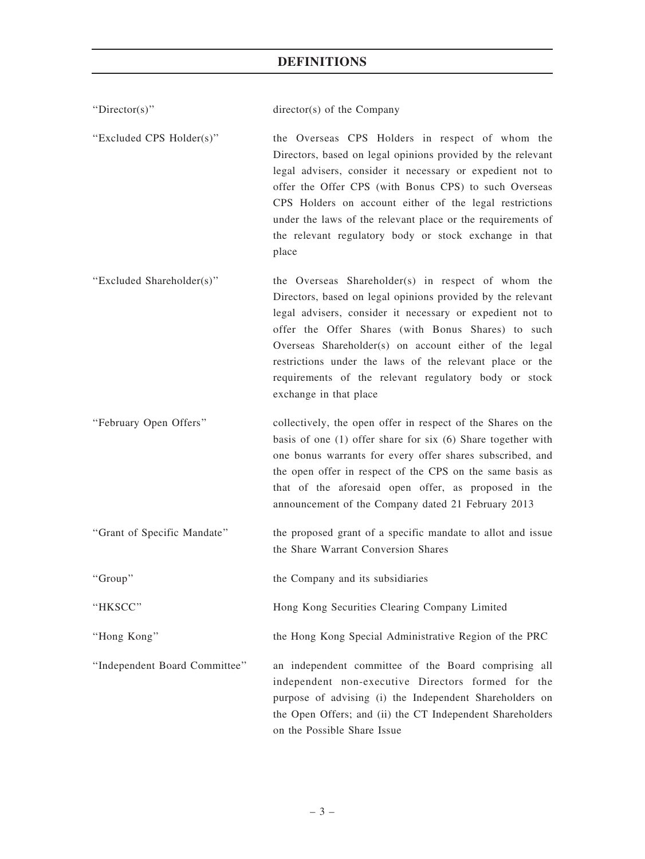| "Director(s)"                 | $directory(s)$ of the Company                                                                                                                                                                                                                                                                                                                                                                                                                 |
|-------------------------------|-----------------------------------------------------------------------------------------------------------------------------------------------------------------------------------------------------------------------------------------------------------------------------------------------------------------------------------------------------------------------------------------------------------------------------------------------|
| "Excluded CPS Holder(s)"      | the Overseas CPS Holders in respect of whom the<br>Directors, based on legal opinions provided by the relevant<br>legal advisers, consider it necessary or expedient not to<br>offer the Offer CPS (with Bonus CPS) to such Overseas<br>CPS Holders on account either of the legal restrictions<br>under the laws of the relevant place or the requirements of<br>the relevant regulatory body or stock exchange in that<br>place             |
| "Excluded Shareholder(s)"     | the Overseas Shareholder(s) in respect of whom the<br>Directors, based on legal opinions provided by the relevant<br>legal advisers, consider it necessary or expedient not to<br>offer the Offer Shares (with Bonus Shares) to such<br>Overseas Shareholder(s) on account either of the legal<br>restrictions under the laws of the relevant place or the<br>requirements of the relevant regulatory body or stock<br>exchange in that place |
| "February Open Offers"        | collectively, the open offer in respect of the Shares on the<br>basis of one (1) offer share for six (6) Share together with<br>one bonus warrants for every offer shares subscribed, and<br>the open offer in respect of the CPS on the same basis as<br>that of the aforesaid open offer, as proposed in the<br>announcement of the Company dated 21 February 2013                                                                          |
| "Grant of Specific Mandate"   | the proposed grant of a specific mandate to allot and issue<br>the Share Warrant Conversion Shares                                                                                                                                                                                                                                                                                                                                            |
| "Group"                       | the Company and its subsidiaries                                                                                                                                                                                                                                                                                                                                                                                                              |
| "HKSCC"                       | Hong Kong Securities Clearing Company Limited                                                                                                                                                                                                                                                                                                                                                                                                 |
| "Hong Kong"                   | the Hong Kong Special Administrative Region of the PRC                                                                                                                                                                                                                                                                                                                                                                                        |
| "Independent Board Committee" | an independent committee of the Board comprising all<br>independent non-executive Directors formed for the<br>purpose of advising (i) the Independent Shareholders on<br>the Open Offers; and (ii) the CT Independent Shareholders<br>on the Possible Share Issue                                                                                                                                                                             |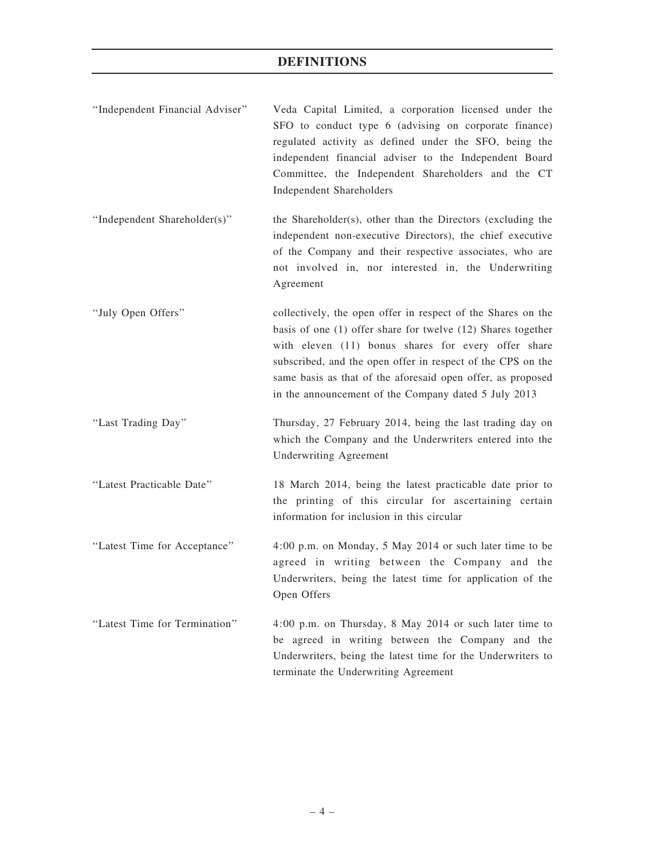| "Independent Financial Adviser" | Veda Capital Limited, a corporation licensed under the<br>SFO to conduct type 6 (advising on corporate finance)<br>regulated activity as defined under the SFO, being the<br>independent financial adviser to the Independent Board<br>Committee, the Independent Shareholders and the CT<br><b>Independent Shareholders</b>                                              |
|---------------------------------|---------------------------------------------------------------------------------------------------------------------------------------------------------------------------------------------------------------------------------------------------------------------------------------------------------------------------------------------------------------------------|
| "Independent Shareholder(s)"    | the Shareholder(s), other than the Directors (excluding the<br>independent non-executive Directors), the chief executive<br>of the Company and their respective associates, who are<br>not involved in, nor interested in, the Underwriting<br>Agreement                                                                                                                  |
| "July Open Offers"              | collectively, the open offer in respect of the Shares on the<br>basis of one (1) offer share for twelve (12) Shares together<br>with eleven (11) bonus shares for every offer share<br>subscribed, and the open offer in respect of the CPS on the<br>same basis as that of the aforesaid open offer, as proposed<br>in the announcement of the Company dated 5 July 2013 |
| "Last Trading Day"              | Thursday, 27 February 2014, being the last trading day on<br>which the Company and the Underwriters entered into the<br><b>Underwriting Agreement</b>                                                                                                                                                                                                                     |
| "Latest Practicable Date"       | 18 March 2014, being the latest practicable date prior to<br>the printing of this circular for ascertaining certain<br>information for inclusion in this circular                                                                                                                                                                                                         |
| "Latest Time for Acceptance"    | 4:00 p.m. on Monday, 5 May 2014 or such later time to be<br>agreed in writing between the Company and the<br>Underwriters, being the latest time for application of the<br>Open Offers                                                                                                                                                                                    |
| "Latest Time for Termination"   | 4:00 p.m. on Thursday, 8 May 2014 or such later time to<br>be agreed in writing between the Company and the<br>Underwriters, being the latest time for the Underwriters to<br>terminate the Underwriting Agreement                                                                                                                                                        |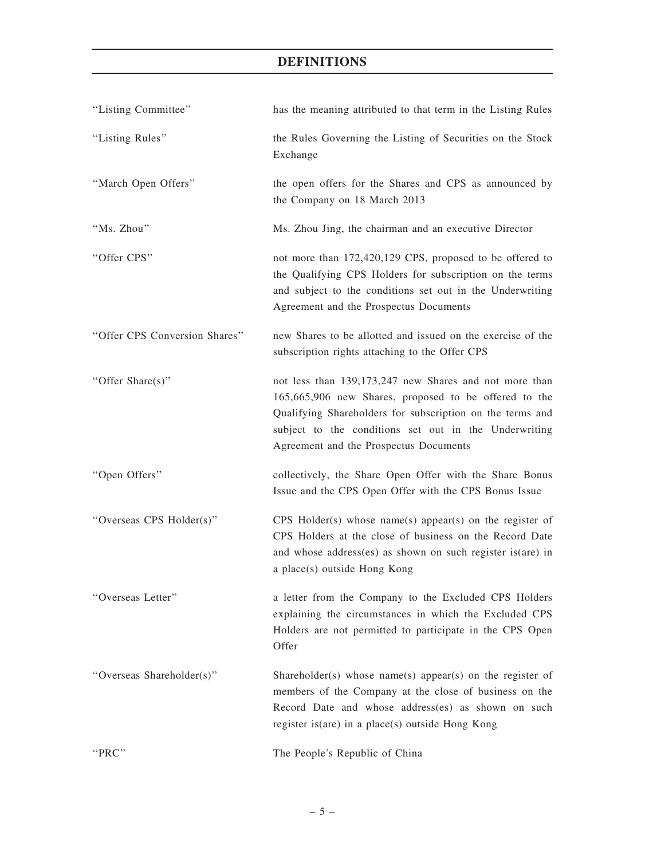| "Listing Committee"           | has the meaning attributed to that term in the Listing Rules                                                                                                                                                                                                                    |
|-------------------------------|---------------------------------------------------------------------------------------------------------------------------------------------------------------------------------------------------------------------------------------------------------------------------------|
| "Listing Rules"               | the Rules Governing the Listing of Securities on the Stock<br>Exchange                                                                                                                                                                                                          |
| "March Open Offers"           | the open offers for the Shares and CPS as announced by<br>the Company on 18 March 2013                                                                                                                                                                                          |
| "Ms. Zhou"                    | Ms. Zhou Jing, the chairman and an executive Director                                                                                                                                                                                                                           |
| "Offer CPS"                   | not more than 172,420,129 CPS, proposed to be offered to<br>the Qualifying CPS Holders for subscription on the terms<br>and subject to the conditions set out in the Underwriting<br>Agreement and the Prospectus Documents                                                     |
| "Offer CPS Conversion Shares" | new Shares to be allotted and issued on the exercise of the<br>subscription rights attaching to the Offer CPS                                                                                                                                                                   |
| "Offer Share(s)"              | not less than 139,173,247 new Shares and not more than<br>165,665,906 new Shares, proposed to be offered to the<br>Qualifying Shareholders for subscription on the terms and<br>subject to the conditions set out in the Underwriting<br>Agreement and the Prospectus Documents |
| "Open Offers"                 | collectively, the Share Open Offer with the Share Bonus<br>Issue and the CPS Open Offer with the CPS Bonus Issue                                                                                                                                                                |
| "Overseas CPS Holder(s)"      | CPS Holder(s) whose name(s) appear(s) on the register of<br>CPS Holders at the close of business on the Record Date<br>and whose address(es) as shown on such register is(are) in<br>a place(s) outside Hong Kong                                                               |
| "Overseas Letter"             | a letter from the Company to the Excluded CPS Holders<br>explaining the circumstances in which the Excluded CPS<br>Holders are not permitted to participate in the CPS Open<br>Offer                                                                                            |
| "Overseas Shareholder(s)"     | Shareholder(s) whose name(s) appear(s) on the register of<br>members of the Company at the close of business on the<br>Record Date and whose address(es) as shown on such<br>register is(are) in a place(s) outside Hong Kong                                                   |
| "PRC"                         | The People's Republic of China                                                                                                                                                                                                                                                  |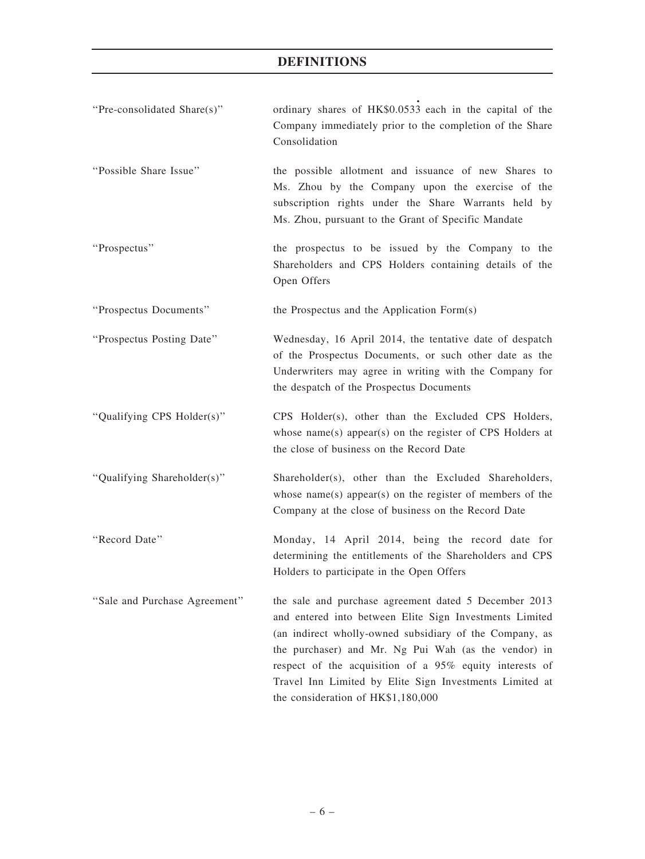| "Pre-consolidated Share(s)"   | ordinary shares of HK\$0.0533 each in the capital of the<br>Company immediately prior to the completion of the Share<br>Consolidation                                                                                                                                                                                                                                                           |
|-------------------------------|-------------------------------------------------------------------------------------------------------------------------------------------------------------------------------------------------------------------------------------------------------------------------------------------------------------------------------------------------------------------------------------------------|
| "Possible Share Issue"        | the possible allotment and issuance of new Shares to<br>Ms. Zhou by the Company upon the exercise of the<br>subscription rights under the Share Warrants held by<br>Ms. Zhou, pursuant to the Grant of Specific Mandate                                                                                                                                                                         |
| "Prospectus"                  | the prospectus to be issued by the Company to the<br>Shareholders and CPS Holders containing details of the<br>Open Offers                                                                                                                                                                                                                                                                      |
| "Prospectus Documents"        | the Prospectus and the Application Form(s)                                                                                                                                                                                                                                                                                                                                                      |
| "Prospectus Posting Date"     | Wednesday, 16 April 2014, the tentative date of despatch<br>of the Prospectus Documents, or such other date as the<br>Underwriters may agree in writing with the Company for<br>the despatch of the Prospectus Documents                                                                                                                                                                        |
| "Qualifying CPS Holder(s)"    | CPS Holder(s), other than the Excluded CPS Holders,<br>whose name(s) appear(s) on the register of CPS Holders at<br>the close of business on the Record Date                                                                                                                                                                                                                                    |
| "Qualifying Shareholder(s)"   | Shareholder(s), other than the Excluded Shareholders,<br>whose name(s) appear(s) on the register of members of the<br>Company at the close of business on the Record Date                                                                                                                                                                                                                       |
| "Record Date"                 | Monday, 14 April 2014, being the record date for<br>determining the entitlements of the Shareholders and CPS<br>Holders to participate in the Open Offers                                                                                                                                                                                                                                       |
| "Sale and Purchase Agreement" | the sale and purchase agreement dated 5 December 2013<br>and entered into between Elite Sign Investments Limited<br>(an indirect wholly-owned subsidiary of the Company, as<br>the purchaser) and Mr. Ng Pui Wah (as the vendor) in<br>respect of the acquisition of a 95% equity interests of<br>Travel Inn Limited by Elite Sign Investments Limited at<br>the consideration of HK\$1,180,000 |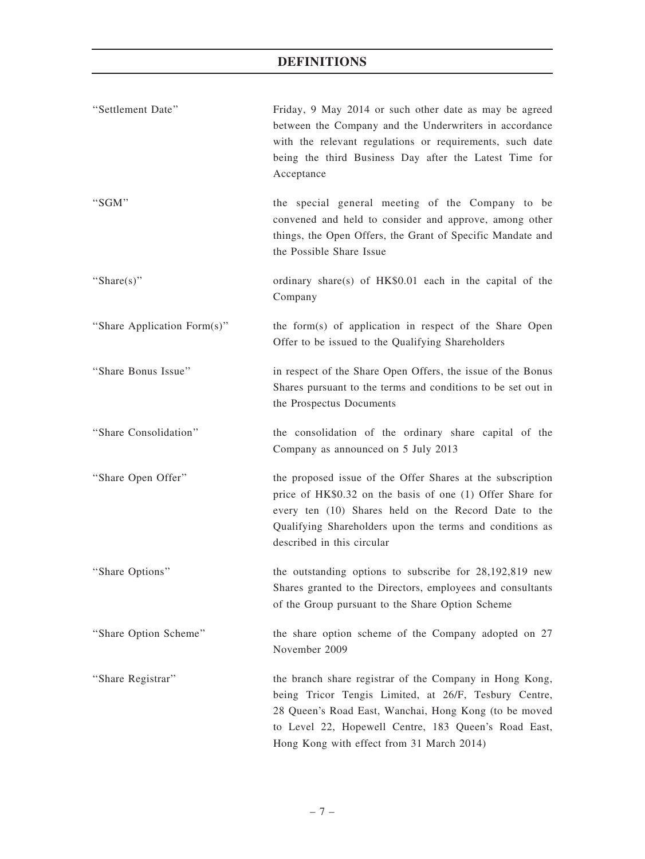| "Settlement Date"           | Friday, 9 May 2014 or such other date as may be agreed<br>between the Company and the Underwriters in accordance<br>with the relevant regulations or requirements, such date<br>being the third Business Day after the Latest Time for<br>Acceptance                           |
|-----------------------------|--------------------------------------------------------------------------------------------------------------------------------------------------------------------------------------------------------------------------------------------------------------------------------|
| "SGM"                       | the special general meeting of the Company to be<br>convened and held to consider and approve, among other<br>things, the Open Offers, the Grant of Specific Mandate and<br>the Possible Share Issue                                                                           |
| "Share $(s)$ "              | ordinary share(s) of HK\$0.01 each in the capital of the<br>Company                                                                                                                                                                                                            |
| "Share Application Form(s)" | the form(s) of application in respect of the Share Open<br>Offer to be issued to the Qualifying Shareholders                                                                                                                                                                   |
| "Share Bonus Issue"         | in respect of the Share Open Offers, the issue of the Bonus<br>Shares pursuant to the terms and conditions to be set out in<br>the Prospectus Documents                                                                                                                        |
| "Share Consolidation"       | the consolidation of the ordinary share capital of the<br>Company as announced on 5 July 2013                                                                                                                                                                                  |
| "Share Open Offer"          | the proposed issue of the Offer Shares at the subscription<br>price of HK\$0.32 on the basis of one (1) Offer Share for<br>every ten (10) Shares held on the Record Date to the<br>Qualifying Shareholders upon the terms and conditions as<br>described in this circular      |
| "Share Options"             | the outstanding options to subscribe for 28,192,819 new<br>Shares granted to the Directors, employees and consultants<br>of the Group pursuant to the Share Option Scheme                                                                                                      |
| "Share Option Scheme"       | the share option scheme of the Company adopted on 27<br>November 2009                                                                                                                                                                                                          |
| "Share Registrar"           | the branch share registrar of the Company in Hong Kong,<br>being Tricor Tengis Limited, at 26/F, Tesbury Centre,<br>28 Queen's Road East, Wanchai, Hong Kong (to be moved<br>to Level 22, Hopewell Centre, 183 Queen's Road East,<br>Hong Kong with effect from 31 March 2014) |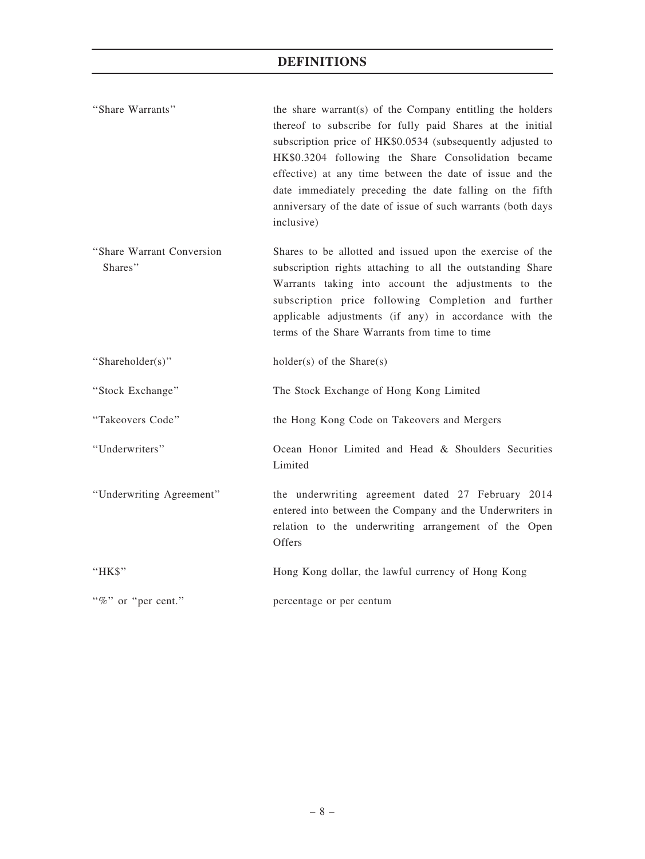| "Share Warrants"                      | the share warrant(s) of the Company entitling the holders<br>thereof to subscribe for fully paid Shares at the initial<br>subscription price of HK\$0.0534 (subsequently adjusted to<br>HK\$0.3204 following the Share Consolidation became<br>effective) at any time between the date of issue and the<br>date immediately preceding the date falling on the fifth<br>anniversary of the date of issue of such warrants (both days<br>inclusive) |
|---------------------------------------|---------------------------------------------------------------------------------------------------------------------------------------------------------------------------------------------------------------------------------------------------------------------------------------------------------------------------------------------------------------------------------------------------------------------------------------------------|
| "Share Warrant Conversion"<br>Shares" | Shares to be allotted and issued upon the exercise of the<br>subscription rights attaching to all the outstanding Share<br>Warrants taking into account the adjustments to the<br>subscription price following Completion and further<br>applicable adjustments (if any) in accordance with the<br>terms of the Share Warrants from time to time                                                                                                  |
| "Shareholder(s)"                      | $holder(s)$ of the Share $(s)$                                                                                                                                                                                                                                                                                                                                                                                                                    |
| "Stock Exchange"                      | The Stock Exchange of Hong Kong Limited                                                                                                                                                                                                                                                                                                                                                                                                           |
| "Takeovers Code"                      | the Hong Kong Code on Takeovers and Mergers                                                                                                                                                                                                                                                                                                                                                                                                       |
| "Underwriters"                        | Ocean Honor Limited and Head & Shoulders Securities<br>Limited                                                                                                                                                                                                                                                                                                                                                                                    |
| "Underwriting Agreement"              | the underwriting agreement dated 27 February 2014<br>entered into between the Company and the Underwriters in<br>relation to the underwriting arrangement of the Open<br>Offers                                                                                                                                                                                                                                                                   |
| "HK\$"                                | Hong Kong dollar, the lawful currency of Hong Kong                                                                                                                                                                                                                                                                                                                                                                                                |
| "%" or "per cent."                    | percentage or per centum                                                                                                                                                                                                                                                                                                                                                                                                                          |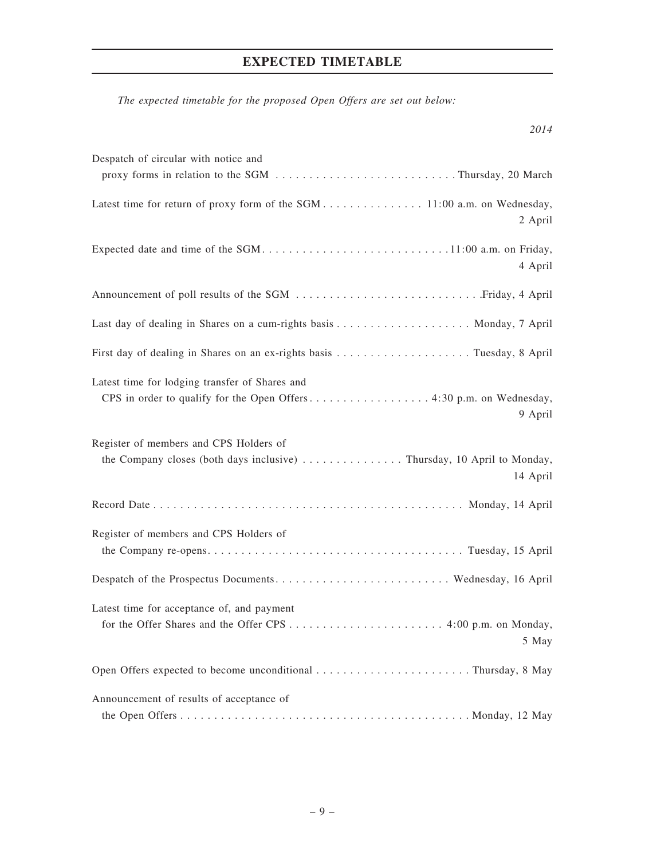# EXPECTED TIMETABLE

The expected timetable for the proposed Open Offers are set out below:

| Despatch of circular with notice and                                                                                         |
|------------------------------------------------------------------------------------------------------------------------------|
|                                                                                                                              |
| Latest time for return of proxy form of the SGM 11:00 a.m. on Wednesday,<br>2 April                                          |
| 4 April                                                                                                                      |
|                                                                                                                              |
|                                                                                                                              |
|                                                                                                                              |
| Latest time for lodging transfer of Shares and<br>9 April                                                                    |
| Register of members and CPS Holders of<br>the Company closes (both days inclusive) Thursday, 10 April to Monday,<br>14 April |
|                                                                                                                              |
| Register of members and CPS Holders of                                                                                       |
|                                                                                                                              |
| Latest time for acceptance of, and payment<br>5 May                                                                          |
|                                                                                                                              |
| Announcement of results of acceptance of                                                                                     |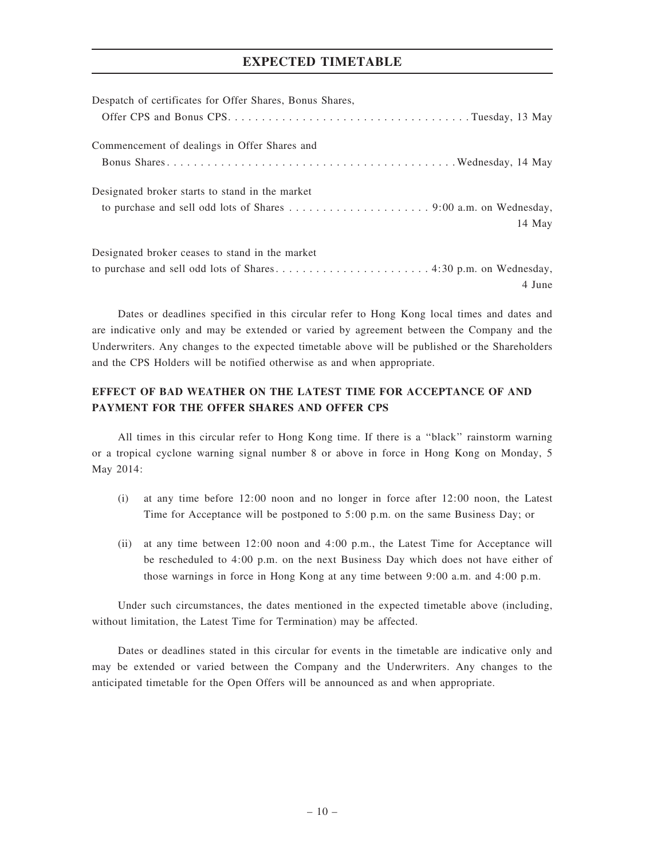## EXPECTED TIMETABLE

| Despatch of certificates for Offer Shares, Bonus Shares, |
|----------------------------------------------------------|
|                                                          |
| Commencement of dealings in Offer Shares and             |
|                                                          |
| Designated broker starts to stand in the market          |
|                                                          |
| 14 May                                                   |
| Designated broker ceases to stand in the market          |
|                                                          |
| 4 June                                                   |

Dates or deadlines specified in this circular refer to Hong Kong local times and dates and are indicative only and may be extended or varied by agreement between the Company and the Underwriters. Any changes to the expected timetable above will be published or the Shareholders and the CPS Holders will be notified otherwise as and when appropriate.

## EFFECT OF BAD WEATHER ON THE LATEST TIME FOR ACCEPTANCE OF AND PAYMENT FOR THE OFFER SHARES AND OFFER CPS

All times in this circular refer to Hong Kong time. If there is a ''black'' rainstorm warning or a tropical cyclone warning signal number 8 or above in force in Hong Kong on Monday, 5 May 2014:

- (i) at any time before 12:00 noon and no longer in force after 12:00 noon, the Latest Time for Acceptance will be postponed to 5:00 p.m. on the same Business Day; or
- (ii) at any time between 12:00 noon and 4:00 p.m., the Latest Time for Acceptance will be rescheduled to 4:00 p.m. on the next Business Day which does not have either of those warnings in force in Hong Kong at any time between 9:00 a.m. and 4:00 p.m.

Under such circumstances, the dates mentioned in the expected timetable above (including, without limitation, the Latest Time for Termination) may be affected.

Dates or deadlines stated in this circular for events in the timetable are indicative only and may be extended or varied between the Company and the Underwriters. Any changes to the anticipated timetable for the Open Offers will be announced as and when appropriate.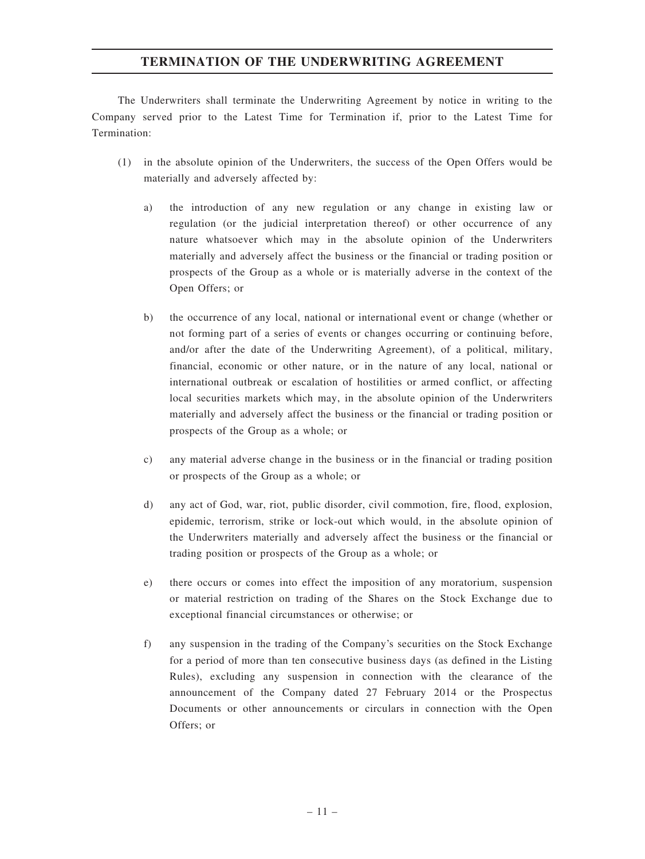## TERMINATION OF THE UNDERWRITING AGREEMENT

The Underwriters shall terminate the Underwriting Agreement by notice in writing to the Company served prior to the Latest Time for Termination if, prior to the Latest Time for Termination:

- (1) in the absolute opinion of the Underwriters, the success of the Open Offers would be materially and adversely affected by:
	- a) the introduction of any new regulation or any change in existing law or regulation (or the judicial interpretation thereof) or other occurrence of any nature whatsoever which may in the absolute opinion of the Underwriters materially and adversely affect the business or the financial or trading position or prospects of the Group as a whole or is materially adverse in the context of the Open Offers; or
	- b) the occurrence of any local, national or international event or change (whether or not forming part of a series of events or changes occurring or continuing before, and/or after the date of the Underwriting Agreement), of a political, military, financial, economic or other nature, or in the nature of any local, national or international outbreak or escalation of hostilities or armed conflict, or affecting local securities markets which may, in the absolute opinion of the Underwriters materially and adversely affect the business or the financial or trading position or prospects of the Group as a whole; or
	- c) any material adverse change in the business or in the financial or trading position or prospects of the Group as a whole; or
	- d) any act of God, war, riot, public disorder, civil commotion, fire, flood, explosion, epidemic, terrorism, strike or lock-out which would, in the absolute opinion of the Underwriters materially and adversely affect the business or the financial or trading position or prospects of the Group as a whole; or
	- e) there occurs or comes into effect the imposition of any moratorium, suspension or material restriction on trading of the Shares on the Stock Exchange due to exceptional financial circumstances or otherwise; or
	- f) any suspension in the trading of the Company's securities on the Stock Exchange for a period of more than ten consecutive business days (as defined in the Listing Rules), excluding any suspension in connection with the clearance of the announcement of the Company dated 27 February 2014 or the Prospectus Documents or other announcements or circulars in connection with the Open Offers; or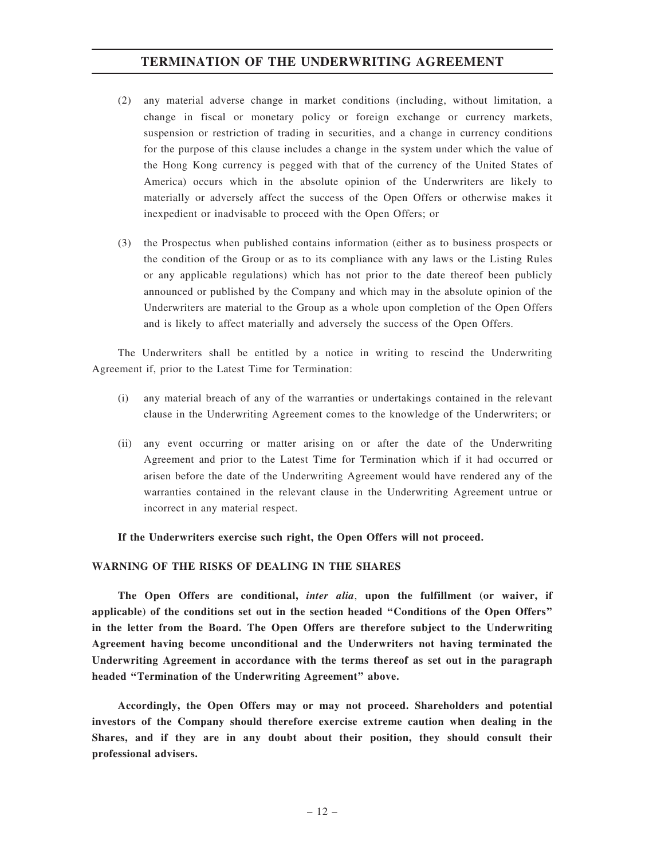## TERMINATION OF THE UNDERWRITING AGREEMENT

- (2) any material adverse change in market conditions (including, without limitation, a change in fiscal or monetary policy or foreign exchange or currency markets, suspension or restriction of trading in securities, and a change in currency conditions for the purpose of this clause includes a change in the system under which the value of the Hong Kong currency is pegged with that of the currency of the United States of America) occurs which in the absolute opinion of the Underwriters are likely to materially or adversely affect the success of the Open Offers or otherwise makes it inexpedient or inadvisable to proceed with the Open Offers; or
- (3) the Prospectus when published contains information (either as to business prospects or the condition of the Group or as to its compliance with any laws or the Listing Rules or any applicable regulations) which has not prior to the date thereof been publicly announced or published by the Company and which may in the absolute opinion of the Underwriters are material to the Group as a whole upon completion of the Open Offers and is likely to affect materially and adversely the success of the Open Offers.

The Underwriters shall be entitled by a notice in writing to rescind the Underwriting Agreement if, prior to the Latest Time for Termination:

- (i) any material breach of any of the warranties or undertakings contained in the relevant clause in the Underwriting Agreement comes to the knowledge of the Underwriters; or
- (ii) any event occurring or matter arising on or after the date of the Underwriting Agreement and prior to the Latest Time for Termination which if it had occurred or arisen before the date of the Underwriting Agreement would have rendered any of the warranties contained in the relevant clause in the Underwriting Agreement untrue or incorrect in any material respect.

If the Underwriters exercise such right, the Open Offers will not proceed.

#### WARNING OF THE RISKS OF DEALING IN THE SHARES

The Open Offers are conditional, *inter alia*, upon the fulfillment (or waiver, if applicable) of the conditions set out in the section headed ''Conditions of the Open Offers'' in the letter from the Board. The Open Offers are therefore subject to the Underwriting Agreement having become unconditional and the Underwriters not having terminated the Underwriting Agreement in accordance with the terms thereof as set out in the paragraph headed ''Termination of the Underwriting Agreement'' above.

Accordingly, the Open Offers may or may not proceed. Shareholders and potential investors of the Company should therefore exercise extreme caution when dealing in the Shares, and if they are in any doubt about their position, they should consult their professional advisers.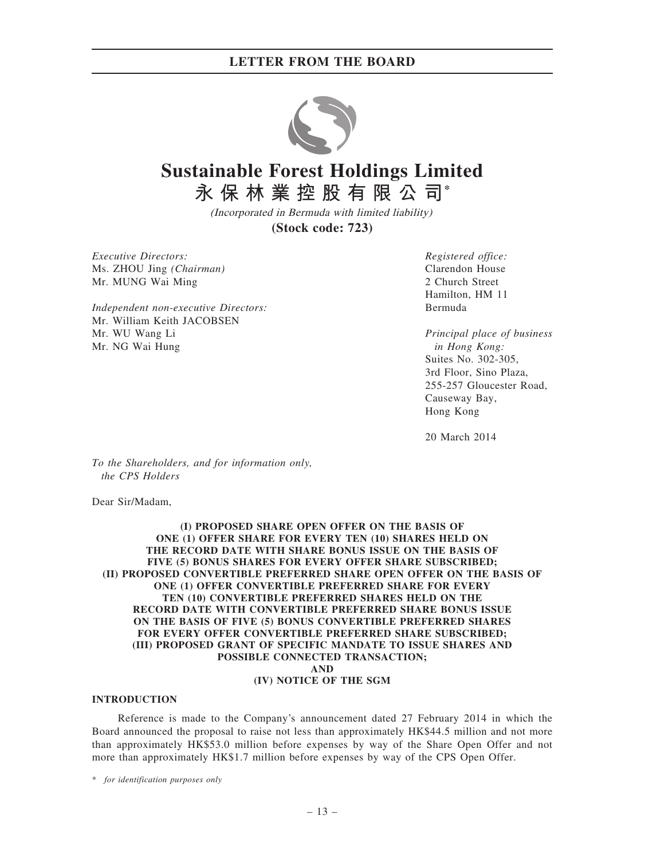

# **Sustainable Forest Holdings Limited 永保林業控股有限公司\***

(Incorporated in Bermuda with limited liability) **(Stock code: 723)**

Executive Directors: Ms. ZHOU Jing (Chairman) Mr. MUNG Wai Ming

Independent non-executive Directors: Mr. William Keith JACOBSEN Mr. WU Wang Li Mr. NG Wai Hung

Registered office: Clarendon House 2 Church Street Hamilton, HM 11 Bermuda

Principal place of business in Hong Kong: Suites No. 302-305, 3rd Floor, Sino Plaza, 255-257 Gloucester Road, Causeway Bay, Hong Kong

20 March 2014

To the Shareholders, and for information only, the CPS Holders

Dear Sir/Madam,

#### (I) PROPOSED SHARE OPEN OFFER ON THE BASIS OF ONE (1) OFFER SHARE FOR EVERY TEN (10) SHARES HELD ON THE RECORD DATE WITH SHARE BONUS ISSUE ON THE BASIS OF FIVE (5) BONUS SHARES FOR EVERY OFFER SHARE SUBSCRIBED; (II) PROPOSED CONVERTIBLE PREFERRED SHARE OPEN OFFER ON THE BASIS OF ONE (1) OFFER CONVERTIBLE PREFERRED SHARE FOR EVERY TEN (10) CONVERTIBLE PREFERRED SHARES HELD ON THE RECORD DATE WITH CONVERTIBLE PREFERRED SHARE BONUS ISSUE ON THE BASIS OF FIVE (5) BONUS CONVERTIBLE PREFERRED SHARES FOR EVERY OFFER CONVERTIBLE PREFERRED SHARE SUBSCRIBED; (III) PROPOSED GRANT OF SPECIFIC MANDATE TO ISSUE SHARES AND POSSIBLE CONNECTED TRANSACTION; AND (IV) NOTICE OF THE SGM

#### INTRODUCTION

Reference is made to the Company's announcement dated 27 February 2014 in which the Board announced the proposal to raise not less than approximately HK\$44.5 million and not more than approximately HK\$53.0 million before expenses by way of the Share Open Offer and not more than approximately HK\$1.7 million before expenses by way of the CPS Open Offer.

\* for identification purposes only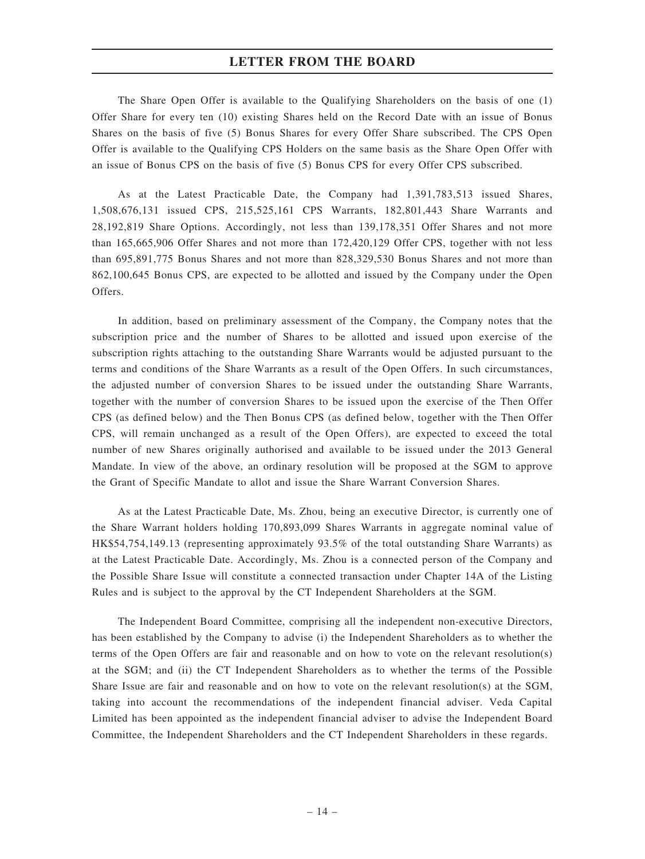The Share Open Offer is available to the Qualifying Shareholders on the basis of one (1) Offer Share for every ten (10) existing Shares held on the Record Date with an issue of Bonus Shares on the basis of five (5) Bonus Shares for every Offer Share subscribed. The CPS Open Offer is available to the Qualifying CPS Holders on the same basis as the Share Open Offer with an issue of Bonus CPS on the basis of five (5) Bonus CPS for every Offer CPS subscribed.

As at the Latest Practicable Date, the Company had 1,391,783,513 issued Shares, 1,508,676,131 issued CPS, 215,525,161 CPS Warrants, 182,801,443 Share Warrants and 28,192,819 Share Options. Accordingly, not less than 139,178,351 Offer Shares and not more than 165,665,906 Offer Shares and not more than 172,420,129 Offer CPS, together with not less than 695,891,775 Bonus Shares and not more than 828,329,530 Bonus Shares and not more than 862,100,645 Bonus CPS, are expected to be allotted and issued by the Company under the Open Offers.

In addition, based on preliminary assessment of the Company, the Company notes that the subscription price and the number of Shares to be allotted and issued upon exercise of the subscription rights attaching to the outstanding Share Warrants would be adjusted pursuant to the terms and conditions of the Share Warrants as a result of the Open Offers. In such circumstances, the adjusted number of conversion Shares to be issued under the outstanding Share Warrants, together with the number of conversion Shares to be issued upon the exercise of the Then Offer CPS (as defined below) and the Then Bonus CPS (as defined below, together with the Then Offer CPS, will remain unchanged as a result of the Open Offers), are expected to exceed the total number of new Shares originally authorised and available to be issued under the 2013 General Mandate. In view of the above, an ordinary resolution will be proposed at the SGM to approve the Grant of Specific Mandate to allot and issue the Share Warrant Conversion Shares.

As at the Latest Practicable Date, Ms. Zhou, being an executive Director, is currently one of the Share Warrant holders holding 170,893,099 Shares Warrants in aggregate nominal value of HK\$54,754,149.13 (representing approximately 93.5% of the total outstanding Share Warrants) as at the Latest Practicable Date. Accordingly, Ms. Zhou is a connected person of the Company and the Possible Share Issue will constitute a connected transaction under Chapter 14A of the Listing Rules and is subject to the approval by the CT Independent Shareholders at the SGM.

The Independent Board Committee, comprising all the independent non-executive Directors, has been established by the Company to advise (i) the Independent Shareholders as to whether the terms of the Open Offers are fair and reasonable and on how to vote on the relevant resolution(s) at the SGM; and (ii) the CT Independent Shareholders as to whether the terms of the Possible Share Issue are fair and reasonable and on how to vote on the relevant resolution(s) at the SGM, taking into account the recommendations of the independent financial adviser. Veda Capital Limited has been appointed as the independent financial adviser to advise the Independent Board Committee, the Independent Shareholders and the CT Independent Shareholders in these regards.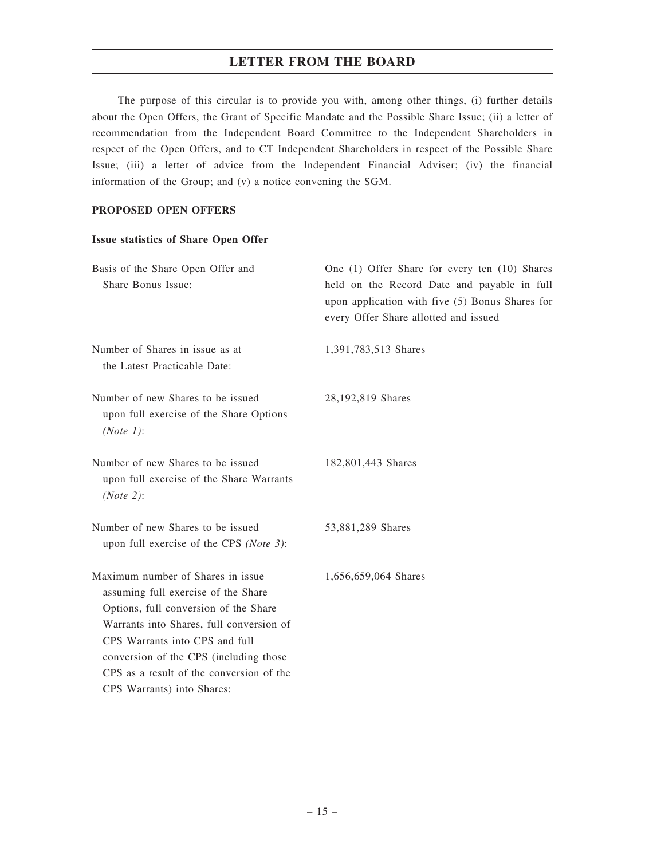The purpose of this circular is to provide you with, among other things, (i) further details about the Open Offers, the Grant of Specific Mandate and the Possible Share Issue; (ii) a letter of recommendation from the Independent Board Committee to the Independent Shareholders in respect of the Open Offers, and to CT Independent Shareholders in respect of the Possible Share Issue; (iii) a letter of advice from the Independent Financial Adviser; (iv) the financial information of the Group; and (v) a notice convening the SGM.

#### PROPOSED OPEN OFFERS

#### Issue statistics of Share Open Offer

| Basis of the Share Open Offer and<br>Share Bonus Issue:                                                                                                                                                                                                                                                             | One (1) Offer Share for every ten (10) Shares<br>held on the Record Date and payable in full<br>upon application with five (5) Bonus Shares for<br>every Offer Share allotted and issued |
|---------------------------------------------------------------------------------------------------------------------------------------------------------------------------------------------------------------------------------------------------------------------------------------------------------------------|------------------------------------------------------------------------------------------------------------------------------------------------------------------------------------------|
| Number of Shares in issue as at<br>the Latest Practicable Date:                                                                                                                                                                                                                                                     | 1,391,783,513 Shares                                                                                                                                                                     |
| Number of new Shares to be issued<br>upon full exercise of the Share Options<br>(Note 1):                                                                                                                                                                                                                           | 28,192,819 Shares                                                                                                                                                                        |
| Number of new Shares to be issued<br>upon full exercise of the Share Warrants<br>(Note 2):                                                                                                                                                                                                                          | 182,801,443 Shares                                                                                                                                                                       |
| Number of new Shares to be issued<br>upon full exercise of the CPS (Note 3):                                                                                                                                                                                                                                        | 53,881,289 Shares                                                                                                                                                                        |
| Maximum number of Shares in issue<br>assuming full exercise of the Share<br>Options, full conversion of the Share<br>Warrants into Shares, full conversion of<br>CPS Warrants into CPS and full<br>conversion of the CPS (including those<br>CPS as a result of the conversion of the<br>CPS Warrants) into Shares: | 1,656,659,064 Shares                                                                                                                                                                     |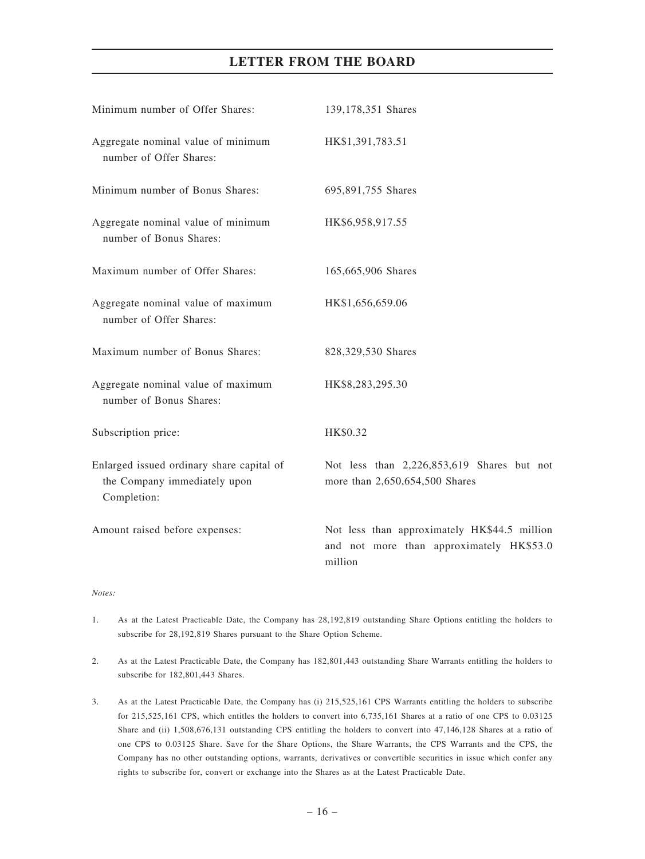| Minimum number of Offer Shares:                                                          | 139,178,351 Shares                                                                                  |
|------------------------------------------------------------------------------------------|-----------------------------------------------------------------------------------------------------|
| Aggregate nominal value of minimum<br>number of Offer Shares:                            | HK\$1,391,783.51                                                                                    |
| Minimum number of Bonus Shares:                                                          | 695,891,755 Shares                                                                                  |
| Aggregate nominal value of minimum<br>number of Bonus Shares:                            | HK\$6,958,917.55                                                                                    |
| Maximum number of Offer Shares:                                                          | 165,665,906 Shares                                                                                  |
| Aggregate nominal value of maximum<br>number of Offer Shares:                            | HK\$1,656,659.06                                                                                    |
| Maximum number of Bonus Shares:                                                          | 828,329,530 Shares                                                                                  |
| Aggregate nominal value of maximum<br>number of Bonus Shares:                            | HK\$8,283,295.30                                                                                    |
| Subscription price:                                                                      | HK\$0.32                                                                                            |
| Enlarged issued ordinary share capital of<br>the Company immediately upon<br>Completion: | Not less than 2,226,853,619 Shares but not<br>more than 2,650,654,500 Shares                        |
| Amount raised before expenses:                                                           | Not less than approximately HK\$44.5 million<br>and not more than approximately HK\$53.0<br>million |
|                                                                                          |                                                                                                     |

- 1. As at the Latest Practicable Date, the Company has 28,192,819 outstanding Share Options entitling the holders to subscribe for 28,192,819 Shares pursuant to the Share Option Scheme.
- 2. As at the Latest Practicable Date, the Company has 182,801,443 outstanding Share Warrants entitling the holders to subscribe for 182,801,443 Shares.
- 3. As at the Latest Practicable Date, the Company has (i) 215,525,161 CPS Warrants entitling the holders to subscribe for 215,525,161 CPS, which entitles the holders to convert into 6,735,161 Shares at a ratio of one CPS to 0.03125 Share and (ii) 1,508,676,131 outstanding CPS entitling the holders to convert into 47,146,128 Shares at a ratio of one CPS to 0.03125 Share. Save for the Share Options, the Share Warrants, the CPS Warrants and the CPS, the Company has no other outstanding options, warrants, derivatives or convertible securities in issue which confer any rights to subscribe for, convert or exchange into the Shares as at the Latest Practicable Date.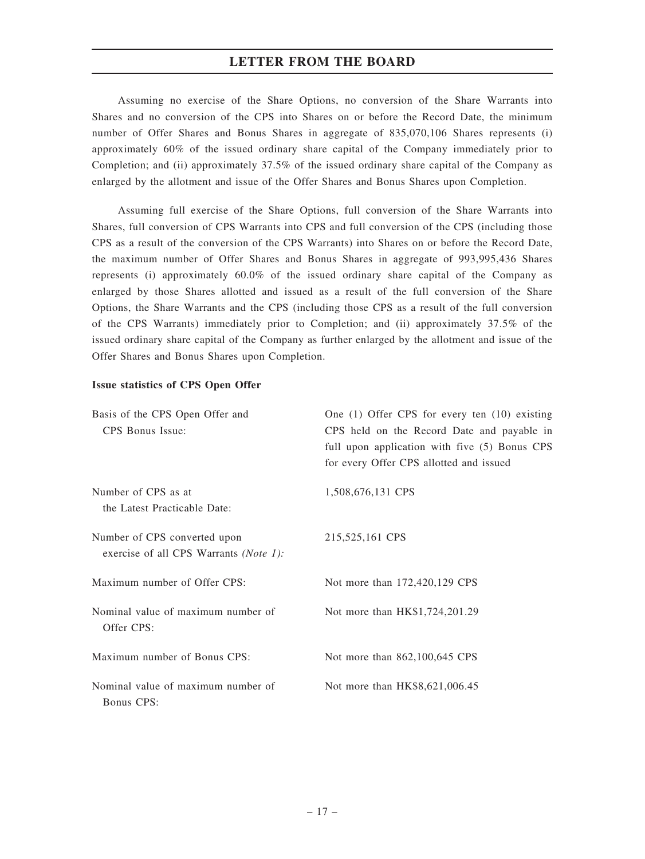Assuming no exercise of the Share Options, no conversion of the Share Warrants into Shares and no conversion of the CPS into Shares on or before the Record Date, the minimum number of Offer Shares and Bonus Shares in aggregate of 835,070,106 Shares represents (i) approximately 60% of the issued ordinary share capital of the Company immediately prior to Completion; and (ii) approximately 37.5% of the issued ordinary share capital of the Company as enlarged by the allotment and issue of the Offer Shares and Bonus Shares upon Completion.

Assuming full exercise of the Share Options, full conversion of the Share Warrants into Shares, full conversion of CPS Warrants into CPS and full conversion of the CPS (including those CPS as a result of the conversion of the CPS Warrants) into Shares on or before the Record Date, the maximum number of Offer Shares and Bonus Shares in aggregate of 993,995,436 Shares represents (i) approximately 60.0% of the issued ordinary share capital of the Company as enlarged by those Shares allotted and issued as a result of the full conversion of the Share Options, the Share Warrants and the CPS (including those CPS as a result of the full conversion of the CPS Warrants) immediately prior to Completion; and (ii) approximately 37.5% of the issued ordinary share capital of the Company as further enlarged by the allotment and issue of the Offer Shares and Bonus Shares upon Completion.

#### Issue statistics of CPS Open Offer

| Basis of the CPS Open Offer and<br>CPS Bonus Issue:                    | One $(1)$ Offer CPS for every ten $(10)$ existing<br>CPS held on the Record Date and payable in<br>full upon application with five (5) Bonus CPS<br>for every Offer CPS allotted and issued |
|------------------------------------------------------------------------|---------------------------------------------------------------------------------------------------------------------------------------------------------------------------------------------|
| Number of CPS as at<br>the Latest Practicable Date:                    | 1,508,676,131 CPS                                                                                                                                                                           |
| Number of CPS converted upon<br>exercise of all CPS Warrants (Note 1): | 215,525,161 CPS                                                                                                                                                                             |
| Maximum number of Offer CPS:                                           | Not more than 172,420,129 CPS                                                                                                                                                               |
| Nominal value of maximum number of<br>Offer CPS:                       | Not more than HK\$1,724,201.29                                                                                                                                                              |
| Maximum number of Bonus CPS:                                           | Not more than 862,100,645 CPS                                                                                                                                                               |
| Nominal value of maximum number of<br>Bonus CPS:                       | Not more than HK\$8,621,006.45                                                                                                                                                              |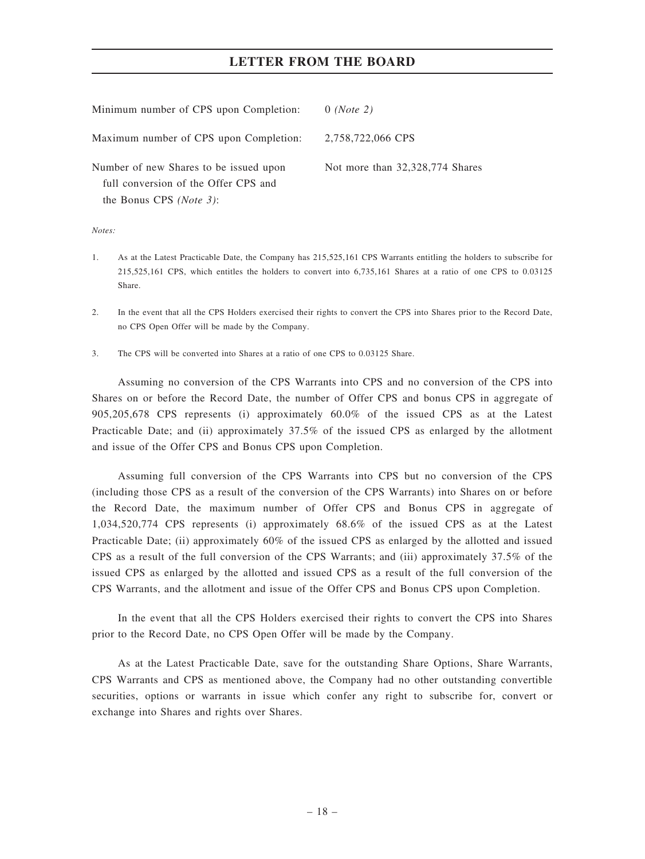| Minimum number of CPS upon Completion:                                                                             | $0$ (Note 2)                    |
|--------------------------------------------------------------------------------------------------------------------|---------------------------------|
| Maximum number of CPS upon Completion:                                                                             | 2,758,722,066 CPS               |
| Number of new Shares to be issued upon<br>full conversion of the Offer CPS and<br>the Bonus CPS ( <i>Note 3</i> ): | Not more than 32,328,774 Shares |

 $Note:$ 

- 1. As at the Latest Practicable Date, the Company has 215,525,161 CPS Warrants entitling the holders to subscribe for 215,525,161 CPS, which entitles the holders to convert into 6,735,161 Shares at a ratio of one CPS to 0.03125 Share.
- 2. In the event that all the CPS Holders exercised their rights to convert the CPS into Shares prior to the Record Date, no CPS Open Offer will be made by the Company.
- 3. The CPS will be converted into Shares at a ratio of one CPS to 0.03125 Share.

Assuming no conversion of the CPS Warrants into CPS and no conversion of the CPS into Shares on or before the Record Date, the number of Offer CPS and bonus CPS in aggregate of 905,205,678 CPS represents (i) approximately 60.0% of the issued CPS as at the Latest Practicable Date; and (ii) approximately 37.5% of the issued CPS as enlarged by the allotment and issue of the Offer CPS and Bonus CPS upon Completion.

Assuming full conversion of the CPS Warrants into CPS but no conversion of the CPS (including those CPS as a result of the conversion of the CPS Warrants) into Shares on or before the Record Date, the maximum number of Offer CPS and Bonus CPS in aggregate of 1,034,520,774 CPS represents (i) approximately 68.6% of the issued CPS as at the Latest Practicable Date; (ii) approximately 60% of the issued CPS as enlarged by the allotted and issued CPS as a result of the full conversion of the CPS Warrants; and (iii) approximately 37.5% of the issued CPS as enlarged by the allotted and issued CPS as a result of the full conversion of the CPS Warrants, and the allotment and issue of the Offer CPS and Bonus CPS upon Completion.

In the event that all the CPS Holders exercised their rights to convert the CPS into Shares prior to the Record Date, no CPS Open Offer will be made by the Company.

As at the Latest Practicable Date, save for the outstanding Share Options, Share Warrants, CPS Warrants and CPS as mentioned above, the Company had no other outstanding convertible securities, options or warrants in issue which confer any right to subscribe for, convert or exchange into Shares and rights over Shares.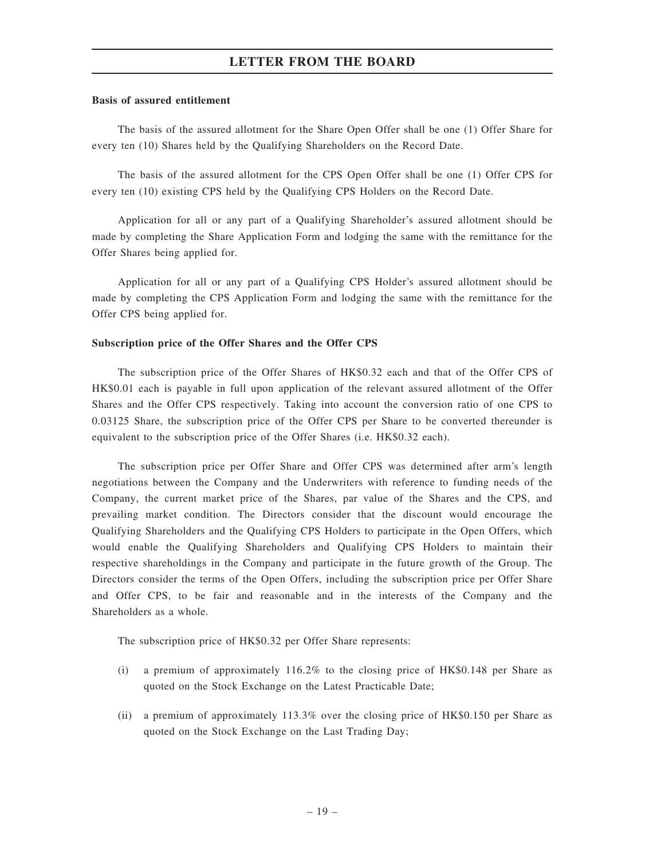#### Basis of assured entitlement

The basis of the assured allotment for the Share Open Offer shall be one (1) Offer Share for every ten (10) Shares held by the Qualifying Shareholders on the Record Date.

The basis of the assured allotment for the CPS Open Offer shall be one (1) Offer CPS for every ten (10) existing CPS held by the Qualifying CPS Holders on the Record Date.

Application for all or any part of a Qualifying Shareholder's assured allotment should be made by completing the Share Application Form and lodging the same with the remittance for the Offer Shares being applied for.

Application for all or any part of a Qualifying CPS Holder's assured allotment should be made by completing the CPS Application Form and lodging the same with the remittance for the Offer CPS being applied for.

#### Subscription price of the Offer Shares and the Offer CPS

The subscription price of the Offer Shares of HK\$0.32 each and that of the Offer CPS of HK\$0.01 each is payable in full upon application of the relevant assured allotment of the Offer Shares and the Offer CPS respectively. Taking into account the conversion ratio of one CPS to 0.03125 Share, the subscription price of the Offer CPS per Share to be converted thereunder is equivalent to the subscription price of the Offer Shares (i.e. HK\$0.32 each).

The subscription price per Offer Share and Offer CPS was determined after arm's length negotiations between the Company and the Underwriters with reference to funding needs of the Company, the current market price of the Shares, par value of the Shares and the CPS, and prevailing market condition. The Directors consider that the discount would encourage the Qualifying Shareholders and the Qualifying CPS Holders to participate in the Open Offers, which would enable the Qualifying Shareholders and Qualifying CPS Holders to maintain their respective shareholdings in the Company and participate in the future growth of the Group. The Directors consider the terms of the Open Offers, including the subscription price per Offer Share and Offer CPS, to be fair and reasonable and in the interests of the Company and the Shareholders as a whole.

The subscription price of HK\$0.32 per Offer Share represents:

- (i) a premium of approximately 116.2% to the closing price of HK\$0.148 per Share as quoted on the Stock Exchange on the Latest Practicable Date;
- (ii) a premium of approximately 113.3% over the closing price of HK\$0.150 per Share as quoted on the Stock Exchange on the Last Trading Day;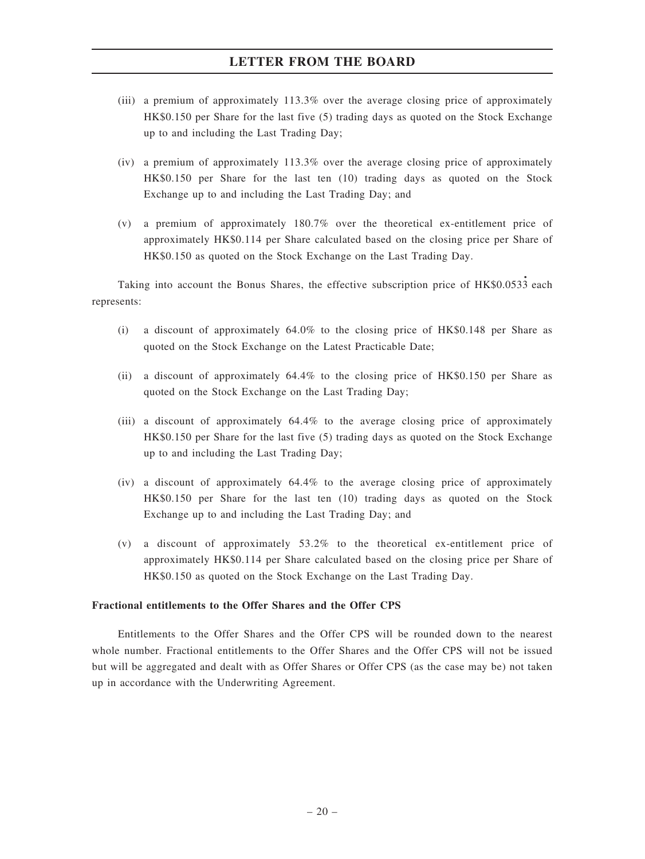- (iii) a premium of approximately 113.3% over the average closing price of approximately HK\$0.150 per Share for the last five (5) trading days as quoted on the Stock Exchange up to and including the Last Trading Day;
- (iv) a premium of approximately 113.3% over the average closing price of approximately HK\$0.150 per Share for the last ten (10) trading days as quoted on the Stock Exchange up to and including the Last Trading Day; and
- (v) a premium of approximately 180.7% over the theoretical ex-entitlement price of approximately HK\$0.114 per Share calculated based on the closing price per Share of HK\$0.150 as quoted on the Stock Exchange on the Last Trading Day.

Taking into account the Bonus Shares, the effective subscription price of HK\$0.0533 each represents:

- (i) a discount of approximately 64.0% to the closing price of HK\$0.148 per Share as quoted on the Stock Exchange on the Latest Practicable Date;
- (ii) a discount of approximately 64.4% to the closing price of HK\$0.150 per Share as quoted on the Stock Exchange on the Last Trading Day;
- (iii) a discount of approximately 64.4% to the average closing price of approximately HK\$0.150 per Share for the last five (5) trading days as quoted on the Stock Exchange up to and including the Last Trading Day;
- (iv) a discount of approximately 64.4% to the average closing price of approximately HK\$0.150 per Share for the last ten (10) trading days as quoted on the Stock Exchange up to and including the Last Trading Day; and
- (v) a discount of approximately 53.2% to the theoretical ex-entitlement price of approximately HK\$0.114 per Share calculated based on the closing price per Share of HK\$0.150 as quoted on the Stock Exchange on the Last Trading Day.

#### Fractional entitlements to the Offer Shares and the Offer CPS

Entitlements to the Offer Shares and the Offer CPS will be rounded down to the nearest whole number. Fractional entitlements to the Offer Shares and the Offer CPS will not be issued but will be aggregated and dealt with as Offer Shares or Offer CPS (as the case may be) not taken up in accordance with the Underwriting Agreement.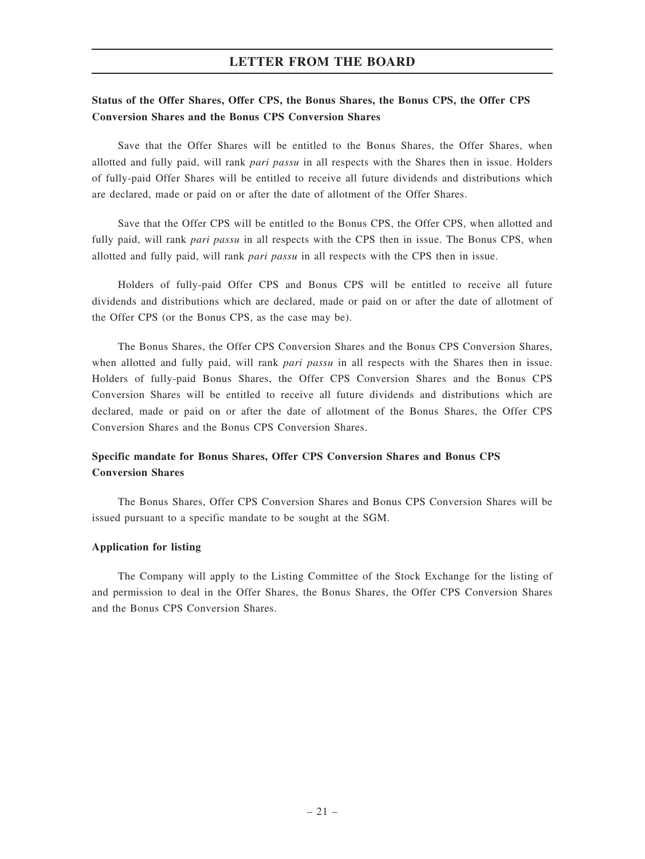## Status of the Offer Shares, Offer CPS, the Bonus Shares, the Bonus CPS, the Offer CPS Conversion Shares and the Bonus CPS Conversion Shares

Save that the Offer Shares will be entitled to the Bonus Shares, the Offer Shares, when allotted and fully paid, will rank pari passu in all respects with the Shares then in issue. Holders of fully-paid Offer Shares will be entitled to receive all future dividends and distributions which are declared, made or paid on or after the date of allotment of the Offer Shares.

Save that the Offer CPS will be entitled to the Bonus CPS, the Offer CPS, when allotted and fully paid, will rank *pari passu* in all respects with the CPS then in issue. The Bonus CPS, when allotted and fully paid, will rank pari passu in all respects with the CPS then in issue.

Holders of fully-paid Offer CPS and Bonus CPS will be entitled to receive all future dividends and distributions which are declared, made or paid on or after the date of allotment of the Offer CPS (or the Bonus CPS, as the case may be).

The Bonus Shares, the Offer CPS Conversion Shares and the Bonus CPS Conversion Shares, when allotted and fully paid, will rank *pari passu* in all respects with the Shares then in issue. Holders of fully-paid Bonus Shares, the Offer CPS Conversion Shares and the Bonus CPS Conversion Shares will be entitled to receive all future dividends and distributions which are declared, made or paid on or after the date of allotment of the Bonus Shares, the Offer CPS Conversion Shares and the Bonus CPS Conversion Shares.

## Specific mandate for Bonus Shares, Offer CPS Conversion Shares and Bonus CPS Conversion Shares

The Bonus Shares, Offer CPS Conversion Shares and Bonus CPS Conversion Shares will be issued pursuant to a specific mandate to be sought at the SGM.

#### Application for listing

The Company will apply to the Listing Committee of the Stock Exchange for the listing of and permission to deal in the Offer Shares, the Bonus Shares, the Offer CPS Conversion Shares and the Bonus CPS Conversion Shares.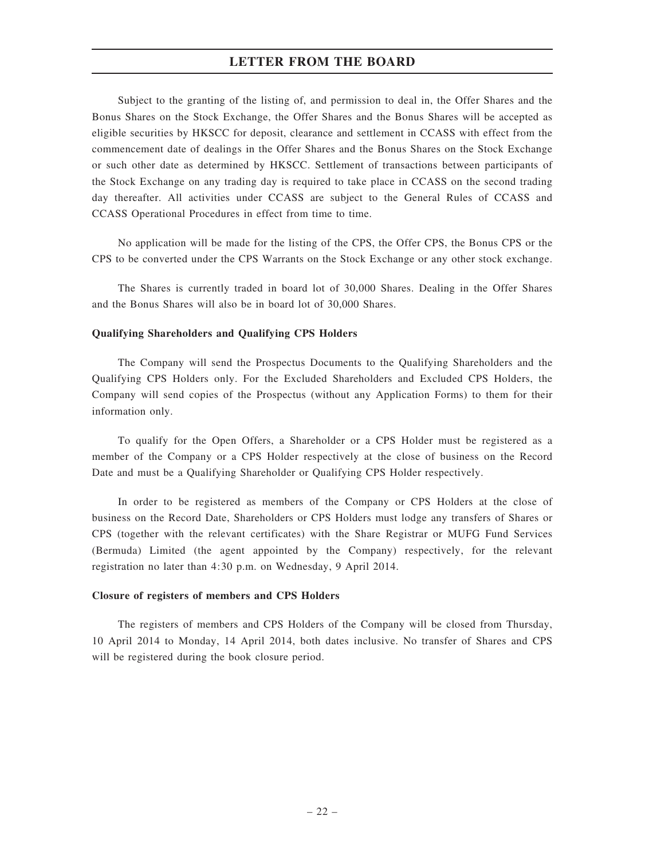Subject to the granting of the listing of, and permission to deal in, the Offer Shares and the Bonus Shares on the Stock Exchange, the Offer Shares and the Bonus Shares will be accepted as eligible securities by HKSCC for deposit, clearance and settlement in CCASS with effect from the commencement date of dealings in the Offer Shares and the Bonus Shares on the Stock Exchange or such other date as determined by HKSCC. Settlement of transactions between participants of the Stock Exchange on any trading day is required to take place in CCASS on the second trading day thereafter. All activities under CCASS are subject to the General Rules of CCASS and CCASS Operational Procedures in effect from time to time.

No application will be made for the listing of the CPS, the Offer CPS, the Bonus CPS or the CPS to be converted under the CPS Warrants on the Stock Exchange or any other stock exchange.

The Shares is currently traded in board lot of 30,000 Shares. Dealing in the Offer Shares and the Bonus Shares will also be in board lot of 30,000 Shares.

#### Qualifying Shareholders and Qualifying CPS Holders

The Company will send the Prospectus Documents to the Qualifying Shareholders and the Qualifying CPS Holders only. For the Excluded Shareholders and Excluded CPS Holders, the Company will send copies of the Prospectus (without any Application Forms) to them for their information only.

To qualify for the Open Offers, a Shareholder or a CPS Holder must be registered as a member of the Company or a CPS Holder respectively at the close of business on the Record Date and must be a Qualifying Shareholder or Qualifying CPS Holder respectively.

In order to be registered as members of the Company or CPS Holders at the close of business on the Record Date, Shareholders or CPS Holders must lodge any transfers of Shares or CPS (together with the relevant certificates) with the Share Registrar or MUFG Fund Services (Bermuda) Limited (the agent appointed by the Company) respectively, for the relevant registration no later than 4:30 p.m. on Wednesday, 9 April 2014.

#### Closure of registers of members and CPS Holders

The registers of members and CPS Holders of the Company will be closed from Thursday, 10 April 2014 to Monday, 14 April 2014, both dates inclusive. No transfer of Shares and CPS will be registered during the book closure period.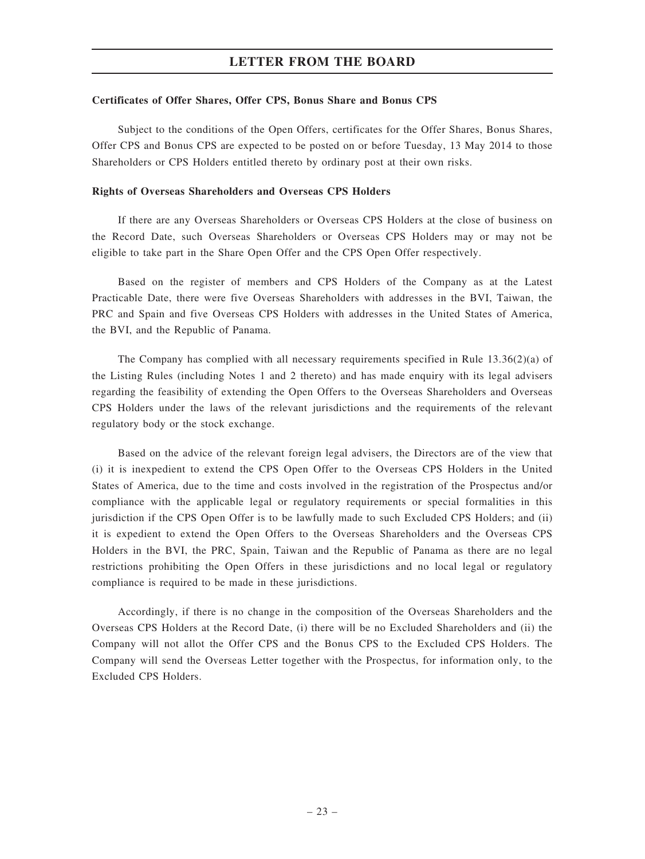#### Certificates of Offer Shares, Offer CPS, Bonus Share and Bonus CPS

Subject to the conditions of the Open Offers, certificates for the Offer Shares, Bonus Shares, Offer CPS and Bonus CPS are expected to be posted on or before Tuesday, 13 May 2014 to those Shareholders or CPS Holders entitled thereto by ordinary post at their own risks.

#### Rights of Overseas Shareholders and Overseas CPS Holders

If there are any Overseas Shareholders or Overseas CPS Holders at the close of business on the Record Date, such Overseas Shareholders or Overseas CPS Holders may or may not be eligible to take part in the Share Open Offer and the CPS Open Offer respectively.

Based on the register of members and CPS Holders of the Company as at the Latest Practicable Date, there were five Overseas Shareholders with addresses in the BVI, Taiwan, the PRC and Spain and five Overseas CPS Holders with addresses in the United States of America, the BVI, and the Republic of Panama.

The Company has complied with all necessary requirements specified in Rule 13.36(2)(a) of the Listing Rules (including Notes 1 and 2 thereto) and has made enquiry with its legal advisers regarding the feasibility of extending the Open Offers to the Overseas Shareholders and Overseas CPS Holders under the laws of the relevant jurisdictions and the requirements of the relevant regulatory body or the stock exchange.

Based on the advice of the relevant foreign legal advisers, the Directors are of the view that (i) it is inexpedient to extend the CPS Open Offer to the Overseas CPS Holders in the United States of America, due to the time and costs involved in the registration of the Prospectus and/or compliance with the applicable legal or regulatory requirements or special formalities in this jurisdiction if the CPS Open Offer is to be lawfully made to such Excluded CPS Holders; and (ii) it is expedient to extend the Open Offers to the Overseas Shareholders and the Overseas CPS Holders in the BVI, the PRC, Spain, Taiwan and the Republic of Panama as there are no legal restrictions prohibiting the Open Offers in these jurisdictions and no local legal or regulatory compliance is required to be made in these jurisdictions.

Accordingly, if there is no change in the composition of the Overseas Shareholders and the Overseas CPS Holders at the Record Date, (i) there will be no Excluded Shareholders and (ii) the Company will not allot the Offer CPS and the Bonus CPS to the Excluded CPS Holders. The Company will send the Overseas Letter together with the Prospectus, for information only, to the Excluded CPS Holders.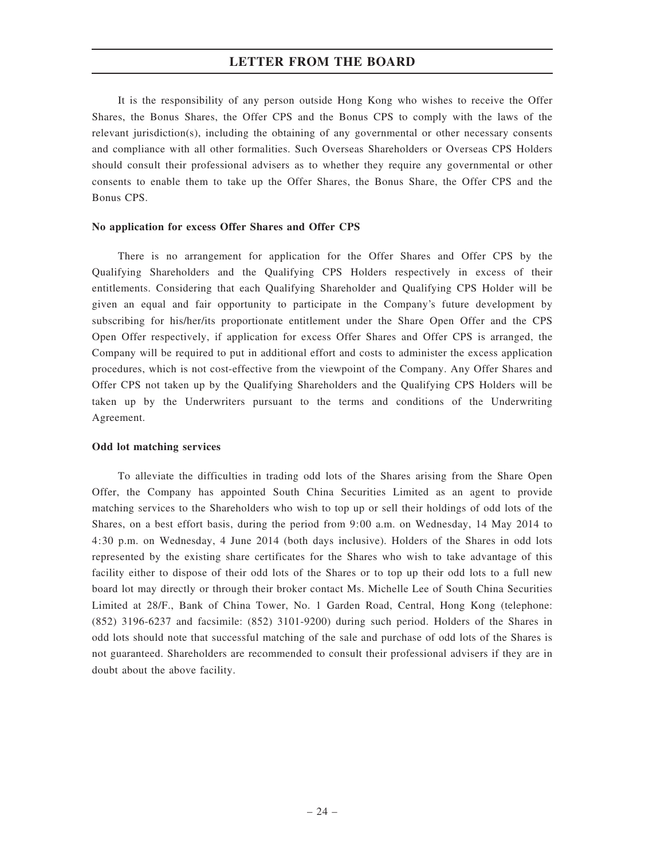It is the responsibility of any person outside Hong Kong who wishes to receive the Offer Shares, the Bonus Shares, the Offer CPS and the Bonus CPS to comply with the laws of the relevant jurisdiction(s), including the obtaining of any governmental or other necessary consents and compliance with all other formalities. Such Overseas Shareholders or Overseas CPS Holders should consult their professional advisers as to whether they require any governmental or other consents to enable them to take up the Offer Shares, the Bonus Share, the Offer CPS and the Bonus CPS.

#### No application for excess Offer Shares and Offer CPS

There is no arrangement for application for the Offer Shares and Offer CPS by the Qualifying Shareholders and the Qualifying CPS Holders respectively in excess of their entitlements. Considering that each Qualifying Shareholder and Qualifying CPS Holder will be given an equal and fair opportunity to participate in the Company's future development by subscribing for his/her/its proportionate entitlement under the Share Open Offer and the CPS Open Offer respectively, if application for excess Offer Shares and Offer CPS is arranged, the Company will be required to put in additional effort and costs to administer the excess application procedures, which is not cost-effective from the viewpoint of the Company. Any Offer Shares and Offer CPS not taken up by the Qualifying Shareholders and the Qualifying CPS Holders will be taken up by the Underwriters pursuant to the terms and conditions of the Underwriting Agreement.

#### Odd lot matching services

To alleviate the difficulties in trading odd lots of the Shares arising from the Share Open Offer, the Company has appointed South China Securities Limited as an agent to provide matching services to the Shareholders who wish to top up or sell their holdings of odd lots of the Shares, on a best effort basis, during the period from 9:00 a.m. on Wednesday, 14 May 2014 to 4:30 p.m. on Wednesday, 4 June 2014 (both days inclusive). Holders of the Shares in odd lots represented by the existing share certificates for the Shares who wish to take advantage of this facility either to dispose of their odd lots of the Shares or to top up their odd lots to a full new board lot may directly or through their broker contact Ms. Michelle Lee of South China Securities Limited at 28/F., Bank of China Tower, No. 1 Garden Road, Central, Hong Kong (telephone: (852) 3196-6237 and facsimile: (852) 3101-9200) during such period. Holders of the Shares in odd lots should note that successful matching of the sale and purchase of odd lots of the Shares is not guaranteed. Shareholders are recommended to consult their professional advisers if they are in doubt about the above facility.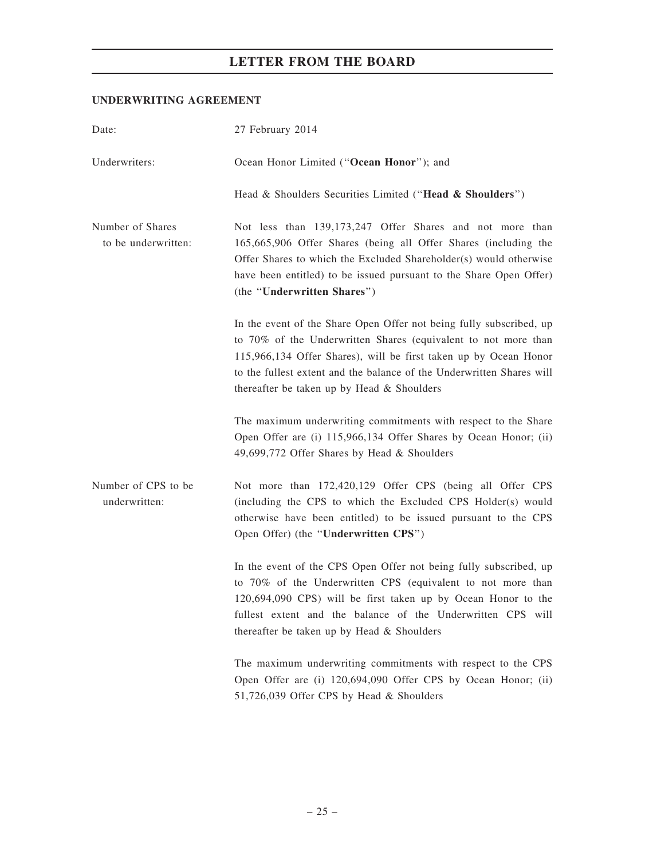## UNDERWRITING AGREEMENT

| Date:                                   | 27 February 2014                                                                                                                                                                                                                                                                                                                 |  |  |  |  |  |
|-----------------------------------------|----------------------------------------------------------------------------------------------------------------------------------------------------------------------------------------------------------------------------------------------------------------------------------------------------------------------------------|--|--|--|--|--|
| Underwriters:                           | Ocean Honor Limited ("Ocean Honor"); and                                                                                                                                                                                                                                                                                         |  |  |  |  |  |
|                                         | Head & Shoulders Securities Limited ("Head & Shoulders")                                                                                                                                                                                                                                                                         |  |  |  |  |  |
| Number of Shares<br>to be underwritten: | Not less than 139,173,247 Offer Shares and not more than<br>165,665,906 Offer Shares (being all Offer Shares (including the<br>Offer Shares to which the Excluded Shareholder(s) would otherwise<br>have been entitled) to be issued pursuant to the Share Open Offer)<br>(the "Underwritten Shares")                            |  |  |  |  |  |
|                                         | In the event of the Share Open Offer not being fully subscribed, up<br>to 70% of the Underwritten Shares (equivalent to not more than<br>115,966,134 Offer Shares), will be first taken up by Ocean Honor<br>to the fullest extent and the balance of the Underwritten Shares will<br>thereafter be taken up by Head & Shoulders |  |  |  |  |  |
|                                         | The maximum underwriting commitments with respect to the Share<br>Open Offer are (i) 115,966,134 Offer Shares by Ocean Honor; (ii)<br>49,699,772 Offer Shares by Head & Shoulders                                                                                                                                                |  |  |  |  |  |
| Number of CPS to be<br>underwritten:    | Not more than 172,420,129 Offer CPS (being all Offer CPS<br>(including the CPS to which the Excluded CPS Holder(s) would<br>otherwise have been entitled) to be issued pursuant to the CPS<br>Open Offer) (the " <b>Underwritten CPS</b> ")                                                                                      |  |  |  |  |  |
|                                         | In the event of the CPS Open Offer not being fully subscribed, up<br>to 70% of the Underwritten CPS (equivalent to not more than<br>120,694,090 CPS) will be first taken up by Ocean Honor to the<br>fullest extent and the balance of the Underwritten CPS will<br>thereafter be taken up by Head & Shoulders                   |  |  |  |  |  |
|                                         | The maximum underwriting commitments with respect to the CPS<br>Open Offer are (i) 120,694,090 Offer CPS by Ocean Honor; (ii)<br>51,726,039 Offer CPS by Head & Shoulders                                                                                                                                                        |  |  |  |  |  |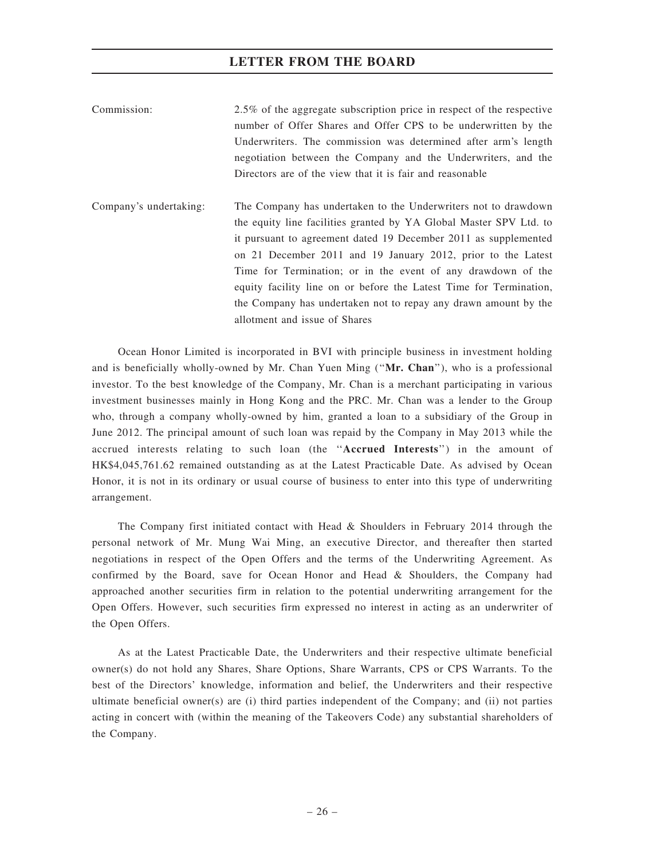| Commission: | 2.5% of the aggregate subscription price in respect of the respective |
|-------------|-----------------------------------------------------------------------|
|             | number of Offer Shares and Offer CPS to be underwritten by the        |
|             | Underwriters. The commission was determined after arm's length        |
|             | negotiation between the Company and the Underwriters, and the         |
|             | Directors are of the view that it is fair and reasonable              |

Company's undertaking: The Company has undertaken to the Underwriters not to drawdown the equity line facilities granted by YA Global Master SPV Ltd. to it pursuant to agreement dated 19 December 2011 as supplemented on 21 December 2011 and 19 January 2012, prior to the Latest Time for Termination; or in the event of any drawdown of the equity facility line on or before the Latest Time for Termination, the Company has undertaken not to repay any drawn amount by the allotment and issue of Shares

Ocean Honor Limited is incorporated in BVI with principle business in investment holding and is beneficially wholly-owned by Mr. Chan Yuen Ming (''Mr. Chan''), who is a professional investor. To the best knowledge of the Company, Mr. Chan is a merchant participating in various investment businesses mainly in Hong Kong and the PRC. Mr. Chan was a lender to the Group who, through a company wholly-owned by him, granted a loan to a subsidiary of the Group in June 2012. The principal amount of such loan was repaid by the Company in May 2013 while the accrued interests relating to such loan (the ''Accrued Interests'') in the amount of HK\$4,045,761.62 remained outstanding as at the Latest Practicable Date. As advised by Ocean Honor, it is not in its ordinary or usual course of business to enter into this type of underwriting arrangement.

The Company first initiated contact with Head & Shoulders in February 2014 through the personal network of Mr. Mung Wai Ming, an executive Director, and thereafter then started negotiations in respect of the Open Offers and the terms of the Underwriting Agreement. As confirmed by the Board, save for Ocean Honor and Head & Shoulders, the Company had approached another securities firm in relation to the potential underwriting arrangement for the Open Offers. However, such securities firm expressed no interest in acting as an underwriter of the Open Offers.

As at the Latest Practicable Date, the Underwriters and their respective ultimate beneficial owner(s) do not hold any Shares, Share Options, Share Warrants, CPS or CPS Warrants. To the best of the Directors' knowledge, information and belief, the Underwriters and their respective ultimate beneficial owner(s) are (i) third parties independent of the Company; and (ii) not parties acting in concert with (within the meaning of the Takeovers Code) any substantial shareholders of the Company.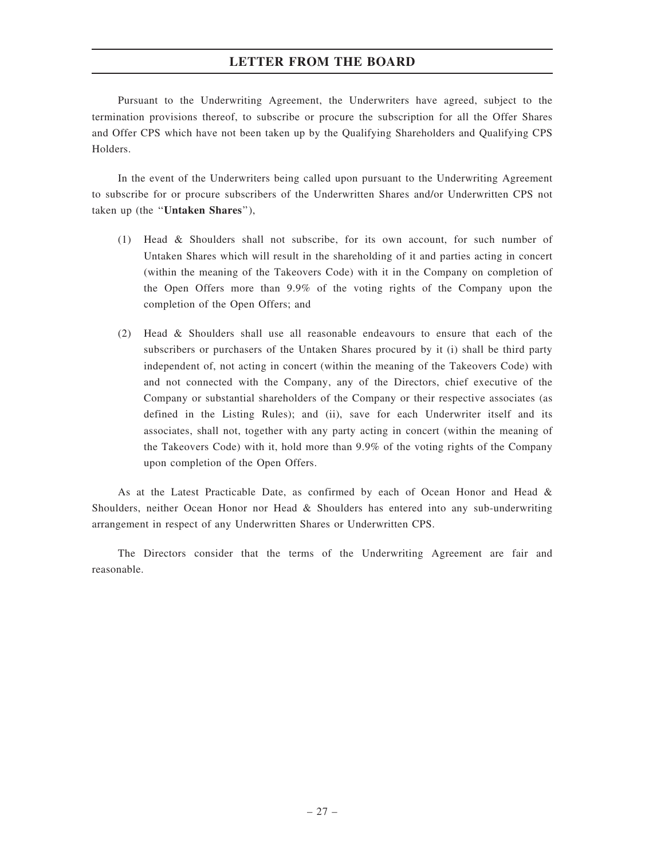Pursuant to the Underwriting Agreement, the Underwriters have agreed, subject to the termination provisions thereof, to subscribe or procure the subscription for all the Offer Shares and Offer CPS which have not been taken up by the Qualifying Shareholders and Qualifying CPS Holders.

In the event of the Underwriters being called upon pursuant to the Underwriting Agreement to subscribe for or procure subscribers of the Underwritten Shares and/or Underwritten CPS not taken up (the ''Untaken Shares''),

- (1) Head & Shoulders shall not subscribe, for its own account, for such number of Untaken Shares which will result in the shareholding of it and parties acting in concert (within the meaning of the Takeovers Code) with it in the Company on completion of the Open Offers more than 9.9% of the voting rights of the Company upon the completion of the Open Offers; and
- (2) Head & Shoulders shall use all reasonable endeavours to ensure that each of the subscribers or purchasers of the Untaken Shares procured by it (i) shall be third party independent of, not acting in concert (within the meaning of the Takeovers Code) with and not connected with the Company, any of the Directors, chief executive of the Company or substantial shareholders of the Company or their respective associates (as defined in the Listing Rules); and (ii), save for each Underwriter itself and its associates, shall not, together with any party acting in concert (within the meaning of the Takeovers Code) with it, hold more than 9.9% of the voting rights of the Company upon completion of the Open Offers.

As at the Latest Practicable Date, as confirmed by each of Ocean Honor and Head & Shoulders, neither Ocean Honor nor Head & Shoulders has entered into any sub-underwriting arrangement in respect of any Underwritten Shares or Underwritten CPS.

The Directors consider that the terms of the Underwriting Agreement are fair and reasonable.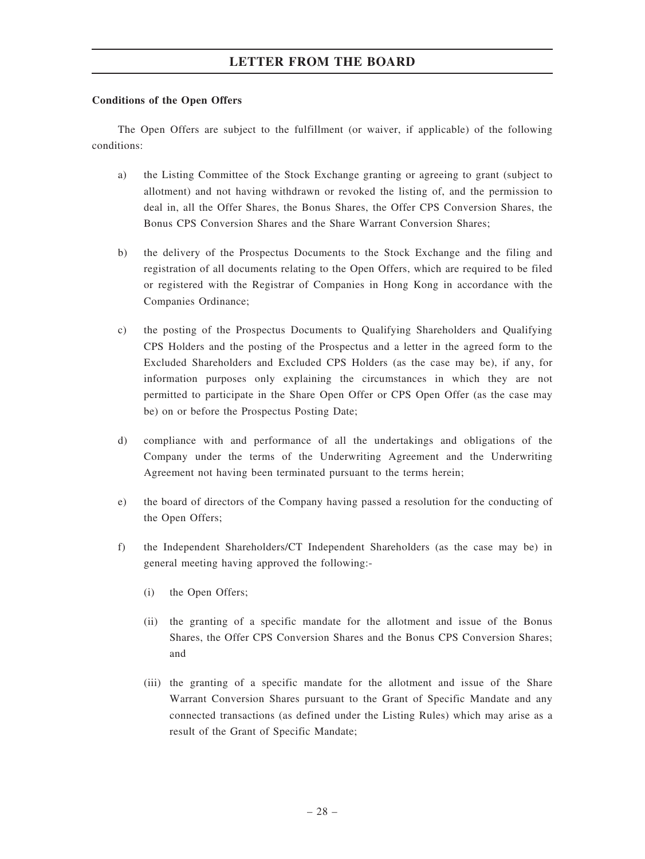#### Conditions of the Open Offers

The Open Offers are subject to the fulfillment (or waiver, if applicable) of the following conditions:

- a) the Listing Committee of the Stock Exchange granting or agreeing to grant (subject to allotment) and not having withdrawn or revoked the listing of, and the permission to deal in, all the Offer Shares, the Bonus Shares, the Offer CPS Conversion Shares, the Bonus CPS Conversion Shares and the Share Warrant Conversion Shares;
- b) the delivery of the Prospectus Documents to the Stock Exchange and the filing and registration of all documents relating to the Open Offers, which are required to be filed or registered with the Registrar of Companies in Hong Kong in accordance with the Companies Ordinance;
- c) the posting of the Prospectus Documents to Qualifying Shareholders and Qualifying CPS Holders and the posting of the Prospectus and a letter in the agreed form to the Excluded Shareholders and Excluded CPS Holders (as the case may be), if any, for information purposes only explaining the circumstances in which they are not permitted to participate in the Share Open Offer or CPS Open Offer (as the case may be) on or before the Prospectus Posting Date;
- d) compliance with and performance of all the undertakings and obligations of the Company under the terms of the Underwriting Agreement and the Underwriting Agreement not having been terminated pursuant to the terms herein;
- e) the board of directors of the Company having passed a resolution for the conducting of the Open Offers;
- f) the Independent Shareholders/CT Independent Shareholders (as the case may be) in general meeting having approved the following:-
	- (i) the Open Offers;
	- (ii) the granting of a specific mandate for the allotment and issue of the Bonus Shares, the Offer CPS Conversion Shares and the Bonus CPS Conversion Shares; and
	- (iii) the granting of a specific mandate for the allotment and issue of the Share Warrant Conversion Shares pursuant to the Grant of Specific Mandate and any connected transactions (as defined under the Listing Rules) which may arise as a result of the Grant of Specific Mandate;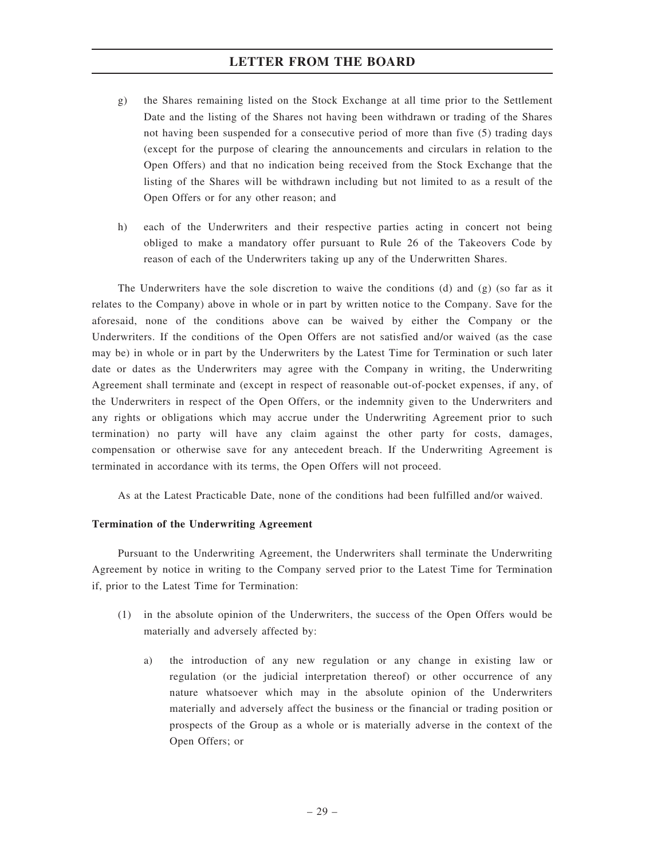- g) the Shares remaining listed on the Stock Exchange at all time prior to the Settlement Date and the listing of the Shares not having been withdrawn or trading of the Shares not having been suspended for a consecutive period of more than five (5) trading days (except for the purpose of clearing the announcements and circulars in relation to the Open Offers) and that no indication being received from the Stock Exchange that the listing of the Shares will be withdrawn including but not limited to as a result of the Open Offers or for any other reason; and
- h) each of the Underwriters and their respective parties acting in concert not being obliged to make a mandatory offer pursuant to Rule 26 of the Takeovers Code by reason of each of the Underwriters taking up any of the Underwritten Shares.

The Underwriters have the sole discretion to waive the conditions (d) and (g) (so far as it relates to the Company) above in whole or in part by written notice to the Company. Save for the aforesaid, none of the conditions above can be waived by either the Company or the Underwriters. If the conditions of the Open Offers are not satisfied and/or waived (as the case may be) in whole or in part by the Underwriters by the Latest Time for Termination or such later date or dates as the Underwriters may agree with the Company in writing, the Underwriting Agreement shall terminate and (except in respect of reasonable out-of-pocket expenses, if any, of the Underwriters in respect of the Open Offers, or the indemnity given to the Underwriters and any rights or obligations which may accrue under the Underwriting Agreement prior to such termination) no party will have any claim against the other party for costs, damages, compensation or otherwise save for any antecedent breach. If the Underwriting Agreement is terminated in accordance with its terms, the Open Offers will not proceed.

As at the Latest Practicable Date, none of the conditions had been fulfilled and/or waived.

#### Termination of the Underwriting Agreement

Pursuant to the Underwriting Agreement, the Underwriters shall terminate the Underwriting Agreement by notice in writing to the Company served prior to the Latest Time for Termination if, prior to the Latest Time for Termination:

- (1) in the absolute opinion of the Underwriters, the success of the Open Offers would be materially and adversely affected by:
	- a) the introduction of any new regulation or any change in existing law or regulation (or the judicial interpretation thereof) or other occurrence of any nature whatsoever which may in the absolute opinion of the Underwriters materially and adversely affect the business or the financial or trading position or prospects of the Group as a whole or is materially adverse in the context of the Open Offers; or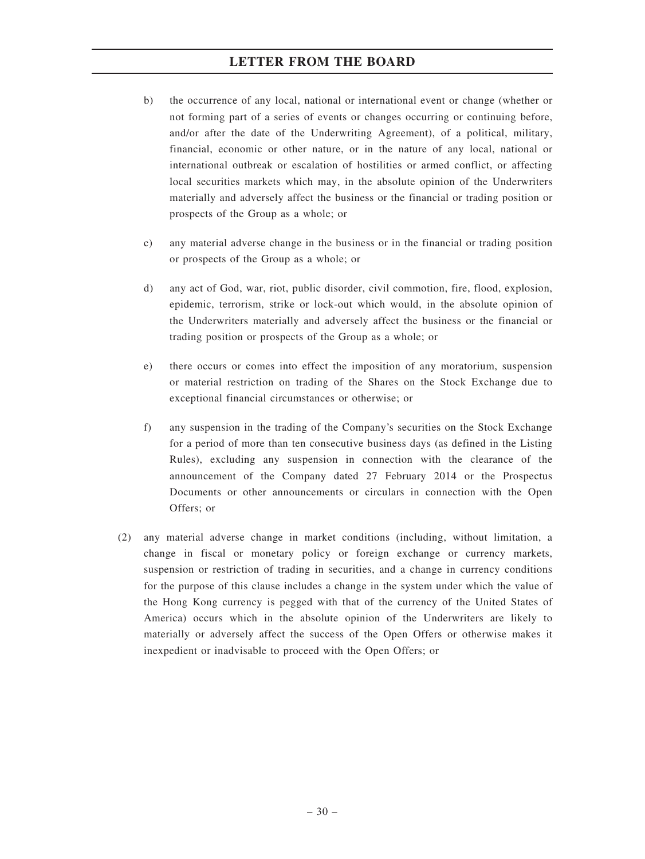- b) the occurrence of any local, national or international event or change (whether or not forming part of a series of events or changes occurring or continuing before, and/or after the date of the Underwriting Agreement), of a political, military, financial, economic or other nature, or in the nature of any local, national or international outbreak or escalation of hostilities or armed conflict, or affecting local securities markets which may, in the absolute opinion of the Underwriters materially and adversely affect the business or the financial or trading position or prospects of the Group as a whole; or
- c) any material adverse change in the business or in the financial or trading position or prospects of the Group as a whole; or
- d) any act of God, war, riot, public disorder, civil commotion, fire, flood, explosion, epidemic, terrorism, strike or lock-out which would, in the absolute opinion of the Underwriters materially and adversely affect the business or the financial or trading position or prospects of the Group as a whole; or
- e) there occurs or comes into effect the imposition of any moratorium, suspension or material restriction on trading of the Shares on the Stock Exchange due to exceptional financial circumstances or otherwise; or
- f) any suspension in the trading of the Company's securities on the Stock Exchange for a period of more than ten consecutive business days (as defined in the Listing Rules), excluding any suspension in connection with the clearance of the announcement of the Company dated 27 February 2014 or the Prospectus Documents or other announcements or circulars in connection with the Open Offers; or
- (2) any material adverse change in market conditions (including, without limitation, a change in fiscal or monetary policy or foreign exchange or currency markets, suspension or restriction of trading in securities, and a change in currency conditions for the purpose of this clause includes a change in the system under which the value of the Hong Kong currency is pegged with that of the currency of the United States of America) occurs which in the absolute opinion of the Underwriters are likely to materially or adversely affect the success of the Open Offers or otherwise makes it inexpedient or inadvisable to proceed with the Open Offers; or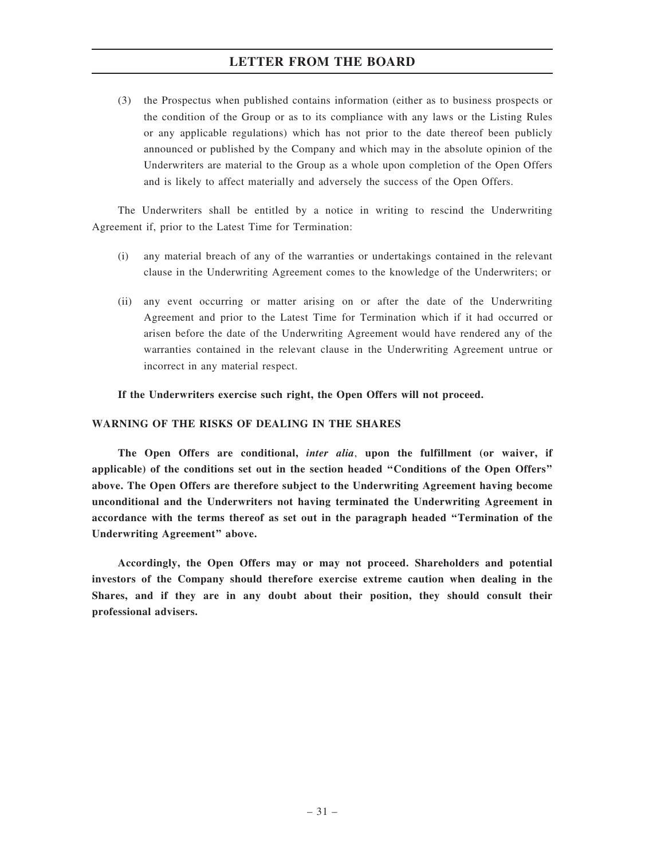(3) the Prospectus when published contains information (either as to business prospects or the condition of the Group or as to its compliance with any laws or the Listing Rules or any applicable regulations) which has not prior to the date thereof been publicly announced or published by the Company and which may in the absolute opinion of the Underwriters are material to the Group as a whole upon completion of the Open Offers and is likely to affect materially and adversely the success of the Open Offers.

The Underwriters shall be entitled by a notice in writing to rescind the Underwriting Agreement if, prior to the Latest Time for Termination:

- (i) any material breach of any of the warranties or undertakings contained in the relevant clause in the Underwriting Agreement comes to the knowledge of the Underwriters; or
- (ii) any event occurring or matter arising on or after the date of the Underwriting Agreement and prior to the Latest Time for Termination which if it had occurred or arisen before the date of the Underwriting Agreement would have rendered any of the warranties contained in the relevant clause in the Underwriting Agreement untrue or incorrect in any material respect.

#### If the Underwriters exercise such right, the Open Offers will not proceed.

#### WARNING OF THE RISKS OF DEALING IN THE SHARES

The Open Offers are conditional, *inter alia*, upon the fulfillment (or waiver, if applicable) of the conditions set out in the section headed ''Conditions of the Open Offers'' above. The Open Offers are therefore subject to the Underwriting Agreement having become unconditional and the Underwriters not having terminated the Underwriting Agreement in accordance with the terms thereof as set out in the paragraph headed ''Termination of the Underwriting Agreement'' above.

Accordingly, the Open Offers may or may not proceed. Shareholders and potential investors of the Company should therefore exercise extreme caution when dealing in the Shares, and if they are in any doubt about their position, they should consult their professional advisers.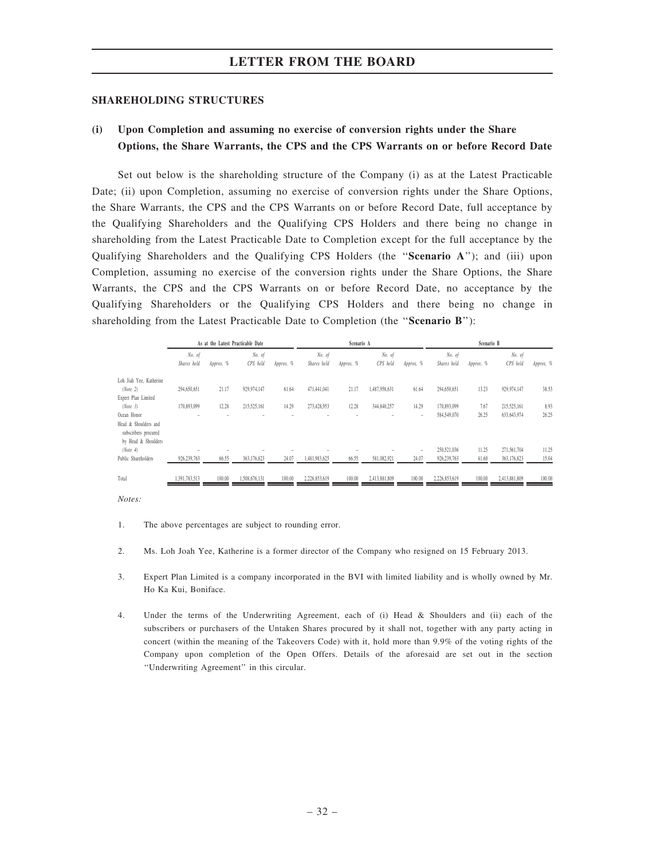#### SHAREHOLDING STRUCTURES

## (i) Upon Completion and assuming no exercise of conversion rights under the Share Options, the Share Warrants, the CPS and the CPS Warrants on or before Record Date

Set out below is the shareholding structure of the Company (i) as at the Latest Practicable Date; (ii) upon Completion, assuming no exercise of conversion rights under the Share Options, the Share Warrants, the CPS and the CPS Warrants on or before Record Date, full acceptance by the Qualifying Shareholders and the Qualifying CPS Holders and there being no change in shareholding from the Latest Practicable Date to Completion except for the full acceptance by the Qualifying Shareholders and the Qualifying CPS Holders (the ''Scenario A''); and (iii) upon Completion, assuming no exercise of the conversion rights under the Share Options, the Share Warrants, the CPS and the CPS Warrants on or before Record Date, no acceptance by the Qualifying Shareholders or the Qualifying CPS Holders and there being no change in shareholding from the Latest Practicable Date to Completion (the "Scenario B"):

|                                                                     | As at the Latest Practicable Date |           |               |           | Scenario A    |           |               |                          | Scenario B    |           |               |           |
|---------------------------------------------------------------------|-----------------------------------|-----------|---------------|-----------|---------------|-----------|---------------|--------------------------|---------------|-----------|---------------|-----------|
|                                                                     | No. of                            |           | No. of        |           | No. of        |           |               | No. of                   |               | No. of    |               |           |
|                                                                     | Shares held                       | Approx. % | CPS held      | Арргох. % | Shares held   | Approx. % | CPS held      | Approx. %                | Shares held   | Approx. % | CPS held      | Approx. % |
| Loh Jiah Yee, Katherine                                             |                                   |           |               |           |               |           |               |                          |               |           |               |           |
| (Note 2)                                                            | 294,650,651                       | 21.17     | 929.974.147   | 61.64     | 471.441.041   | 21.17     | 1,487,958,631 | 61.64                    | 294,650,651   | 13.23     | 929,974,147   | 38.53     |
| Expert Plan Limited                                                 |                                   |           |               |           |               |           |               |                          |               |           |               |           |
| (Note 3)                                                            | 170,893,099                       | 12.28     | 215,525,161   | 14.29     | 273,428,953   | 12.28     | 344,840,257   | 14.29                    | 170,893,099   | 7.67      | 215,525,161   | 8.93      |
| Ocean Honor                                                         |                                   |           |               |           |               |           |               | $\overline{\phantom{m}}$ | 584,549,070   | 26.25     | 633, 643, 974 | 26.25     |
| Head & Shoulders and<br>subscribers procured<br>by Head & Shoulders |                                   |           |               |           |               |           |               |                          |               |           |               |           |
| (Note 4)                                                            |                                   |           |               |           |               |           |               |                          | 250,521,036   | 11.25     | 271,561,704   | 11.25     |
| Public Shareholders                                                 | 926,239,763                       | 66.55     | 363,176,823   | 24.07     | 1,481,983,625 | 66.55     | 581,082,921   | 24.07                    | 926,239,763   | 41.60     | 363,176,823   | 15.04     |
| Total                                                               | 1.391.783.513                     | 100.00    | 1,508,676,131 | 100.00    | 2.226.853.619 | 100.00    | 2,413,881,809 | 100.00                   | 2,226,853,619 | 100.00    | 2,413,881,809 | 100.00    |

- 1. The above percentages are subject to rounding error.
- 2. Ms. Loh Joah Yee, Katherine is a former director of the Company who resigned on 15 February 2013.
- 3. Expert Plan Limited is a company incorporated in the BVI with limited liability and is wholly owned by Mr. Ho Ka Kui, Boniface.
- 4. Under the terms of the Underwriting Agreement, each of (i) Head & Shoulders and (ii) each of the subscribers or purchasers of the Untaken Shares procured by it shall not, together with any party acting in concert (within the meaning of the Takeovers Code) with it, hold more than 9.9% of the voting rights of the Company upon completion of the Open Offers. Details of the aforesaid are set out in the section ''Underwriting Agreement'' in this circular.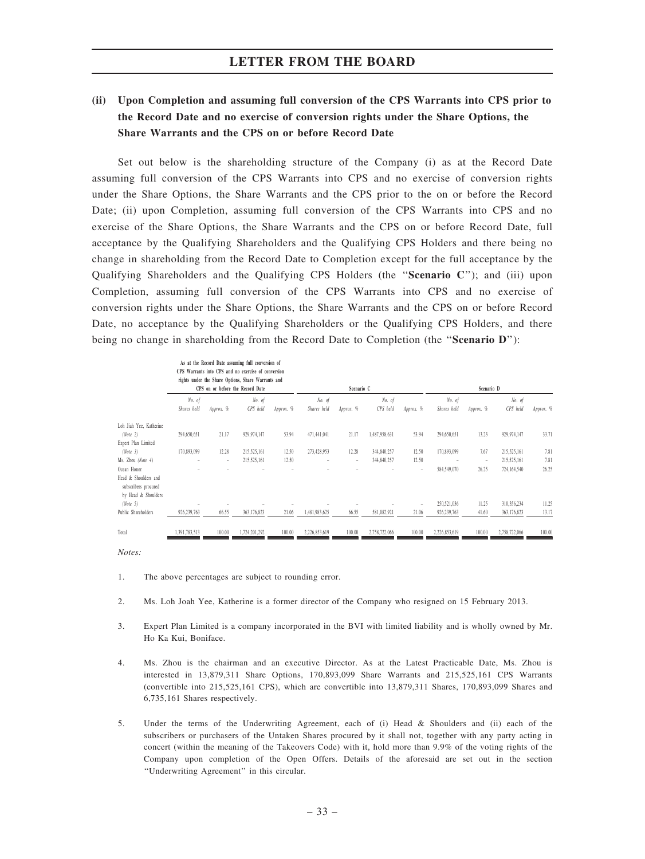## (ii) Upon Completion and assuming full conversion of the CPS Warrants into CPS prior to the Record Date and no exercise of conversion rights under the Share Options, the Share Warrants and the CPS on or before Record Date

Set out below is the shareholding structure of the Company (i) as at the Record Date assuming full conversion of the CPS Warrants into CPS and no exercise of conversion rights under the Share Options, the Share Warrants and the CPS prior to the on or before the Record Date; (ii) upon Completion, assuming full conversion of the CPS Warrants into CPS and no exercise of the Share Options, the Share Warrants and the CPS on or before Record Date, full acceptance by the Qualifying Shareholders and the Qualifying CPS Holders and there being no change in shareholding from the Record Date to Completion except for the full acceptance by the Qualifying Shareholders and the Qualifying CPS Holders (the "Scenario C"); and (iii) upon Completion, assuming full conversion of the CPS Warrants into CPS and no exercise of conversion rights under the Share Options, the Share Warrants and the CPS on or before Record Date, no acceptance by the Qualifying Shareholders or the Qualifying CPS Holders, and there being no change in shareholding from the Record Date to Completion (the "Scenario D"):

|                                                                     |               |                          | As at the Record Date assuming full conversion of<br>CPS Warrants into CPS and no exercise of conversion<br>rights under the Share Options, Share Warrants and |           |               |            |               |           |               |           |               |           |
|---------------------------------------------------------------------|---------------|--------------------------|----------------------------------------------------------------------------------------------------------------------------------------------------------------|-----------|---------------|------------|---------------|-----------|---------------|-----------|---------------|-----------|
|                                                                     |               |                          | CPS on or before the Record Date                                                                                                                               |           |               | Scenario C |               |           | Scenario D    |           |               |           |
|                                                                     | No. of        |                          | No. of                                                                                                                                                         |           | No. of        |            | No. of        |           | No. of        |           | No. of        |           |
|                                                                     | Shares held   | Approx. %                | CPS held                                                                                                                                                       | Approx. % | Shares held   | Approx. %  | CPS held      | Арргох. % | Shares held   | Approx. % | CPS held      | Approx. % |
| Loh Jiah Yee, Katherine                                             |               |                          |                                                                                                                                                                |           |               |            |               |           |               |           |               |           |
| (Note 2)                                                            | 294,650,651   | 21.17                    | 929,974,147                                                                                                                                                    | 53.94     | 471,441,041   | 21.17      | 1,487,958,631 | 53.94     | 294,650,651   | 13.23     | 929,974,147   | 33.71     |
| Expert Plan Limited                                                 |               |                          |                                                                                                                                                                |           |               |            |               |           |               |           |               |           |
| (Note 3)                                                            | 170,893,099   | 12.28                    | 215,525,161                                                                                                                                                    | 12.50     | 273,428,953   | 12.28      | 344,840,257   | 12.50     | 170,893,099   | 7.67      | 215,525,161   | 7.81      |
| Ms. Zhou (Note 4)                                                   |               | $\overline{\phantom{a}}$ | 215,525,161                                                                                                                                                    | 12.50     |               | ٠          | 344,840,257   | 12.50     |               | ٠         | 215,525,161   | 7.81      |
| Ocean Honor                                                         |               |                          |                                                                                                                                                                |           |               |            |               | ٠         | 584,549,070   | 26.25     | 724,164,540   | 26.25     |
| Head & Shoulders and<br>subscribers procured<br>by Head & Shoulders |               |                          |                                                                                                                                                                |           |               |            |               |           |               |           |               |           |
| (Note 5)                                                            |               |                          |                                                                                                                                                                |           |               |            |               | ٠         | 250,521,036   | 11.25     | 310,356,234   | 11.25     |
| Public Shareholders                                                 | 926,239,763   | 66.55                    | 363,176,823                                                                                                                                                    | 21.06     | 1,481,983,625 | 66.55      | 581,082,921   | 21.06     | 926,239,763   | 41.60     | 363,176,823   | 13.17     |
| Total                                                               | 1,391,783,513 | 100.00                   | 1,724,201,292                                                                                                                                                  | 100.00    | 2,226,853,619 | 100.00     | 2,758,722,066 | 100.00    | 2,226,853,619 | 100.00    | 2,758,722,066 | 100.00    |

- 1. The above percentages are subject to rounding error.
- 2. Ms. Loh Joah Yee, Katherine is a former director of the Company who resigned on 15 February 2013.
- 3. Expert Plan Limited is a company incorporated in the BVI with limited liability and is wholly owned by Mr. Ho Ka Kui, Boniface.
- 4. Ms. Zhou is the chairman and an executive Director. As at the Latest Practicable Date, Ms. Zhou is interested in 13,879,311 Share Options, 170,893,099 Share Warrants and 215,525,161 CPS Warrants (convertible into 215,525,161 CPS), which are convertible into 13,879,311 Shares, 170,893,099 Shares and 6,735,161 Shares respectively.
- 5. Under the terms of the Underwriting Agreement, each of (i) Head & Shoulders and (ii) each of the subscribers or purchasers of the Untaken Shares procured by it shall not, together with any party acting in concert (within the meaning of the Takeovers Code) with it, hold more than 9.9% of the voting rights of the Company upon completion of the Open Offers. Details of the aforesaid are set out in the section ''Underwriting Agreement'' in this circular.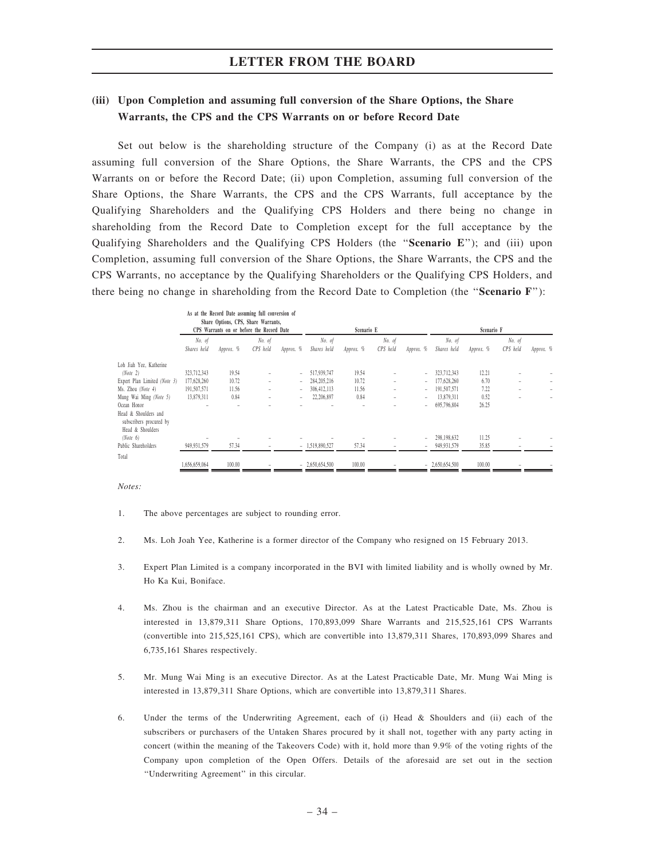## (iii) Upon Completion and assuming full conversion of the Share Options, the Share Warrants, the CPS and the CPS Warrants on or before Record Date

Set out below is the shareholding structure of the Company (i) as at the Record Date assuming full conversion of the Share Options, the Share Warrants, the CPS and the CPS Warrants on or before the Record Date; (ii) upon Completion, assuming full conversion of the Share Options, the Share Warrants, the CPS and the CPS Warrants, full acceptance by the Qualifying Shareholders and the Qualifying CPS Holders and there being no change in shareholding from the Record Date to Completion except for the full acceptance by the Qualifying Shareholders and the Qualifying CPS Holders (the "Scenario E"); and (iii) upon Completion, assuming full conversion of the Share Options, the Share Warrants, the CPS and the CPS Warrants, no acceptance by the Qualifying Shareholders or the Qualifying CPS Holders, and there being no change in shareholding from the Record Date to Completion (the "Scenario F"):

|                              |                                           | As at the Record Date assuming full conversion of<br>Share Options, CPS, Share Warrants, |          |                          |                  |            |                          |                          |                  |           |          |           |
|------------------------------|-------------------------------------------|------------------------------------------------------------------------------------------|----------|--------------------------|------------------|------------|--------------------------|--------------------------|------------------|-----------|----------|-----------|
|                              | CPS Warrants on or before the Record Date |                                                                                          |          |                          |                  | Scenario E |                          |                          | Scenario F       |           |          |           |
|                              | No. of                                    | No. of                                                                                   |          | No. of                   | No. of           |            |                          | No. of                   |                  | No. of    |          |           |
|                              | Shares held                               | Approx. %                                                                                | CPS held | Approx. %                | Shares held      | Approx. %  | CPS held                 | Approx. %                | Shares held      | Approx. % | CPS held | Approx. % |
| Loh Jiah Yee, Katherine      |                                           |                                                                                          |          |                          |                  |            |                          |                          |                  |           |          |           |
| (Note 2)                     | 323,712,343                               | 19.54                                                                                    | $\sim$   | $\overline{\phantom{a}}$ | 517,939,747      | 19.54      |                          | $\overline{\phantom{0}}$ | 323,712,343      | 12.21     |          |           |
| Expert Plan Limited (Note 3) | 177,628,260                               | 10.72                                                                                    | $\sim$   | $\overline{\phantom{a}}$ | 284, 205, 216    | 10.72      | $\overline{\phantom{a}}$ | $\overline{\phantom{a}}$ | 177,628,260      | 6.70      |          |           |
| Ms. Zhou (Note 4)            | 191,507,571                               | 11.56                                                                                    | $\sim$   | $\overline{a}$           | 306.412.113      | 11.56      | $\overline{\phantom{a}}$ | $\overline{\phantom{a}}$ | 191,507,571      | 7.22      |          |           |
| Mung Wai Ming (Note 5)       | 13,879,311                                | 0.84                                                                                     | $\sim$   | $\sim$                   | 22,206,897       | 0.84       | $\overline{\phantom{a}}$ | $\overline{\phantom{a}}$ | 13,879,311       | 0.52      |          |           |
| Ocean Honor                  |                                           |                                                                                          |          |                          |                  |            |                          | $\overline{\phantom{a}}$ | 695,796,804      | 26.25     |          |           |
| Head & Shoulders and         |                                           |                                                                                          |          |                          |                  |            |                          |                          |                  |           |          |           |
| subscribers procured by      |                                           |                                                                                          |          |                          |                  |            |                          |                          |                  |           |          |           |
| Head & Shoulders             |                                           |                                                                                          |          |                          |                  |            |                          |                          |                  |           |          |           |
| (Note 6)                     |                                           |                                                                                          |          |                          |                  |            |                          | $\overline{\phantom{a}}$ | 298,198,632      | 11.25     |          |           |
| Public Shareholders          | 949,931,579                               | 57.34                                                                                    |          |                          | $-1,519,890,527$ | 57.34      |                          | $\overline{\phantom{a}}$ | 949,931,579      | 35.85     |          |           |
| Total                        |                                           |                                                                                          |          |                          |                  |            |                          |                          |                  |           |          |           |
|                              | 1,656,659,064                             | 100.00                                                                                   |          |                          | $-2,650,654,500$ | 100.00     |                          |                          | $-2,650,654,500$ | 100.00    |          |           |

- 1. The above percentages are subject to rounding error.
- 2. Ms. Loh Joah Yee, Katherine is a former director of the Company who resigned on 15 February 2013.
- 3. Expert Plan Limited is a company incorporated in the BVI with limited liability and is wholly owned by Mr. Ho Ka Kui, Boniface.
- 4. Ms. Zhou is the chairman and an executive Director. As at the Latest Practicable Date, Ms. Zhou is interested in 13,879,311 Share Options, 170,893,099 Share Warrants and 215,525,161 CPS Warrants (convertible into 215,525,161 CPS), which are convertible into 13,879,311 Shares, 170,893,099 Shares and 6,735,161 Shares respectively.
- 5. Mr. Mung Wai Ming is an executive Director. As at the Latest Practicable Date, Mr. Mung Wai Ming is interested in 13,879,311 Share Options, which are convertible into 13,879,311 Shares.
- 6. Under the terms of the Underwriting Agreement, each of (i) Head & Shoulders and (ii) each of the subscribers or purchasers of the Untaken Shares procured by it shall not, together with any party acting in concert (within the meaning of the Takeovers Code) with it, hold more than 9.9% of the voting rights of the Company upon completion of the Open Offers. Details of the aforesaid are set out in the section ''Underwriting Agreement'' in this circular.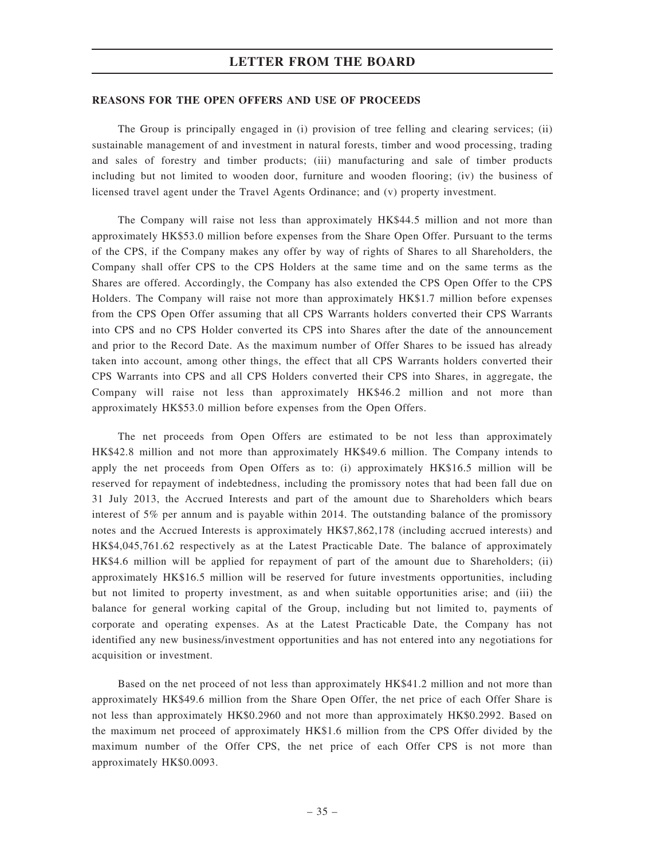#### REASONS FOR THE OPEN OFFERS AND USE OF PROCEEDS

The Group is principally engaged in (i) provision of tree felling and clearing services; (ii) sustainable management of and investment in natural forests, timber and wood processing, trading and sales of forestry and timber products; (iii) manufacturing and sale of timber products including but not limited to wooden door, furniture and wooden flooring; (iv) the business of licensed travel agent under the Travel Agents Ordinance; and (v) property investment.

The Company will raise not less than approximately HK\$44.5 million and not more than approximately HK\$53.0 million before expenses from the Share Open Offer. Pursuant to the terms of the CPS, if the Company makes any offer by way of rights of Shares to all Shareholders, the Company shall offer CPS to the CPS Holders at the same time and on the same terms as the Shares are offered. Accordingly, the Company has also extended the CPS Open Offer to the CPS Holders. The Company will raise not more than approximately HK\$1.7 million before expenses from the CPS Open Offer assuming that all CPS Warrants holders converted their CPS Warrants into CPS and no CPS Holder converted its CPS into Shares after the date of the announcement and prior to the Record Date. As the maximum number of Offer Shares to be issued has already taken into account, among other things, the effect that all CPS Warrants holders converted their CPS Warrants into CPS and all CPS Holders converted their CPS into Shares, in aggregate, the Company will raise not less than approximately HK\$46.2 million and not more than approximately HK\$53.0 million before expenses from the Open Offers.

The net proceeds from Open Offers are estimated to be not less than approximately HK\$42.8 million and not more than approximately HK\$49.6 million. The Company intends to apply the net proceeds from Open Offers as to: (i) approximately HK\$16.5 million will be reserved for repayment of indebtedness, including the promissory notes that had been fall due on 31 July 2013, the Accrued Interests and part of the amount due to Shareholders which bears interest of 5% per annum and is payable within 2014. The outstanding balance of the promissory notes and the Accrued Interests is approximately HK\$7,862,178 (including accrued interests) and HK\$4,045,761.62 respectively as at the Latest Practicable Date. The balance of approximately HK\$4.6 million will be applied for repayment of part of the amount due to Shareholders; (ii) approximately HK\$16.5 million will be reserved for future investments opportunities, including but not limited to property investment, as and when suitable opportunities arise; and (iii) the balance for general working capital of the Group, including but not limited to, payments of corporate and operating expenses. As at the Latest Practicable Date, the Company has not identified any new business/investment opportunities and has not entered into any negotiations for acquisition or investment.

Based on the net proceed of not less than approximately HK\$41.2 million and not more than approximately HK\$49.6 million from the Share Open Offer, the net price of each Offer Share is not less than approximately HK\$0.2960 and not more than approximately HK\$0.2992. Based on the maximum net proceed of approximately HK\$1.6 million from the CPS Offer divided by the maximum number of the Offer CPS, the net price of each Offer CPS is not more than approximately HK\$0.0093.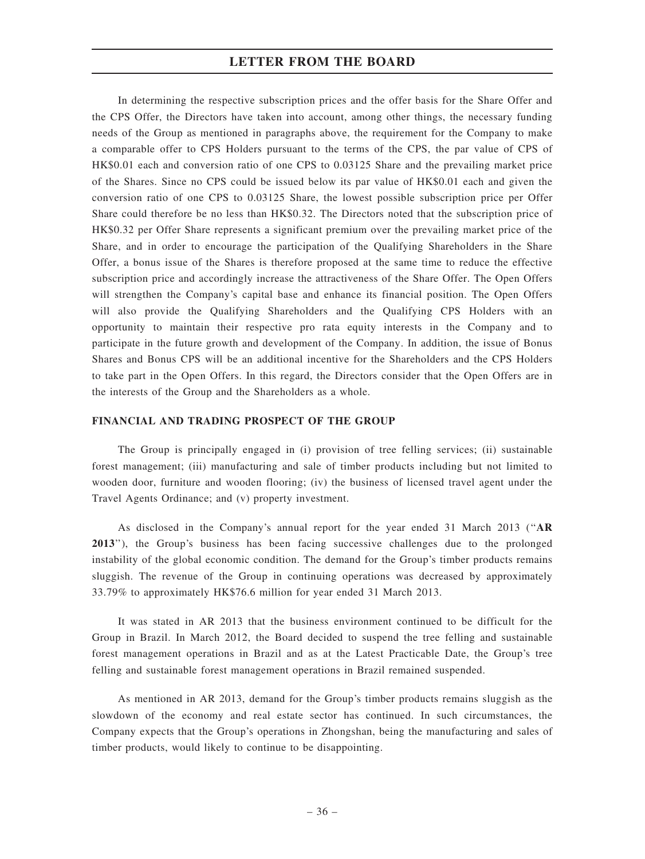In determining the respective subscription prices and the offer basis for the Share Offer and the CPS Offer, the Directors have taken into account, among other things, the necessary funding needs of the Group as mentioned in paragraphs above, the requirement for the Company to make a comparable offer to CPS Holders pursuant to the terms of the CPS, the par value of CPS of HK\$0.01 each and conversion ratio of one CPS to 0.03125 Share and the prevailing market price of the Shares. Since no CPS could be issued below its par value of HK\$0.01 each and given the conversion ratio of one CPS to 0.03125 Share, the lowest possible subscription price per Offer Share could therefore be no less than HK\$0.32. The Directors noted that the subscription price of HK\$0.32 per Offer Share represents a significant premium over the prevailing market price of the Share, and in order to encourage the participation of the Qualifying Shareholders in the Share Offer, a bonus issue of the Shares is therefore proposed at the same time to reduce the effective subscription price and accordingly increase the attractiveness of the Share Offer. The Open Offers will strengthen the Company's capital base and enhance its financial position. The Open Offers will also provide the Qualifying Shareholders and the Qualifying CPS Holders with an opportunity to maintain their respective pro rata equity interests in the Company and to participate in the future growth and development of the Company. In addition, the issue of Bonus Shares and Bonus CPS will be an additional incentive for the Shareholders and the CPS Holders to take part in the Open Offers. In this regard, the Directors consider that the Open Offers are in the interests of the Group and the Shareholders as a whole.

#### FINANCIAL AND TRADING PROSPECT OF THE GROUP

The Group is principally engaged in (i) provision of tree felling services; (ii) sustainable forest management; (iii) manufacturing and sale of timber products including but not limited to wooden door, furniture and wooden flooring; (iv) the business of licensed travel agent under the Travel Agents Ordinance; and (v) property investment.

As disclosed in the Company's annual report for the year ended 31 March 2013 (''AR 2013''), the Group's business has been facing successive challenges due to the prolonged instability of the global economic condition. The demand for the Group's timber products remains sluggish. The revenue of the Group in continuing operations was decreased by approximately 33.79% to approximately HK\$76.6 million for year ended 31 March 2013.

It was stated in AR 2013 that the business environment continued to be difficult for the Group in Brazil. In March 2012, the Board decided to suspend the tree felling and sustainable forest management operations in Brazil and as at the Latest Practicable Date, the Group's tree felling and sustainable forest management operations in Brazil remained suspended.

As mentioned in AR 2013, demand for the Group's timber products remains sluggish as the slowdown of the economy and real estate sector has continued. In such circumstances, the Company expects that the Group's operations in Zhongshan, being the manufacturing and sales of timber products, would likely to continue to be disappointing.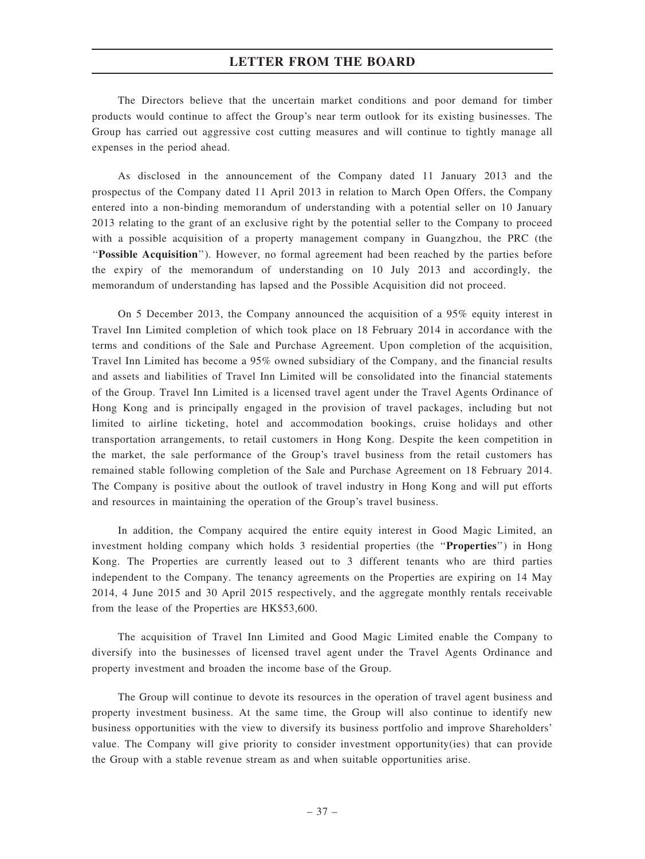The Directors believe that the uncertain market conditions and poor demand for timber products would continue to affect the Group's near term outlook for its existing businesses. The Group has carried out aggressive cost cutting measures and will continue to tightly manage all expenses in the period ahead.

As disclosed in the announcement of the Company dated 11 January 2013 and the prospectus of the Company dated 11 April 2013 in relation to March Open Offers, the Company entered into a non-binding memorandum of understanding with a potential seller on 10 January 2013 relating to the grant of an exclusive right by the potential seller to the Company to proceed with a possible acquisition of a property management company in Guangzhou, the PRC (the ''Possible Acquisition''). However, no formal agreement had been reached by the parties before the expiry of the memorandum of understanding on 10 July 2013 and accordingly, the memorandum of understanding has lapsed and the Possible Acquisition did not proceed.

On 5 December 2013, the Company announced the acquisition of a 95% equity interest in Travel Inn Limited completion of which took place on 18 February 2014 in accordance with the terms and conditions of the Sale and Purchase Agreement. Upon completion of the acquisition, Travel Inn Limited has become a 95% owned subsidiary of the Company, and the financial results and assets and liabilities of Travel Inn Limited will be consolidated into the financial statements of the Group. Travel Inn Limited is a licensed travel agent under the Travel Agents Ordinance of Hong Kong and is principally engaged in the provision of travel packages, including but not limited to airline ticketing, hotel and accommodation bookings, cruise holidays and other transportation arrangements, to retail customers in Hong Kong. Despite the keen competition in the market, the sale performance of the Group's travel business from the retail customers has remained stable following completion of the Sale and Purchase Agreement on 18 February 2014. The Company is positive about the outlook of travel industry in Hong Kong and will put efforts and resources in maintaining the operation of the Group's travel business.

In addition, the Company acquired the entire equity interest in Good Magic Limited, an investment holding company which holds 3 residential properties (the "Properties") in Hong Kong. The Properties are currently leased out to 3 different tenants who are third parties independent to the Company. The tenancy agreements on the Properties are expiring on 14 May 2014, 4 June 2015 and 30 April 2015 respectively, and the aggregate monthly rentals receivable from the lease of the Properties are HK\$53,600.

The acquisition of Travel Inn Limited and Good Magic Limited enable the Company to diversify into the businesses of licensed travel agent under the Travel Agents Ordinance and property investment and broaden the income base of the Group.

The Group will continue to devote its resources in the operation of travel agent business and property investment business. At the same time, the Group will also continue to identify new business opportunities with the view to diversify its business portfolio and improve Shareholders' value. The Company will give priority to consider investment opportunity(ies) that can provide the Group with a stable revenue stream as and when suitable opportunities arise.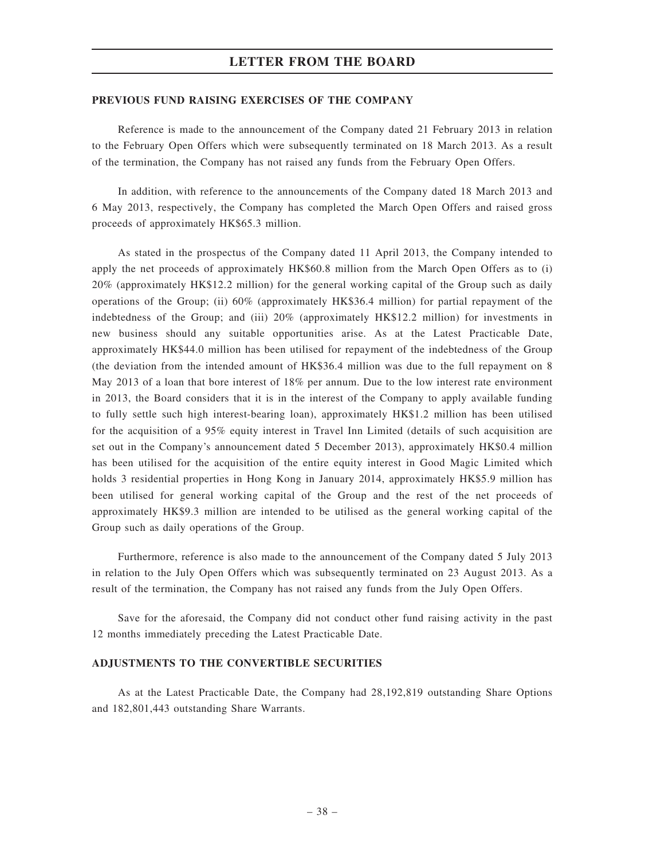#### PREVIOUS FUND RAISING EXERCISES OF THE COMPANY

Reference is made to the announcement of the Company dated 21 February 2013 in relation to the February Open Offers which were subsequently terminated on 18 March 2013. As a result of the termination, the Company has not raised any funds from the February Open Offers.

In addition, with reference to the announcements of the Company dated 18 March 2013 and 6 May 2013, respectively, the Company has completed the March Open Offers and raised gross proceeds of approximately HK\$65.3 million.

As stated in the prospectus of the Company dated 11 April 2013, the Company intended to apply the net proceeds of approximately HK\$60.8 million from the March Open Offers as to (i) 20% (approximately HK\$12.2 million) for the general working capital of the Group such as daily operations of the Group; (ii) 60% (approximately HK\$36.4 million) for partial repayment of the indebtedness of the Group; and (iii) 20% (approximately HK\$12.2 million) for investments in new business should any suitable opportunities arise. As at the Latest Practicable Date, approximately HK\$44.0 million has been utilised for repayment of the indebtedness of the Group (the deviation from the intended amount of HK\$36.4 million was due to the full repayment on 8 May 2013 of a loan that bore interest of 18% per annum. Due to the low interest rate environment in 2013, the Board considers that it is in the interest of the Company to apply available funding to fully settle such high interest-bearing loan), approximately HK\$1.2 million has been utilised for the acquisition of a 95% equity interest in Travel Inn Limited (details of such acquisition are set out in the Company's announcement dated 5 December 2013), approximately HK\$0.4 million has been utilised for the acquisition of the entire equity interest in Good Magic Limited which holds 3 residential properties in Hong Kong in January 2014, approximately HK\$5.9 million has been utilised for general working capital of the Group and the rest of the net proceeds of approximately HK\$9.3 million are intended to be utilised as the general working capital of the Group such as daily operations of the Group.

Furthermore, reference is also made to the announcement of the Company dated 5 July 2013 in relation to the July Open Offers which was subsequently terminated on 23 August 2013. As a result of the termination, the Company has not raised any funds from the July Open Offers.

Save for the aforesaid, the Company did not conduct other fund raising activity in the past 12 months immediately preceding the Latest Practicable Date.

#### ADJUSTMENTS TO THE CONVERTIBLE SECURITIES

As at the Latest Practicable Date, the Company had 28,192,819 outstanding Share Options and 182,801,443 outstanding Share Warrants.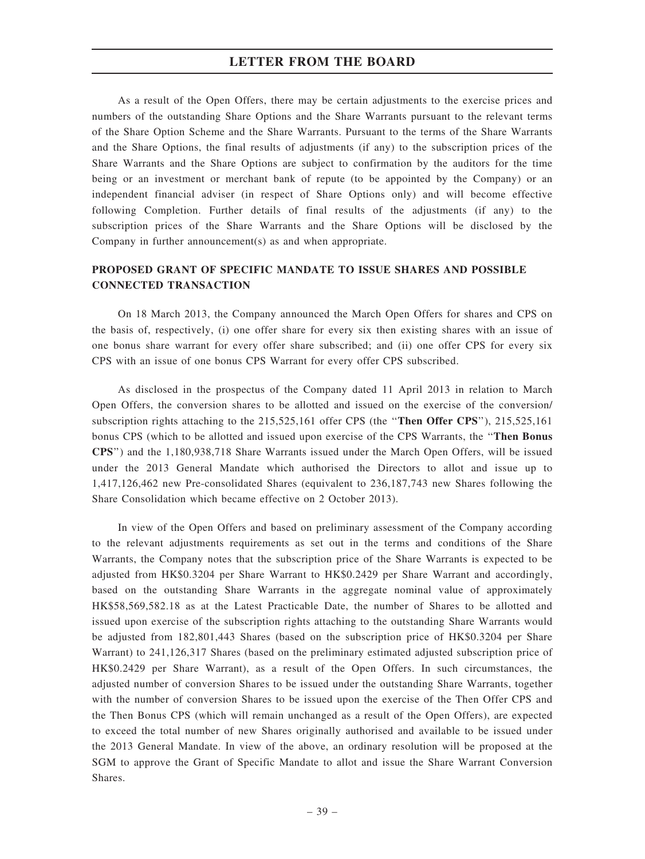As a result of the Open Offers, there may be certain adjustments to the exercise prices and numbers of the outstanding Share Options and the Share Warrants pursuant to the relevant terms of the Share Option Scheme and the Share Warrants. Pursuant to the terms of the Share Warrants and the Share Options, the final results of adjustments (if any) to the subscription prices of the Share Warrants and the Share Options are subject to confirmation by the auditors for the time being or an investment or merchant bank of repute (to be appointed by the Company) or an independent financial adviser (in respect of Share Options only) and will become effective following Completion. Further details of final results of the adjustments (if any) to the subscription prices of the Share Warrants and the Share Options will be disclosed by the Company in further announcement(s) as and when appropriate.

# PROPOSED GRANT OF SPECIFIC MANDATE TO ISSUE SHARES AND POSSIBLE CONNECTED TRANSACTION

On 18 March 2013, the Company announced the March Open Offers for shares and CPS on the basis of, respectively, (i) one offer share for every six then existing shares with an issue of one bonus share warrant for every offer share subscribed; and (ii) one offer CPS for every six CPS with an issue of one bonus CPS Warrant for every offer CPS subscribed.

As disclosed in the prospectus of the Company dated 11 April 2013 in relation to March Open Offers, the conversion shares to be allotted and issued on the exercise of the conversion/ subscription rights attaching to the 215,525,161 offer CPS (the "Then Offer CPS"), 215,525,161 bonus CPS (which to be allotted and issued upon exercise of the CPS Warrants, the ''Then Bonus CPS'') and the 1,180,938,718 Share Warrants issued under the March Open Offers, will be issued under the 2013 General Mandate which authorised the Directors to allot and issue up to 1,417,126,462 new Pre-consolidated Shares (equivalent to 236,187,743 new Shares following the Share Consolidation which became effective on 2 October 2013).

In view of the Open Offers and based on preliminary assessment of the Company according to the relevant adjustments requirements as set out in the terms and conditions of the Share Warrants, the Company notes that the subscription price of the Share Warrants is expected to be adjusted from HK\$0.3204 per Share Warrant to HK\$0.2429 per Share Warrant and accordingly, based on the outstanding Share Warrants in the aggregate nominal value of approximately HK\$58,569,582.18 as at the Latest Practicable Date, the number of Shares to be allotted and issued upon exercise of the subscription rights attaching to the outstanding Share Warrants would be adjusted from 182,801,443 Shares (based on the subscription price of HK\$0.3204 per Share Warrant) to 241,126,317 Shares (based on the preliminary estimated adjusted subscription price of HK\$0.2429 per Share Warrant), as a result of the Open Offers. In such circumstances, the adjusted number of conversion Shares to be issued under the outstanding Share Warrants, together with the number of conversion Shares to be issued upon the exercise of the Then Offer CPS and the Then Bonus CPS (which will remain unchanged as a result of the Open Offers), are expected to exceed the total number of new Shares originally authorised and available to be issued under the 2013 General Mandate. In view of the above, an ordinary resolution will be proposed at the SGM to approve the Grant of Specific Mandate to allot and issue the Share Warrant Conversion Shares.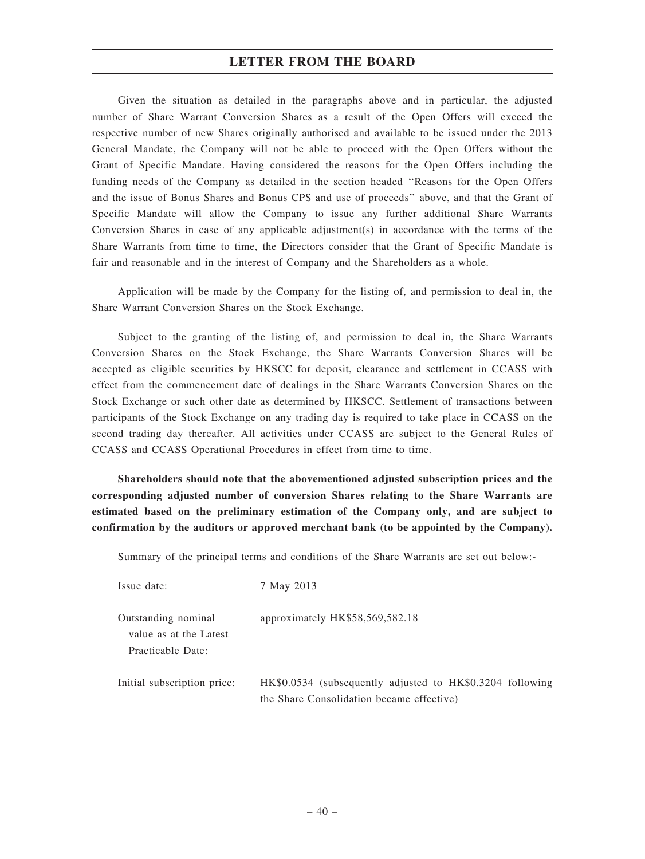Given the situation as detailed in the paragraphs above and in particular, the adjusted number of Share Warrant Conversion Shares as a result of the Open Offers will exceed the respective number of new Shares originally authorised and available to be issued under the 2013 General Mandate, the Company will not be able to proceed with the Open Offers without the Grant of Specific Mandate. Having considered the reasons for the Open Offers including the funding needs of the Company as detailed in the section headed ''Reasons for the Open Offers and the issue of Bonus Shares and Bonus CPS and use of proceeds'' above, and that the Grant of Specific Mandate will allow the Company to issue any further additional Share Warrants Conversion Shares in case of any applicable adjustment(s) in accordance with the terms of the Share Warrants from time to time, the Directors consider that the Grant of Specific Mandate is fair and reasonable and in the interest of Company and the Shareholders as a whole.

Application will be made by the Company for the listing of, and permission to deal in, the Share Warrant Conversion Shares on the Stock Exchange.

Subject to the granting of the listing of, and permission to deal in, the Share Warrants Conversion Shares on the Stock Exchange, the Share Warrants Conversion Shares will be accepted as eligible securities by HKSCC for deposit, clearance and settlement in CCASS with effect from the commencement date of dealings in the Share Warrants Conversion Shares on the Stock Exchange or such other date as determined by HKSCC. Settlement of transactions between participants of the Stock Exchange on any trading day is required to take place in CCASS on the second trading day thereafter. All activities under CCASS are subject to the General Rules of CCASS and CCASS Operational Procedures in effect from time to time.

Shareholders should note that the abovementioned adjusted subscription prices and the corresponding adjusted number of conversion Shares relating to the Share Warrants are estimated based on the preliminary estimation of the Company only, and are subject to confirmation by the auditors or approved merchant bank (to be appointed by the Company).

Summary of the principal terms and conditions of the Share Warrants are set out below:-

| Issue date:                                                        | 7 May 2013                                                                                             |
|--------------------------------------------------------------------|--------------------------------------------------------------------------------------------------------|
| Outstanding nominal<br>value as at the Latest<br>Practicable Date: | approximately HK\$58,569,582.18                                                                        |
| Initial subscription price:                                        | HK\$0.0534 (subsequently adjusted to HK\$0.3204 following<br>the Share Consolidation became effective) |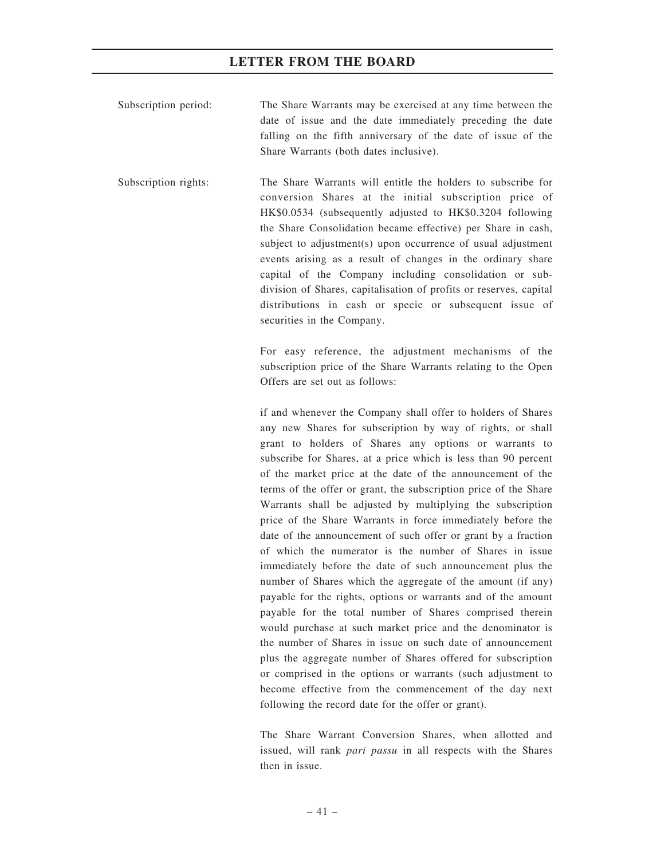- Subscription period: The Share Warrants may be exercised at any time between the date of issue and the date immediately preceding the date falling on the fifth anniversary of the date of issue of the Share Warrants (both dates inclusive).
- Subscription rights: The Share Warrants will entitle the holders to subscribe for conversion Shares at the initial subscription price of HK\$0.0534 (subsequently adjusted to HK\$0.3204 following the Share Consolidation became effective) per Share in cash, subject to adjustment(s) upon occurrence of usual adjustment events arising as a result of changes in the ordinary share capital of the Company including consolidation or subdivision of Shares, capitalisation of profits or reserves, capital distributions in cash or specie or subsequent issue of securities in the Company.

For easy reference, the adjustment mechanisms of the subscription price of the Share Warrants relating to the Open Offers are set out as follows:

if and whenever the Company shall offer to holders of Shares any new Shares for subscription by way of rights, or shall grant to holders of Shares any options or warrants to subscribe for Shares, at a price which is less than 90 percent of the market price at the date of the announcement of the terms of the offer or grant, the subscription price of the Share Warrants shall be adjusted by multiplying the subscription price of the Share Warrants in force immediately before the date of the announcement of such offer or grant by a fraction of which the numerator is the number of Shares in issue immediately before the date of such announcement plus the number of Shares which the aggregate of the amount (if any) payable for the rights, options or warrants and of the amount payable for the total number of Shares comprised therein would purchase at such market price and the denominator is the number of Shares in issue on such date of announcement plus the aggregate number of Shares offered for subscription or comprised in the options or warrants (such adjustment to become effective from the commencement of the day next following the record date for the offer or grant).

The Share Warrant Conversion Shares, when allotted and issued, will rank pari passu in all respects with the Shares then in issue.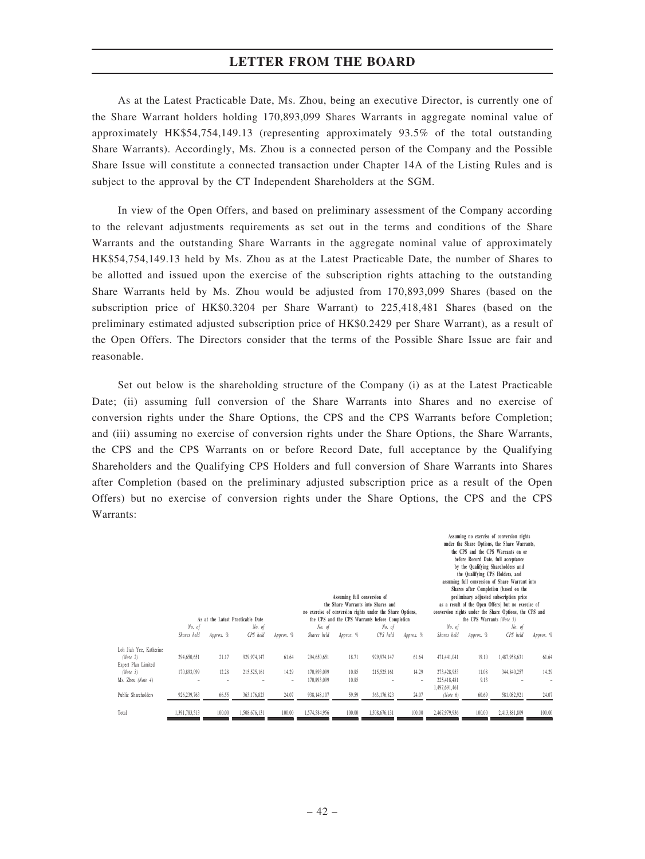As at the Latest Practicable Date, Ms. Zhou, being an executive Director, is currently one of the Share Warrant holders holding 170,893,099 Shares Warrants in aggregate nominal value of approximately HK\$54,754,149.13 (representing approximately 93.5% of the total outstanding Share Warrants). Accordingly, Ms. Zhou is a connected person of the Company and the Possible Share Issue will constitute a connected transaction under Chapter 14A of the Listing Rules and is subject to the approval by the CT Independent Shareholders at the SGM.

In view of the Open Offers, and based on preliminary assessment of the Company according to the relevant adjustments requirements as set out in the terms and conditions of the Share Warrants and the outstanding Share Warrants in the aggregate nominal value of approximately HK\$54,754,149.13 held by Ms. Zhou as at the Latest Practicable Date, the number of Shares to be allotted and issued upon the exercise of the subscription rights attaching to the outstanding Share Warrants held by Ms. Zhou would be adjusted from 170,893,099 Shares (based on the subscription price of HK\$0.3204 per Share Warrant) to 225,418,481 Shares (based on the preliminary estimated adjusted subscription price of HK\$0.2429 per Share Warrant), as a result of the Open Offers. The Directors consider that the terms of the Possible Share Issue are fair and reasonable.

Set out below is the shareholding structure of the Company (i) as at the Latest Practicable Date; (ii) assuming full conversion of the Share Warrants into Shares and no exercise of conversion rights under the Share Options, the CPS and the CPS Warrants before Completion; and (iii) assuming no exercise of conversion rights under the Share Options, the Share Warrants, the CPS and the CPS Warrants on or before Record Date, full acceptance by the Qualifying Shareholders and the Qualifying CPS Holders and full conversion of Share Warrants into Shares after Completion (based on the preliminary adjusted subscription price as a result of the Open Offers) but no exercise of conversion rights under the Share Options, the CPS and the CPS Warrants:

|                                                            |                       | As at the Latest Practicable Date | Assuming full conversion of<br>the Share Warrants into Shares and<br>no exercise of conversion rights under the Share Options,<br>the CPS and the CPS Warrants before Completion |            |                            |                |                    | Assuming no exercise of conversion rights<br>under the Share Options, the Share Warrants,<br>the CPS and the CPS Warrants on or<br>before Record Date, full acceptance<br>by the Qualifying Shareholders and<br>the Qualifying CPS Holders, and<br>assuming full conversion of Share Warrant into<br>Shares after Completion (based on the<br>preliminary adjusted subscription price<br>as a result of the Open Offers) but no exercise of<br>conversion rights under the Share Options, the CPS and<br>the CPS Warrants (Note 5) |                                             |               |                    |           |
|------------------------------------------------------------|-----------------------|-----------------------------------|----------------------------------------------------------------------------------------------------------------------------------------------------------------------------------|------------|----------------------------|----------------|--------------------|------------------------------------------------------------------------------------------------------------------------------------------------------------------------------------------------------------------------------------------------------------------------------------------------------------------------------------------------------------------------------------------------------------------------------------------------------------------------------------------------------------------------------------|---------------------------------------------|---------------|--------------------|-----------|
|                                                            | No. of<br>Shares held | Approx. %                         | No. of<br>CPS held                                                                                                                                                               | Approx. %  | No. of<br>Shares held      | Approx. %      | No. of<br>CPS held | Approx. %                                                                                                                                                                                                                                                                                                                                                                                                                                                                                                                          | No. of<br>Shares held                       | Approx. %     | No. of<br>CPS held | Approx. % |
| Loh Jiah Yee, Katherine<br>(Note 2)<br>Expert Plan Limited | 294,650,651           | 21.17                             | 929,974,147                                                                                                                                                                      | 61.64      | 294,650,651                | 18.71          | 929,974,147        | 61.64                                                                                                                                                                                                                                                                                                                                                                                                                                                                                                                              | 471,441,041                                 | 19.10         | 1,487,958,631      | 61.64     |
| (Note 3)<br>Ms. Zhou (Note 4)                              | 170,893,099           | 12.28                             | 215,525,161                                                                                                                                                                      | 14.29<br>۰ | 170,893,099<br>170,893,099 | 10.85<br>10.85 | 215,525,161        | 14.29<br>٠                                                                                                                                                                                                                                                                                                                                                                                                                                                                                                                         | 273,428,953<br>225,418,481<br>1,497,691,461 | 11.08<br>9.13 | 344,840,257        | 14.29     |
| Public Shareholders                                        | 926,239,763           | 66.55                             | 363,176,823                                                                                                                                                                      | 24.07      | 938,148,107                | 59.59          | 363,176,823        | 24.07                                                                                                                                                                                                                                                                                                                                                                                                                                                                                                                              | (Note 6)                                    | 60.69         | 581,082,921        | 24.07     |
| Total                                                      | 1,391,783,513         | 100.00                            | 1,508,676,131                                                                                                                                                                    | 100.00     | 1,574,584,956              | 100.00         | 1,508,676,131      | 100.00                                                                                                                                                                                                                                                                                                                                                                                                                                                                                                                             | 2,467,979,936                               | 100.00        | 2,413,881,809      | 100.00    |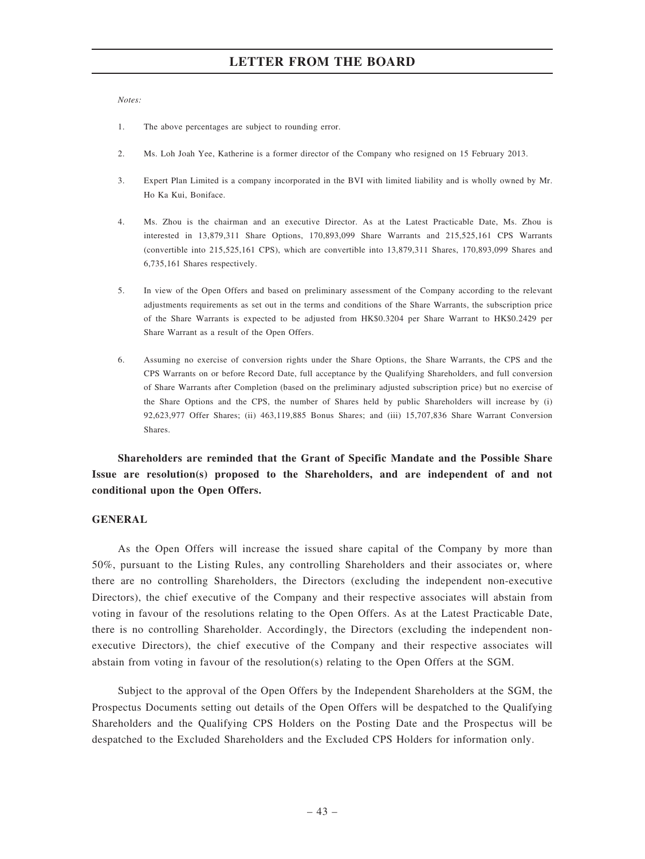Notes:

- 1. The above percentages are subject to rounding error.
- 2. Ms. Loh Joah Yee, Katherine is a former director of the Company who resigned on 15 February 2013.
- 3. Expert Plan Limited is a company incorporated in the BVI with limited liability and is wholly owned by Mr. Ho Ka Kui, Boniface.
- 4. Ms. Zhou is the chairman and an executive Director. As at the Latest Practicable Date, Ms. Zhou is interested in 13,879,311 Share Options, 170,893,099 Share Warrants and 215,525,161 CPS Warrants (convertible into 215,525,161 CPS), which are convertible into 13,879,311 Shares, 170,893,099 Shares and 6,735,161 Shares respectively.
- 5. In view of the Open Offers and based on preliminary assessment of the Company according to the relevant adjustments requirements as set out in the terms and conditions of the Share Warrants, the subscription price of the Share Warrants is expected to be adjusted from HK\$0.3204 per Share Warrant to HK\$0.2429 per Share Warrant as a result of the Open Offers.
- 6. Assuming no exercise of conversion rights under the Share Options, the Share Warrants, the CPS and the CPS Warrants on or before Record Date, full acceptance by the Qualifying Shareholders, and full conversion of Share Warrants after Completion (based on the preliminary adjusted subscription price) but no exercise of the Share Options and the CPS, the number of Shares held by public Shareholders will increase by (i) 92,623,977 Offer Shares; (ii) 463,119,885 Bonus Shares; and (iii) 15,707,836 Share Warrant Conversion Shares.

Shareholders are reminded that the Grant of Specific Mandate and the Possible Share Issue are resolution(s) proposed to the Shareholders, and are independent of and not conditional upon the Open Offers.

#### GENERAL

As the Open Offers will increase the issued share capital of the Company by more than 50%, pursuant to the Listing Rules, any controlling Shareholders and their associates or, where there are no controlling Shareholders, the Directors (excluding the independent non-executive Directors), the chief executive of the Company and their respective associates will abstain from voting in favour of the resolutions relating to the Open Offers. As at the Latest Practicable Date, there is no controlling Shareholder. Accordingly, the Directors (excluding the independent nonexecutive Directors), the chief executive of the Company and their respective associates will abstain from voting in favour of the resolution(s) relating to the Open Offers at the SGM.

Subject to the approval of the Open Offers by the Independent Shareholders at the SGM, the Prospectus Documents setting out details of the Open Offers will be despatched to the Qualifying Shareholders and the Qualifying CPS Holders on the Posting Date and the Prospectus will be despatched to the Excluded Shareholders and the Excluded CPS Holders for information only.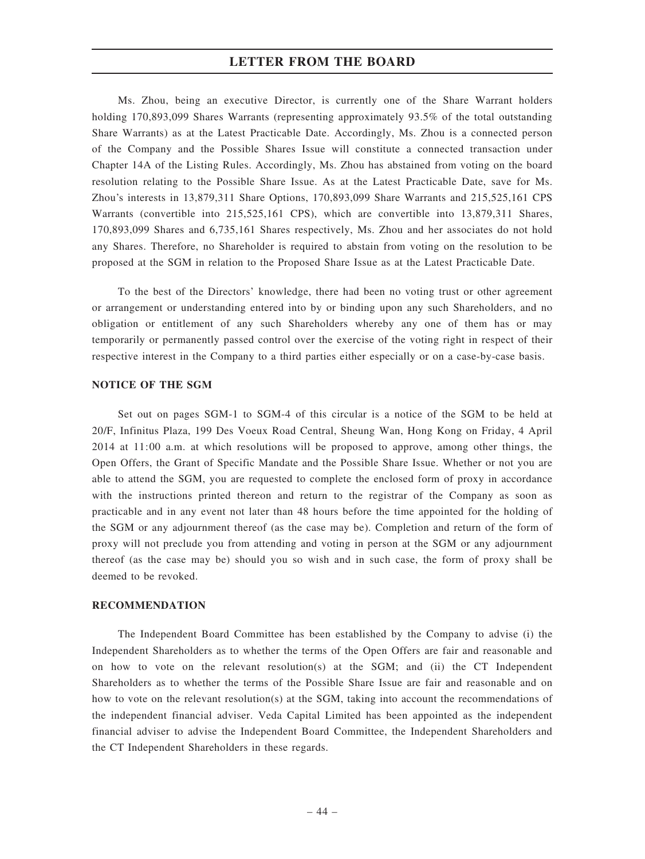Ms. Zhou, being an executive Director, is currently one of the Share Warrant holders holding 170,893,099 Shares Warrants (representing approximately 93.5% of the total outstanding Share Warrants) as at the Latest Practicable Date. Accordingly, Ms. Zhou is a connected person of the Company and the Possible Shares Issue will constitute a connected transaction under Chapter 14A of the Listing Rules. Accordingly, Ms. Zhou has abstained from voting on the board resolution relating to the Possible Share Issue. As at the Latest Practicable Date, save for Ms. Zhou's interests in 13,879,311 Share Options, 170,893,099 Share Warrants and 215,525,161 CPS Warrants (convertible into 215,525,161 CPS), which are convertible into 13,879,311 Shares, 170,893,099 Shares and 6,735,161 Shares respectively, Ms. Zhou and her associates do not hold any Shares. Therefore, no Shareholder is required to abstain from voting on the resolution to be proposed at the SGM in relation to the Proposed Share Issue as at the Latest Practicable Date.

To the best of the Directors' knowledge, there had been no voting trust or other agreement or arrangement or understanding entered into by or binding upon any such Shareholders, and no obligation or entitlement of any such Shareholders whereby any one of them has or may temporarily or permanently passed control over the exercise of the voting right in respect of their respective interest in the Company to a third parties either especially or on a case-by-case basis.

#### NOTICE OF THE SGM

Set out on pages SGM-1 to SGM-4 of this circular is a notice of the SGM to be held at 20/F, Infinitus Plaza, 199 Des Voeux Road Central, Sheung Wan, Hong Kong on Friday, 4 April 2014 at 11:00 a.m. at which resolutions will be proposed to approve, among other things, the Open Offers, the Grant of Specific Mandate and the Possible Share Issue. Whether or not you are able to attend the SGM, you are requested to complete the enclosed form of proxy in accordance with the instructions printed thereon and return to the registrar of the Company as soon as practicable and in any event not later than 48 hours before the time appointed for the holding of the SGM or any adjournment thereof (as the case may be). Completion and return of the form of proxy will not preclude you from attending and voting in person at the SGM or any adjournment thereof (as the case may be) should you so wish and in such case, the form of proxy shall be deemed to be revoked.

# RECOMMENDATION

The Independent Board Committee has been established by the Company to advise (i) the Independent Shareholders as to whether the terms of the Open Offers are fair and reasonable and on how to vote on the relevant resolution(s) at the SGM; and (ii) the CT Independent Shareholders as to whether the terms of the Possible Share Issue are fair and reasonable and on how to vote on the relevant resolution(s) at the SGM, taking into account the recommendations of the independent financial adviser. Veda Capital Limited has been appointed as the independent financial adviser to advise the Independent Board Committee, the Independent Shareholders and the CT Independent Shareholders in these regards.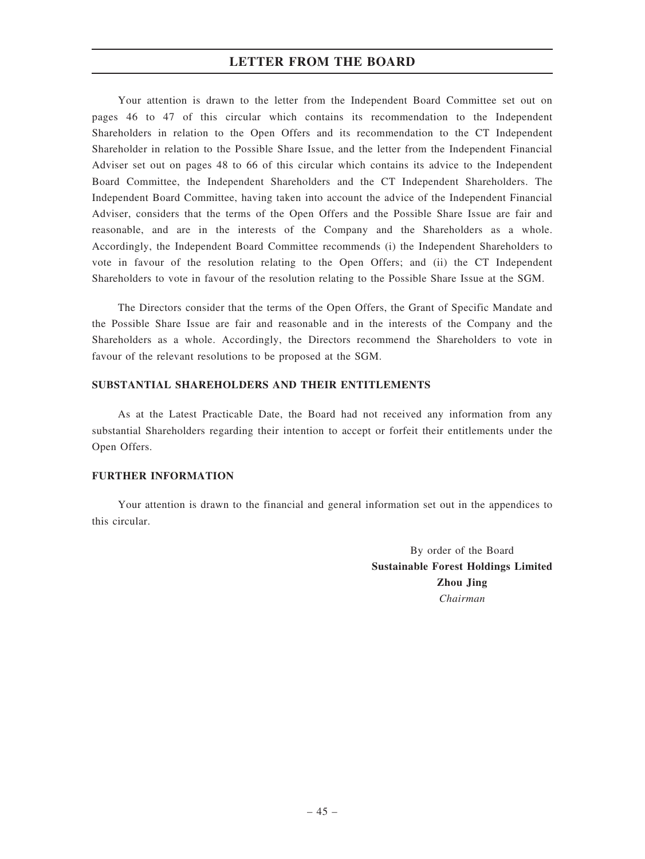Your attention is drawn to the letter from the Independent Board Committee set out on pages 46 to 47 of this circular which contains its recommendation to the Independent Shareholders in relation to the Open Offers and its recommendation to the CT Independent Shareholder in relation to the Possible Share Issue, and the letter from the Independent Financial Adviser set out on pages 48 to 66 of this circular which contains its advice to the Independent Board Committee, the Independent Shareholders and the CT Independent Shareholders. The Independent Board Committee, having taken into account the advice of the Independent Financial Adviser, considers that the terms of the Open Offers and the Possible Share Issue are fair and reasonable, and are in the interests of the Company and the Shareholders as a whole. Accordingly, the Independent Board Committee recommends (i) the Independent Shareholders to vote in favour of the resolution relating to the Open Offers; and (ii) the CT Independent Shareholders to vote in favour of the resolution relating to the Possible Share Issue at the SGM.

The Directors consider that the terms of the Open Offers, the Grant of Specific Mandate and the Possible Share Issue are fair and reasonable and in the interests of the Company and the Shareholders as a whole. Accordingly, the Directors recommend the Shareholders to vote in favour of the relevant resolutions to be proposed at the SGM.

# SUBSTANTIAL SHAREHOLDERS AND THEIR ENTITLEMENTS

As at the Latest Practicable Date, the Board had not received any information from any substantial Shareholders regarding their intention to accept or forfeit their entitlements under the Open Offers.

### FURTHER INFORMATION

Your attention is drawn to the financial and general information set out in the appendices to this circular.

> By order of the Board Sustainable Forest Holdings Limited Zhou Jing Chairman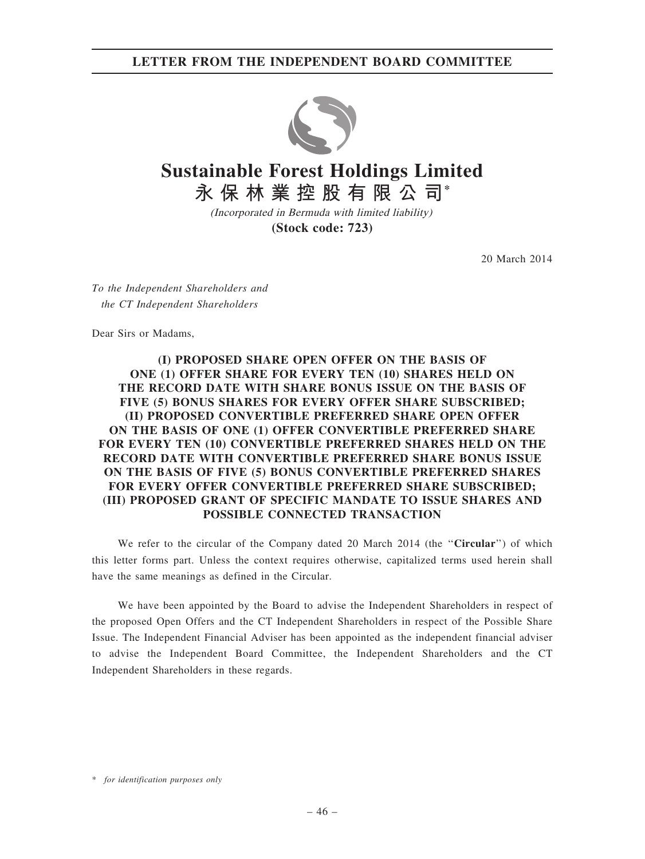# LETTER FROM THE INDEPENDENT BOARD COMMITTEE



# **Sustainable Forest Holdings Limited 永保林業控股有限公司\***

(Incorporated in Bermuda with limited liability) **(Stock code: 723)**

20 March 2014

To the Independent Shareholders and the CT Independent Shareholders

Dear Sirs or Madams,

# (I) PROPOSED SHARE OPEN OFFER ON THE BASIS OF ONE (1) OFFER SHARE FOR EVERY TEN (10) SHARES HELD ON THE RECORD DATE WITH SHARE BONUS ISSUE ON THE BASIS OF FIVE (5) BONUS SHARES FOR EVERY OFFER SHARE SUBSCRIBED; (II) PROPOSED CONVERTIBLE PREFERRED SHARE OPEN OFFER ON THE BASIS OF ONE (1) OFFER CONVERTIBLE PREFERRED SHARE FOR EVERY TEN (10) CONVERTIBLE PREFERRED SHARES HELD ON THE RECORD DATE WITH CONVERTIBLE PREFERRED SHARE BONUS ISSUE ON THE BASIS OF FIVE (5) BONUS CONVERTIBLE PREFERRED SHARES FOR EVERY OFFER CONVERTIBLE PREFERRED SHARE SUBSCRIBED; (III) PROPOSED GRANT OF SPECIFIC MANDATE TO ISSUE SHARES AND POSSIBLE CONNECTED TRANSACTION

We refer to the circular of the Company dated 20 March 2014 (the "Circular") of which this letter forms part. Unless the context requires otherwise, capitalized terms used herein shall have the same meanings as defined in the Circular.

We have been appointed by the Board to advise the Independent Shareholders in respect of the proposed Open Offers and the CT Independent Shareholders in respect of the Possible Share Issue. The Independent Financial Adviser has been appointed as the independent financial adviser to advise the Independent Board Committee, the Independent Shareholders and the CT Independent Shareholders in these regards.

\* for identification purposes only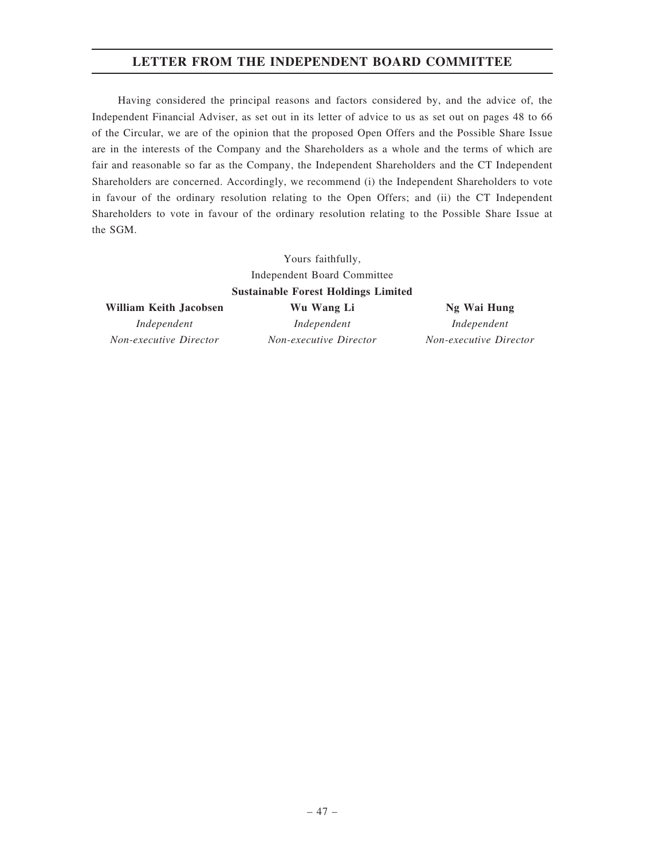# LETTER FROM THE INDEPENDENT BOARD COMMITTEE

Having considered the principal reasons and factors considered by, and the advice of, the Independent Financial Adviser, as set out in its letter of advice to us as set out on pages 48 to 66 of the Circular, we are of the opinion that the proposed Open Offers and the Possible Share Issue are in the interests of the Company and the Shareholders as a whole and the terms of which are fair and reasonable so far as the Company, the Independent Shareholders and the CT Independent Shareholders are concerned. Accordingly, we recommend (i) the Independent Shareholders to vote in favour of the ordinary resolution relating to the Open Offers; and (ii) the CT Independent Shareholders to vote in favour of the ordinary resolution relating to the Possible Share Issue at the SGM.

> Yours faithfully, Independent Board Committee Sustainable Forest Holdings Limited

#### William Keith Jacobsen Mu Wang Li Ng Wai Hung

Non-executive Director Non-executive Director Non-executive Director

Independent Independent Independent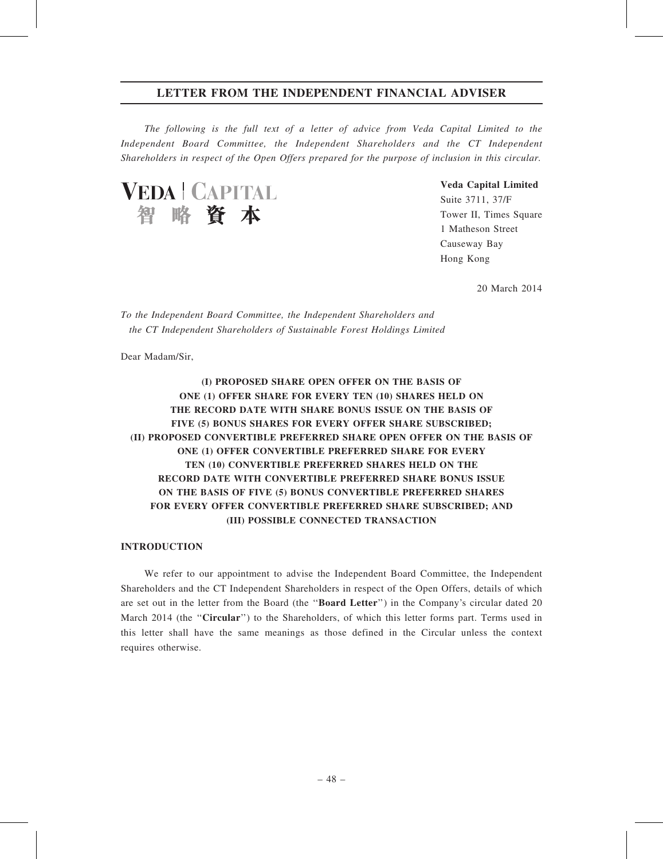The following is the full text of a letter of advice from Veda Capital Limited to the Independent Board Committee, the Independent Shareholders and the CT Independent Shareholders in respect of the Open Offers prepared for the purpose of inclusion in this circular.



Veda Capital Limited Suite 3711, 37/F

Tower II, Times Square 1 Matheson Street Causeway Bay Hong Kong

20 March 2014

To the Independent Board Committee, the Independent Shareholders and the CT Independent Shareholders of Sustainable Forest Holdings Limited

Dear Madam/Sir,

# (I) PROPOSED SHARE OPEN OFFER ON THE BASIS OF ONE (1) OFFER SHARE FOR EVERY TEN (10) SHARES HELD ON THE RECORD DATE WITH SHARE BONUS ISSUE ON THE BASIS OF FIVE (5) BONUS SHARES FOR EVERY OFFER SHARE SUBSCRIBED; (II) PROPOSED CONVERTIBLE PREFERRED SHARE OPEN OFFER ON THE BASIS OF ONE (1) OFFER CONVERTIBLE PREFERRED SHARE FOR EVERY TEN (10) CONVERTIBLE PREFERRED SHARES HELD ON THE RECORD DATE WITH CONVERTIBLE PREFERRED SHARE BONUS ISSUE ON THE BASIS OF FIVE (5) BONUS CONVERTIBLE PREFERRED SHARES FOR EVERY OFFER CONVERTIBLE PREFERRED SHARE SUBSCRIBED; AND (III) POSSIBLE CONNECTED TRANSACTION

### INTRODUCTION

We refer to our appointment to advise the Independent Board Committee, the Independent Shareholders and the CT Independent Shareholders in respect of the Open Offers, details of which are set out in the letter from the Board (the ''Board Letter'') in the Company's circular dated 20 March 2014 (the "Circular") to the Shareholders, of which this letter forms part. Terms used in this letter shall have the same meanings as those defined in the Circular unless the context requires otherwise.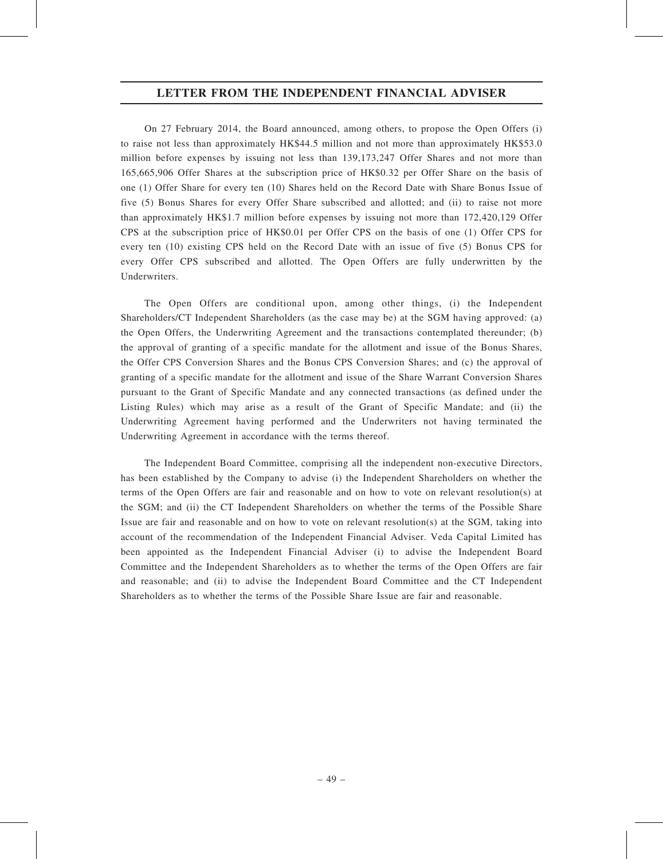On 27 February 2014, the Board announced, among others, to propose the Open Offers (i) to raise not less than approximately HK\$44.5 million and not more than approximately HK\$53.0 million before expenses by issuing not less than 139,173,247 Offer Shares and not more than 165,665,906 Offer Shares at the subscription price of HK\$0.32 per Offer Share on the basis of one (1) Offer Share for every ten (10) Shares held on the Record Date with Share Bonus Issue of five (5) Bonus Shares for every Offer Share subscribed and allotted; and (ii) to raise not more than approximately HK\$1.7 million before expenses by issuing not more than 172,420,129 Offer CPS at the subscription price of HK\$0.01 per Offer CPS on the basis of one (1) Offer CPS for every ten (10) existing CPS held on the Record Date with an issue of five (5) Bonus CPS for every Offer CPS subscribed and allotted. The Open Offers are fully underwritten by the Underwriters.

The Open Offers are conditional upon, among other things, (i) the Independent Shareholders/CT Independent Shareholders (as the case may be) at the SGM having approved: (a) the Open Offers, the Underwriting Agreement and the transactions contemplated thereunder; (b) the approval of granting of a specific mandate for the allotment and issue of the Bonus Shares, the Offer CPS Conversion Shares and the Bonus CPS Conversion Shares; and (c) the approval of granting of a specific mandate for the allotment and issue of the Share Warrant Conversion Shares pursuant to the Grant of Specific Mandate and any connected transactions (as defined under the Listing Rules) which may arise as a result of the Grant of Specific Mandate; and (ii) the Underwriting Agreement having performed and the Underwriters not having terminated the Underwriting Agreement in accordance with the terms thereof.

The Independent Board Committee, comprising all the independent non-executive Directors, has been established by the Company to advise (i) the Independent Shareholders on whether the terms of the Open Offers are fair and reasonable and on how to vote on relevant resolution(s) at the SGM; and (ii) the CT Independent Shareholders on whether the terms of the Possible Share Issue are fair and reasonable and on how to vote on relevant resolution(s) at the SGM, taking into account of the recommendation of the Independent Financial Adviser. Veda Capital Limited has been appointed as the Independent Financial Adviser (i) to advise the Independent Board Committee and the Independent Shareholders as to whether the terms of the Open Offers are fair and reasonable; and (ii) to advise the Independent Board Committee and the CT Independent Shareholders as to whether the terms of the Possible Share Issue are fair and reasonable.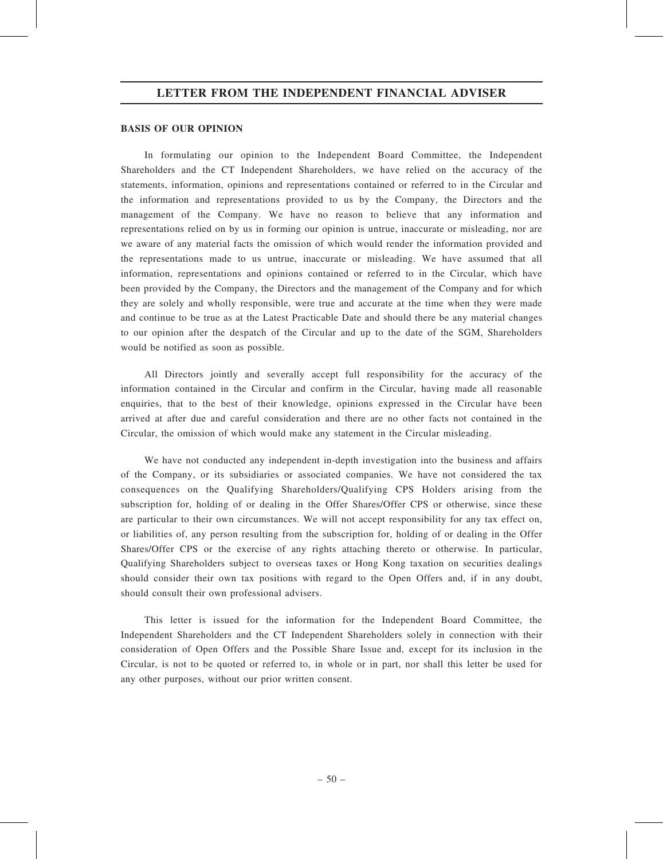#### BASIS OF OUR OPINION

In formulating our opinion to the Independent Board Committee, the Independent Shareholders and the CT Independent Shareholders, we have relied on the accuracy of the statements, information, opinions and representations contained or referred to in the Circular and the information and representations provided to us by the Company, the Directors and the management of the Company. We have no reason to believe that any information and representations relied on by us in forming our opinion is untrue, inaccurate or misleading, nor are we aware of any material facts the omission of which would render the information provided and the representations made to us untrue, inaccurate or misleading. We have assumed that all information, representations and opinions contained or referred to in the Circular, which have been provided by the Company, the Directors and the management of the Company and for which they are solely and wholly responsible, were true and accurate at the time when they were made and continue to be true as at the Latest Practicable Date and should there be any material changes to our opinion after the despatch of the Circular and up to the date of the SGM, Shareholders would be notified as soon as possible.

All Directors jointly and severally accept full responsibility for the accuracy of the information contained in the Circular and confirm in the Circular, having made all reasonable enquiries, that to the best of their knowledge, opinions expressed in the Circular have been arrived at after due and careful consideration and there are no other facts not contained in the Circular, the omission of which would make any statement in the Circular misleading.

We have not conducted any independent in-depth investigation into the business and affairs of the Company, or its subsidiaries or associated companies. We have not considered the tax consequences on the Qualifying Shareholders/Qualifying CPS Holders arising from the subscription for, holding of or dealing in the Offer Shares/Offer CPS or otherwise, since these are particular to their own circumstances. We will not accept responsibility for any tax effect on, or liabilities of, any person resulting from the subscription for, holding of or dealing in the Offer Shares/Offer CPS or the exercise of any rights attaching thereto or otherwise. In particular, Qualifying Shareholders subject to overseas taxes or Hong Kong taxation on securities dealings should consider their own tax positions with regard to the Open Offers and, if in any doubt, should consult their own professional advisers.

This letter is issued for the information for the Independent Board Committee, the Independent Shareholders and the CT Independent Shareholders solely in connection with their consideration of Open Offers and the Possible Share Issue and, except for its inclusion in the Circular, is not to be quoted or referred to, in whole or in part, nor shall this letter be used for any other purposes, without our prior written consent.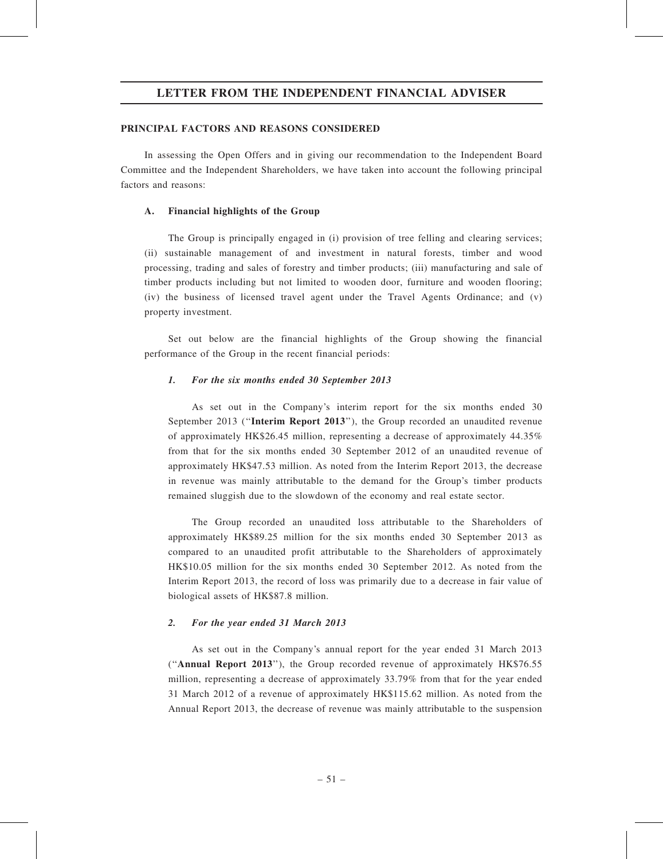#### PRINCIPAL FACTORS AND REASONS CONSIDERED

In assessing the Open Offers and in giving our recommendation to the Independent Board Committee and the Independent Shareholders, we have taken into account the following principal factors and reasons:

#### A. Financial highlights of the Group

The Group is principally engaged in (i) provision of tree felling and clearing services; (ii) sustainable management of and investment in natural forests, timber and wood processing, trading and sales of forestry and timber products; (iii) manufacturing and sale of timber products including but not limited to wooden door, furniture and wooden flooring; (iv) the business of licensed travel agent under the Travel Agents Ordinance; and (v) property investment.

Set out below are the financial highlights of the Group showing the financial performance of the Group in the recent financial periods:

#### 1. For the six months ended 30 September 2013

As set out in the Company's interim report for the six months ended 30 September 2013 (''Interim Report 2013''), the Group recorded an unaudited revenue of approximately HK\$26.45 million, representing a decrease of approximately 44.35% from that for the six months ended 30 September 2012 of an unaudited revenue of approximately HK\$47.53 million. As noted from the Interim Report 2013, the decrease in revenue was mainly attributable to the demand for the Group's timber products remained sluggish due to the slowdown of the economy and real estate sector.

The Group recorded an unaudited loss attributable to the Shareholders of approximately HK\$89.25 million for the six months ended 30 September 2013 as compared to an unaudited profit attributable to the Shareholders of approximately HK\$10.05 million for the six months ended 30 September 2012. As noted from the Interim Report 2013, the record of loss was primarily due to a decrease in fair value of biological assets of HK\$87.8 million.

#### 2. For the year ended 31 March 2013

As set out in the Company's annual report for the year ended 31 March 2013 (''Annual Report 2013''), the Group recorded revenue of approximately HK\$76.55 million, representing a decrease of approximately 33.79% from that for the year ended 31 March 2012 of a revenue of approximately HK\$115.62 million. As noted from the Annual Report 2013, the decrease of revenue was mainly attributable to the suspension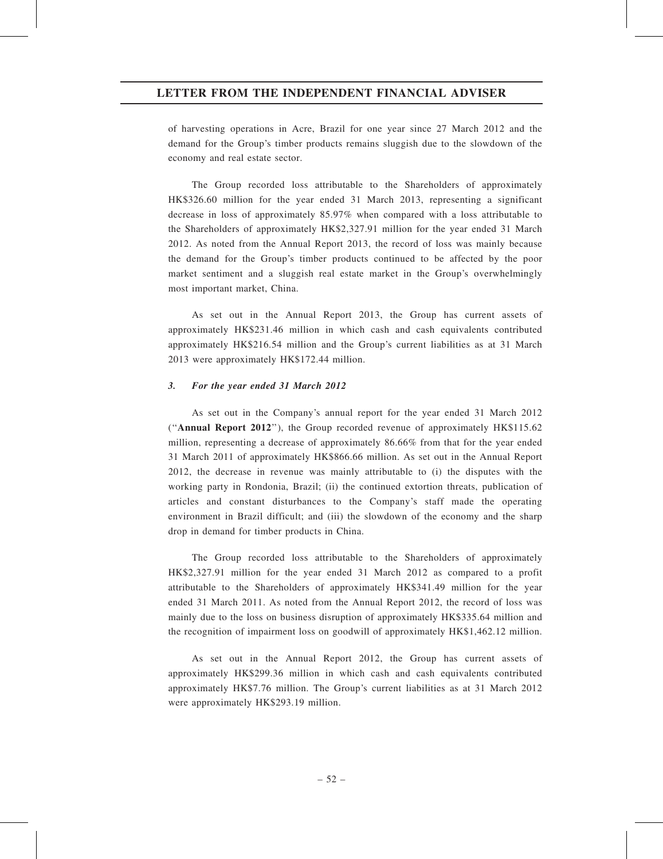of harvesting operations in Acre, Brazil for one year since 27 March 2012 and the demand for the Group's timber products remains sluggish due to the slowdown of the economy and real estate sector.

The Group recorded loss attributable to the Shareholders of approximately HK\$326.60 million for the year ended 31 March 2013, representing a significant decrease in loss of approximately 85.97% when compared with a loss attributable to the Shareholders of approximately HK\$2,327.91 million for the year ended 31 March 2012. As noted from the Annual Report 2013, the record of loss was mainly because the demand for the Group's timber products continued to be affected by the poor market sentiment and a sluggish real estate market in the Group's overwhelmingly most important market, China.

As set out in the Annual Report 2013, the Group has current assets of approximately HK\$231.46 million in which cash and cash equivalents contributed approximately HK\$216.54 million and the Group's current liabilities as at 31 March 2013 were approximately HK\$172.44 million.

#### 3. For the year ended 31 March 2012

As set out in the Company's annual report for the year ended 31 March 2012 (''Annual Report 2012''), the Group recorded revenue of approximately HK\$115.62 million, representing a decrease of approximately 86.66% from that for the year ended 31 March 2011 of approximately HK\$866.66 million. As set out in the Annual Report 2012, the decrease in revenue was mainly attributable to (i) the disputes with the working party in Rondonia, Brazil; (ii) the continued extortion threats, publication of articles and constant disturbances to the Company's staff made the operating environment in Brazil difficult; and (iii) the slowdown of the economy and the sharp drop in demand for timber products in China.

The Group recorded loss attributable to the Shareholders of approximately HK\$2,327.91 million for the year ended 31 March 2012 as compared to a profit attributable to the Shareholders of approximately HK\$341.49 million for the year ended 31 March 2011. As noted from the Annual Report 2012, the record of loss was mainly due to the loss on business disruption of approximately HK\$335.64 million and the recognition of impairment loss on goodwill of approximately HK\$1,462.12 million.

As set out in the Annual Report 2012, the Group has current assets of approximately HK\$299.36 million in which cash and cash equivalents contributed approximately HK\$7.76 million. The Group's current liabilities as at 31 March 2012 were approximately HK\$293.19 million.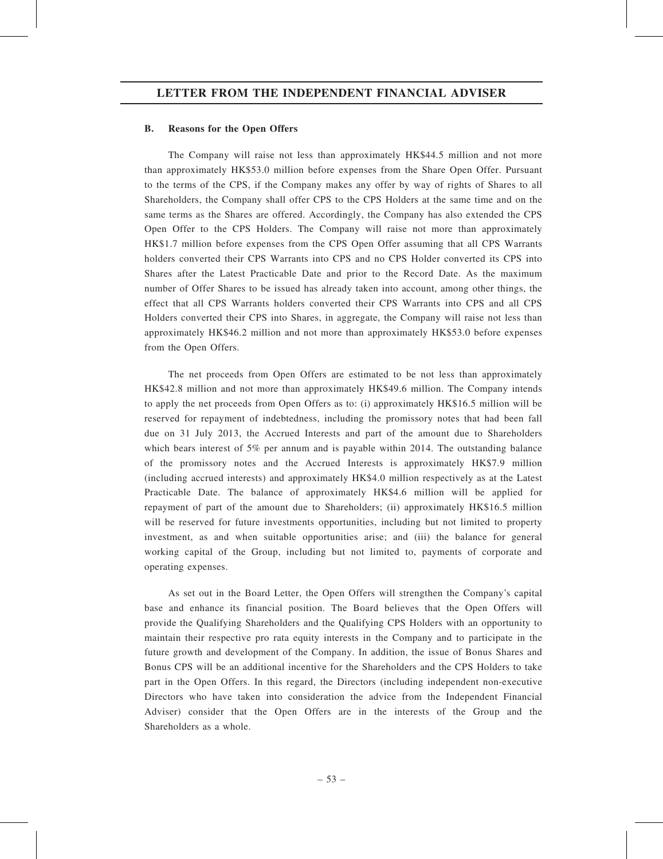### B. Reasons for the Open Offers

The Company will raise not less than approximately HK\$44.5 million and not more than approximately HK\$53.0 million before expenses from the Share Open Offer. Pursuant to the terms of the CPS, if the Company makes any offer by way of rights of Shares to all Shareholders, the Company shall offer CPS to the CPS Holders at the same time and on the same terms as the Shares are offered. Accordingly, the Company has also extended the CPS Open Offer to the CPS Holders. The Company will raise not more than approximately HK\$1.7 million before expenses from the CPS Open Offer assuming that all CPS Warrants holders converted their CPS Warrants into CPS and no CPS Holder converted its CPS into Shares after the Latest Practicable Date and prior to the Record Date. As the maximum number of Offer Shares to be issued has already taken into account, among other things, the effect that all CPS Warrants holders converted their CPS Warrants into CPS and all CPS Holders converted their CPS into Shares, in aggregate, the Company will raise not less than approximately HK\$46.2 million and not more than approximately HK\$53.0 before expenses from the Open Offers.

The net proceeds from Open Offers are estimated to be not less than approximately HK\$42.8 million and not more than approximately HK\$49.6 million. The Company intends to apply the net proceeds from Open Offers as to: (i) approximately HK\$16.5 million will be reserved for repayment of indebtedness, including the promissory notes that had been fall due on 31 July 2013, the Accrued Interests and part of the amount due to Shareholders which bears interest of 5% per annum and is payable within 2014. The outstanding balance of the promissory notes and the Accrued Interests is approximately HK\$7.9 million (including accrued interests) and approximately HK\$4.0 million respectively as at the Latest Practicable Date. The balance of approximately HK\$4.6 million will be applied for repayment of part of the amount due to Shareholders; (ii) approximately HK\$16.5 million will be reserved for future investments opportunities, including but not limited to property investment, as and when suitable opportunities arise; and (iii) the balance for general working capital of the Group, including but not limited to, payments of corporate and operating expenses.

As set out in the Board Letter, the Open Offers will strengthen the Company's capital base and enhance its financial position. The Board believes that the Open Offers will provide the Qualifying Shareholders and the Qualifying CPS Holders with an opportunity to maintain their respective pro rata equity interests in the Company and to participate in the future growth and development of the Company. In addition, the issue of Bonus Shares and Bonus CPS will be an additional incentive for the Shareholders and the CPS Holders to take part in the Open Offers. In this regard, the Directors (including independent non-executive Directors who have taken into consideration the advice from the Independent Financial Adviser) consider that the Open Offers are in the interests of the Group and the Shareholders as a whole.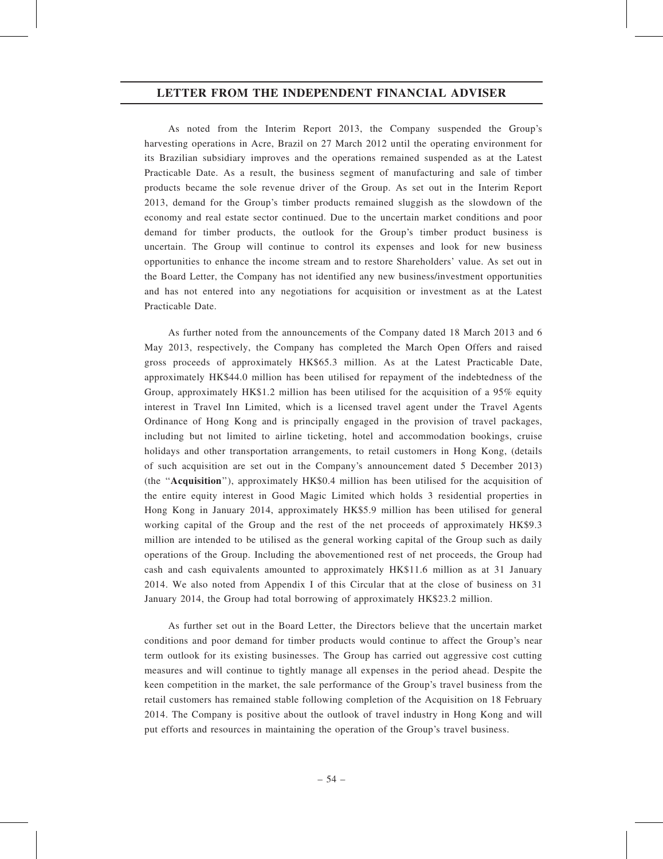As noted from the Interim Report 2013, the Company suspended the Group's harvesting operations in Acre, Brazil on 27 March 2012 until the operating environment for its Brazilian subsidiary improves and the operations remained suspended as at the Latest Practicable Date. As a result, the business segment of manufacturing and sale of timber products became the sole revenue driver of the Group. As set out in the Interim Report 2013, demand for the Group's timber products remained sluggish as the slowdown of the economy and real estate sector continued. Due to the uncertain market conditions and poor demand for timber products, the outlook for the Group's timber product business is uncertain. The Group will continue to control its expenses and look for new business opportunities to enhance the income stream and to restore Shareholders' value. As set out in the Board Letter, the Company has not identified any new business/investment opportunities and has not entered into any negotiations for acquisition or investment as at the Latest Practicable Date.

As further noted from the announcements of the Company dated 18 March 2013 and 6 May 2013, respectively, the Company has completed the March Open Offers and raised gross proceeds of approximately HK\$65.3 million. As at the Latest Practicable Date, approximately HK\$44.0 million has been utilised for repayment of the indebtedness of the Group, approximately HK\$1.2 million has been utilised for the acquisition of a 95% equity interest in Travel Inn Limited, which is a licensed travel agent under the Travel Agents Ordinance of Hong Kong and is principally engaged in the provision of travel packages, including but not limited to airline ticketing, hotel and accommodation bookings, cruise holidays and other transportation arrangements, to retail customers in Hong Kong, (details of such acquisition are set out in the Company's announcement dated 5 December 2013) (the ''Acquisition''), approximately HK\$0.4 million has been utilised for the acquisition of the entire equity interest in Good Magic Limited which holds 3 residential properties in Hong Kong in January 2014, approximately HK\$5.9 million has been utilised for general working capital of the Group and the rest of the net proceeds of approximately HK\$9.3 million are intended to be utilised as the general working capital of the Group such as daily operations of the Group. Including the abovementioned rest of net proceeds, the Group had cash and cash equivalents amounted to approximately HK\$11.6 million as at 31 January 2014. We also noted from Appendix I of this Circular that at the close of business on 31 January 2014, the Group had total borrowing of approximately HK\$23.2 million.

As further set out in the Board Letter, the Directors believe that the uncertain market conditions and poor demand for timber products would continue to affect the Group's near term outlook for its existing businesses. The Group has carried out aggressive cost cutting measures and will continue to tightly manage all expenses in the period ahead. Despite the keen competition in the market, the sale performance of the Group's travel business from the retail customers has remained stable following completion of the Acquisition on 18 February 2014. The Company is positive about the outlook of travel industry in Hong Kong and will put efforts and resources in maintaining the operation of the Group's travel business.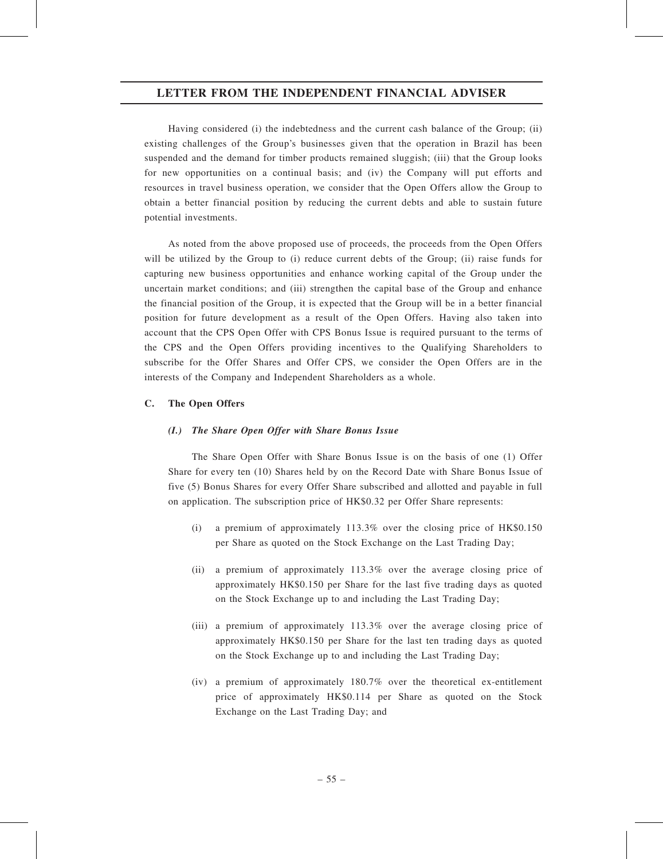Having considered (i) the indebtedness and the current cash balance of the Group; (ii) existing challenges of the Group's businesses given that the operation in Brazil has been suspended and the demand for timber products remained sluggish; (iii) that the Group looks for new opportunities on a continual basis; and (iv) the Company will put efforts and resources in travel business operation, we consider that the Open Offers allow the Group to obtain a better financial position by reducing the current debts and able to sustain future potential investments.

As noted from the above proposed use of proceeds, the proceeds from the Open Offers will be utilized by the Group to (i) reduce current debts of the Group; (ii) raise funds for capturing new business opportunities and enhance working capital of the Group under the uncertain market conditions; and (iii) strengthen the capital base of the Group and enhance the financial position of the Group, it is expected that the Group will be in a better financial position for future development as a result of the Open Offers. Having also taken into account that the CPS Open Offer with CPS Bonus Issue is required pursuant to the terms of the CPS and the Open Offers providing incentives to the Qualifying Shareholders to subscribe for the Offer Shares and Offer CPS, we consider the Open Offers are in the interests of the Company and Independent Shareholders as a whole.

# C. The Open Offers

#### (I.) The Share Open Offer with Share Bonus Issue

The Share Open Offer with Share Bonus Issue is on the basis of one (1) Offer Share for every ten (10) Shares held by on the Record Date with Share Bonus Issue of five (5) Bonus Shares for every Offer Share subscribed and allotted and payable in full on application. The subscription price of HK\$0.32 per Offer Share represents:

- (i) a premium of approximately 113.3% over the closing price of HK\$0.150 per Share as quoted on the Stock Exchange on the Last Trading Day;
- (ii) a premium of approximately 113.3% over the average closing price of approximately HK\$0.150 per Share for the last five trading days as quoted on the Stock Exchange up to and including the Last Trading Day;
- (iii) a premium of approximately 113.3% over the average closing price of approximately HK\$0.150 per Share for the last ten trading days as quoted on the Stock Exchange up to and including the Last Trading Day;
- (iv) a premium of approximately 180.7% over the theoretical ex-entitlement price of approximately HK\$0.114 per Share as quoted on the Stock Exchange on the Last Trading Day; and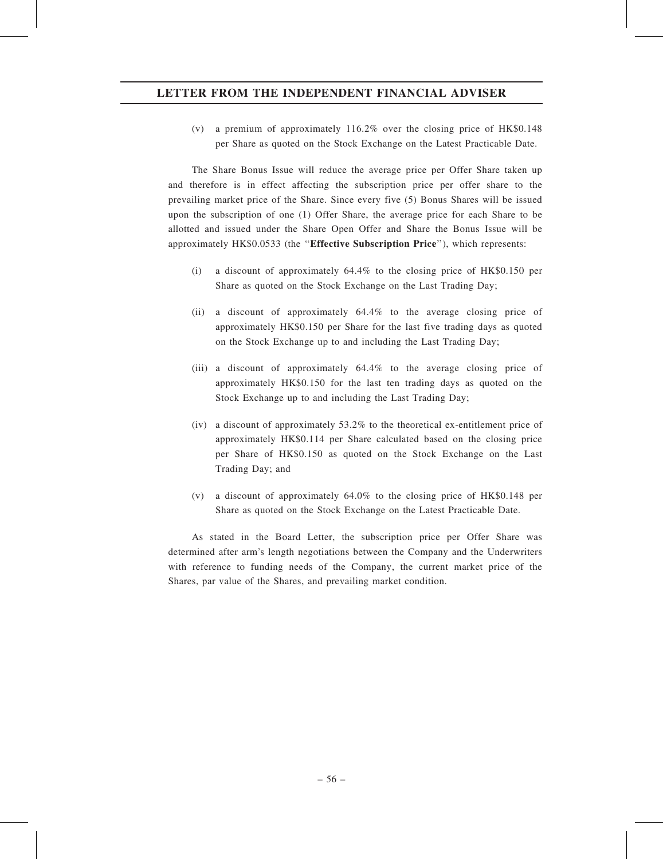(v) a premium of approximately 116.2% over the closing price of HK\$0.148 per Share as quoted on the Stock Exchange on the Latest Practicable Date.

The Share Bonus Issue will reduce the average price per Offer Share taken up and therefore is in effect affecting the subscription price per offer share to the prevailing market price of the Share. Since every five (5) Bonus Shares will be issued upon the subscription of one (1) Offer Share, the average price for each Share to be allotted and issued under the Share Open Offer and Share the Bonus Issue will be approximately HK\$0.0533 (the ''Effective Subscription Price''), which represents:

- (i) a discount of approximately 64.4% to the closing price of HK\$0.150 per Share as quoted on the Stock Exchange on the Last Trading Day;
- (ii) a discount of approximately 64.4% to the average closing price of approximately HK\$0.150 per Share for the last five trading days as quoted on the Stock Exchange up to and including the Last Trading Day;
- (iii) a discount of approximately 64.4% to the average closing price of approximately HK\$0.150 for the last ten trading days as quoted on the Stock Exchange up to and including the Last Trading Day;
- (iv) a discount of approximately 53.2% to the theoretical ex-entitlement price of approximately HK\$0.114 per Share calculated based on the closing price per Share of HK\$0.150 as quoted on the Stock Exchange on the Last Trading Day; and
- (v) a discount of approximately 64.0% to the closing price of HK\$0.148 per Share as quoted on the Stock Exchange on the Latest Practicable Date.

As stated in the Board Letter, the subscription price per Offer Share was determined after arm's length negotiations between the Company and the Underwriters with reference to funding needs of the Company, the current market price of the Shares, par value of the Shares, and prevailing market condition.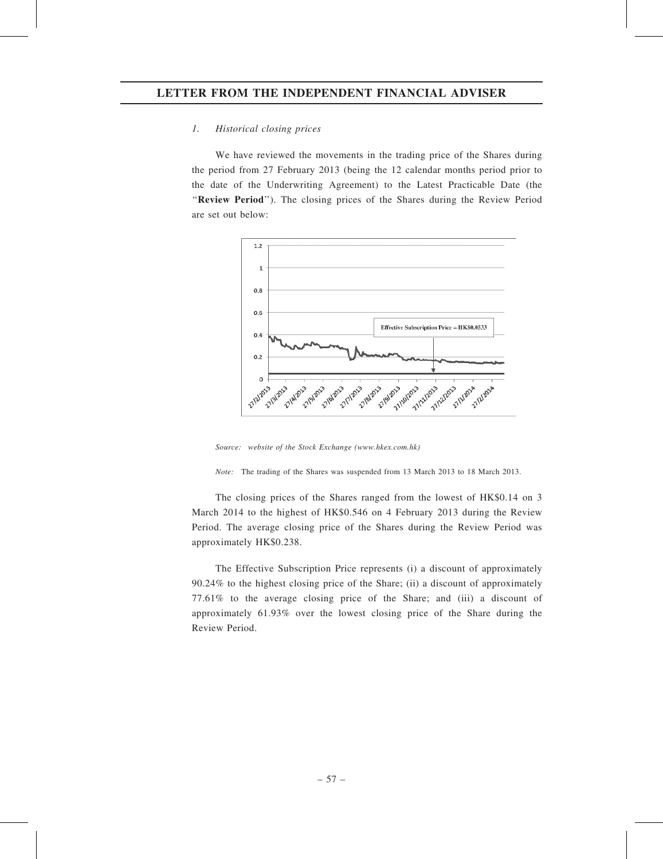### 1. Historical closing prices

We have reviewed the movements in the trading price of the Shares during the period from 27 February 2013 (being the 12 calendar months period prior to the date of the Underwriting Agreement) to the Latest Practicable Date (the "Review Period"). The closing prices of the Shares during the Review Period are set out below:



Source: website of the Stock Exchange (www.hkex.com.hk)

Note: The trading of the Shares was suspended from 13 March 2013 to 18 March 2013.

The closing prices of the Shares ranged from the lowest of HK\$0.14 on 3 March 2014 to the highest of HK\$0.546 on 4 February 2013 during the Review Period. The average closing price of the Shares during the Review Period was approximately HK\$0.238.

The Effective Subscription Price represents (i) a discount of approximately 90.24% to the highest closing price of the Share; (ii) a discount of approximately 77.61% to the average closing price of the Share; and (iii) a discount of approximately 61.93% over the lowest closing price of the Share during the Review Period.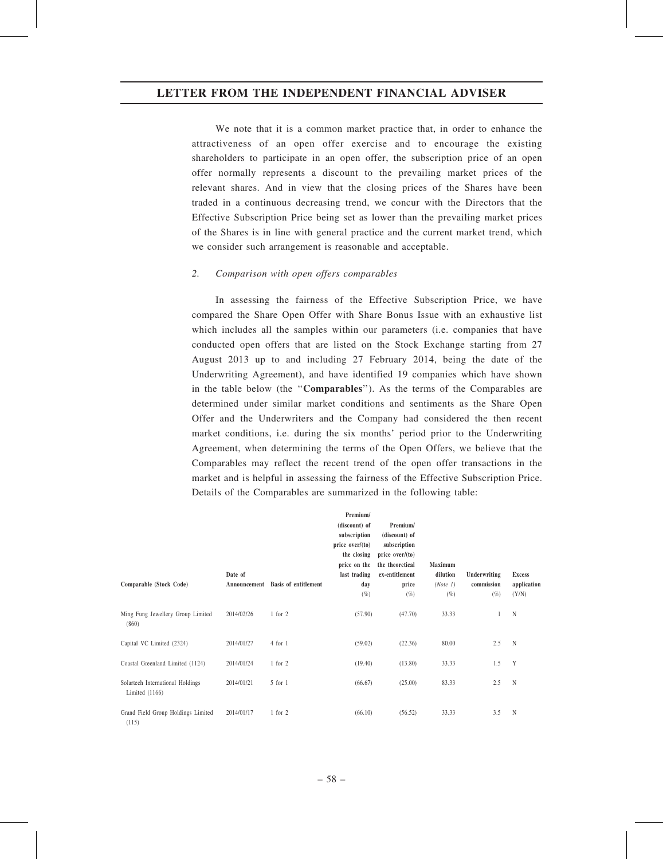We note that it is a common market practice that, in order to enhance the attractiveness of an open offer exercise and to encourage the existing shareholders to participate in an open offer, the subscription price of an open offer normally represents a discount to the prevailing market prices of the relevant shares. And in view that the closing prices of the Shares have been traded in a continuous decreasing trend, we concur with the Directors that the Effective Subscription Price being set as lower than the prevailing market prices of the Shares is in line with general practice and the current market trend, which we consider such arrangement is reasonable and acceptable.

#### 2. Comparison with open offers comparables

In assessing the fairness of the Effective Subscription Price, we have compared the Share Open Offer with Share Bonus Issue with an exhaustive list which includes all the samples within our parameters (i.e. companies that have conducted open offers that are listed on the Stock Exchange starting from 27 August 2013 up to and including 27 February 2014, being the date of the Underwriting Agreement), and have identified 19 companies which have shown in the table below (the ''Comparables''). As the terms of the Comparables are determined under similar market conditions and sentiments as the Share Open Offer and the Underwriters and the Company had considered the then recent market conditions, i.e. during the six months' period prior to the Underwriting Agreement, when determining the terms of the Open Offers, we believe that the Comparables may reflect the recent trend of the open offer transactions in the market and is helpful in assessing the fairness of the Effective Subscription Price. Details of the Comparables are summarized in the following table:

|                                                      |              |                             | Premium/          |                   |          |              |               |
|------------------------------------------------------|--------------|-----------------------------|-------------------|-------------------|----------|--------------|---------------|
|                                                      |              |                             | (discount) of     | Premium/          |          |              |               |
|                                                      |              |                             | subscription      | (discount) of     |          |              |               |
|                                                      |              |                             | price $over/(to)$ | subscription      |          |              |               |
|                                                      |              |                             | the closing       | price $over/(to)$ |          |              |               |
|                                                      |              |                             | price on the      | the theoretical   | Maximum  |              |               |
|                                                      | Date of      |                             | last trading      | ex-entitlement    | dilution | Underwriting | <b>Excess</b> |
| Comparable (Stock Code)                              | Announcement | <b>Basis of entitlement</b> | day               | price             | (Note 1) | commission   | application   |
|                                                      |              |                             | $(\%)$            | $(\% )$           | $(\%)$   | $(\%)$       | (Y/N)         |
| Ming Fung Jewellery Group Limited<br>(860)           | 2014/02/26   | $1$ for $2$                 | (57.90)           | (47.70)           | 33.33    |              | N             |
| Capital VC Limited (2324)                            | 2014/01/27   | 4 for 1                     | (59.02)           | (22.36)           | 80.00    | 2.5          | N             |
| Coastal Greenland Limited (1124)                     | 2014/01/24   | $1$ for $2$                 | (19.40)           | (13.80)           | 33.33    | 1.5          | Y             |
| Solartech International Holdings<br>Limited $(1166)$ | 2014/01/21   | 5 for 1                     | (66.67)           | (25.00)           | 83.33    | 2.5          | N             |
| Grand Field Group Holdings Limited<br>(115)          | 2014/01/17   | $1$ for $2$                 | (66.10)           | (56.52)           | 33.33    | 3.5          | N             |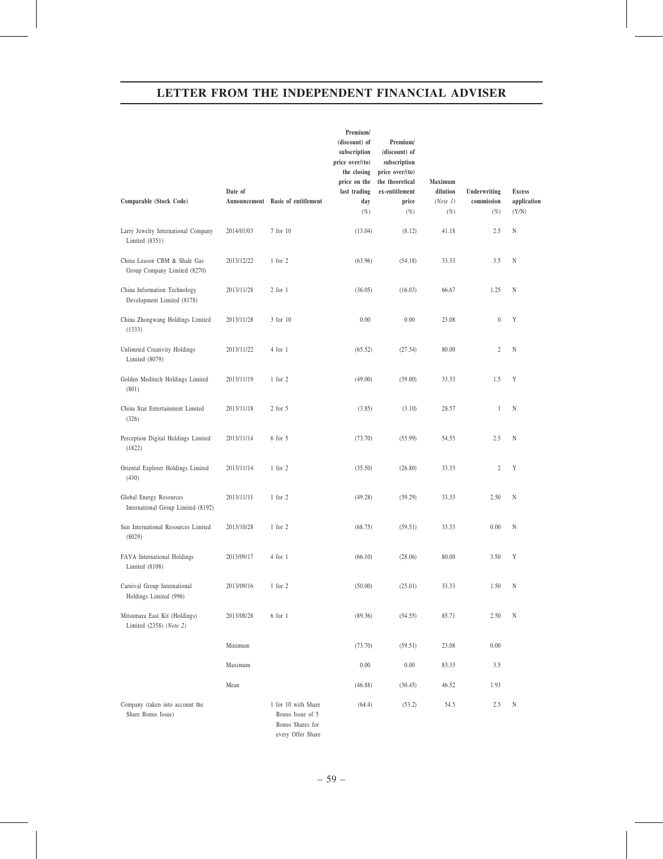| Comparable (Stock Code)                                       | Date of<br>Announcement | <b>Basis of entitlement</b>                                                      | Premium/<br>(discount) of<br>subscription<br>price over/(to)<br>the closing<br>price on the<br>last trading<br>day | Premium/<br>(discount) of<br>subscription<br>price over/(to)<br>the theoretical<br>ex-entitlement<br>price | Maximum<br>dilution<br>(Note 1) | Underwriting<br>commission | <b>Excess</b><br>application |
|---------------------------------------------------------------|-------------------------|----------------------------------------------------------------------------------|--------------------------------------------------------------------------------------------------------------------|------------------------------------------------------------------------------------------------------------|---------------------------------|----------------------------|------------------------------|
|                                                               |                         |                                                                                  | $(\%)$                                                                                                             | $(\%)$                                                                                                     | $(\%)$                          | $(\%)$                     | (Y/N)                        |
| Larry Jewelry International Company<br>Limited $(8351)$       | 2014/01/03              | 7 for 10                                                                         | (13.04)                                                                                                            | (8.12)                                                                                                     | 41.18                           | 2.5                        | N                            |
| China Leason CBM & Shale Gas<br>Group Company Limited (8270)  | 2013/12/22              | $1$ for $2$                                                                      | (63.96)                                                                                                            | (54.18)                                                                                                    | 33.33                           | 3.5                        | N                            |
| China Information Technology<br>Development Limited (8178)    | 2013/11/28              | $2$ for $1$                                                                      | (36.05)                                                                                                            | (16.03)                                                                                                    | 66.67                           | 1.25                       | N                            |
| China Zhongwang Holdings Limited<br>(1333)                    | 2013/11/28              | 3 for 10                                                                         | 0.00                                                                                                               | 0.00                                                                                                       | 23.08                           | $\boldsymbol{0}$           | Y                            |
| Unlimited Creativity Holdings<br>Limited (8079)               | 2013/11/22              | 4 for 1                                                                          | (65.52)                                                                                                            | (27.54)                                                                                                    | 80.00                           | $\mathbf{2}$               | N                            |
| Golden Meditech Holdings Limited<br>(801)                     | 2013/11/19              | $1$ for $2$                                                                      | (49.00)                                                                                                            | (39.00)                                                                                                    | 33.33                           | 1.5                        | Y                            |
| China Star Entertainment Limited<br>(326)                     | 2013/11/18              | $2$ for $5$                                                                      | (3.85)                                                                                                             | (3.10)                                                                                                     | 28.57                           | $\mathbf{1}$               | N                            |
| Perception Digital Holdings Limited<br>(1822)                 | 2013/11/14              | 6 for 5                                                                          | (73.70)                                                                                                            | (55.99)                                                                                                    | 54.55                           | 2.5                        | N                            |
| Oriental Explorer Holdings Limited<br>(430)                   | 2013/11/14              | $1$ for $2$                                                                      | (35.50)                                                                                                            | (26.80)                                                                                                    | 33.33                           | $\boldsymbol{2}$           | Y                            |
| Global Energy Resources<br>International Group Limited (8192) | 2013/11/11              | $1$ for $2$                                                                      | (49.28)                                                                                                            | (39.29)                                                                                                    | 33.33                           | 2.50                       | N                            |
| Sun International Resources Limited<br>(8029)                 | 2013/10/28              | $1$ for $2$                                                                      | (68.75)                                                                                                            | (59.51)                                                                                                    | 33.33                           | 0.00                       | N                            |
| FAVA International Holdings<br>Limited $(8108)$               | 2013/09/17              | 4 for 1                                                                          | (66.10)                                                                                                            | (28.06)                                                                                                    | 80.00                           | 3.50                       | Y                            |
| Carnival Group International<br>Holdings Limited (996)        | 2013/09/16              | $1$ for $2$                                                                      | (50.00)                                                                                                            | (25.01)                                                                                                    | 33.33                           | 1.50                       | N                            |
| Mitsumara East Kit (Holdings)<br>Limited (2358) (Note 2)      | 2013/08/28              | $6$ for $1$                                                                      | (89.36)                                                                                                            | (54.55)                                                                                                    | 85.71                           | 2.50                       | N                            |
|                                                               | Minimum                 |                                                                                  | (73.70)                                                                                                            | (59.51)                                                                                                    | 23.08                           | 0.00                       |                              |
|                                                               | Maximum                 |                                                                                  | 0.00                                                                                                               | 0.00                                                                                                       | 83.33                           | 3.5                        |                              |
|                                                               | Mean                    |                                                                                  | (46.88)                                                                                                            | (30.45)                                                                                                    | 46.52                           | 1.93                       |                              |
| Company (taken into account the<br>Share Bonus Issue)         |                         | 1 for 10 with Share<br>Bonus Issue of 5<br>Bonus Shares for<br>every Offer Share | (64.4)                                                                                                             | (53.2)                                                                                                     | 54.5                            | 2.5                        | N                            |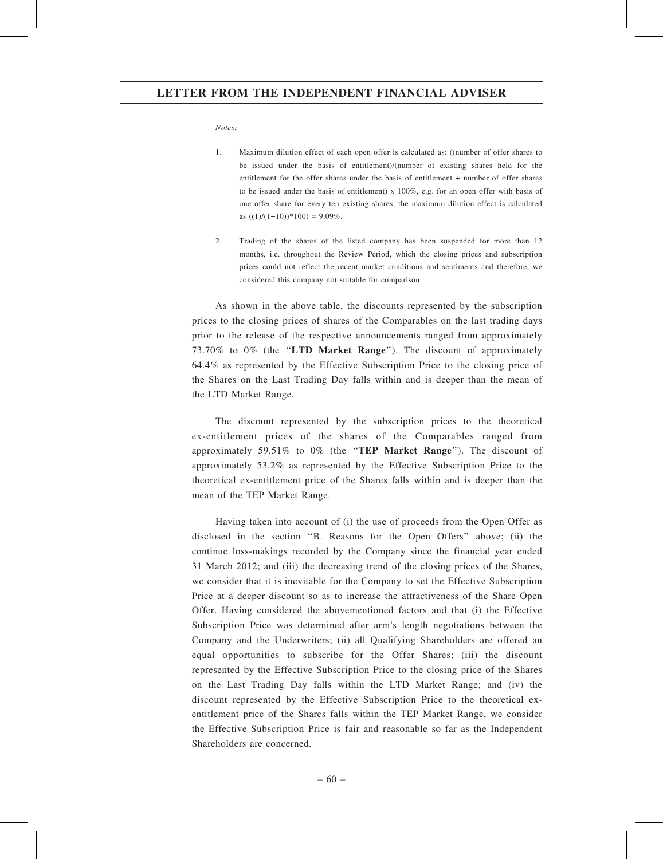Notes:

- 1. Maximum dilution effect of each open offer is calculated as: ((number of offer shares to be issued under the basis of entitlement)/(number of existing shares held for the entitlement for the offer shares under the basis of entitlement + number of offer shares to be issued under the basis of entitlement) x 100%, e.g. for an open offer with basis of one offer share for every ten existing shares, the maximum dilution effect is calculated as  $((1)/(1+10))$ \*100) = 9.09%.
- 2. Trading of the shares of the listed company has been suspended for more than 12 months, i.e. throughout the Review Period, which the closing prices and subscription prices could not reflect the recent market conditions and sentiments and therefore, we considered this company not suitable for comparison.

As shown in the above table, the discounts represented by the subscription prices to the closing prices of shares of the Comparables on the last trading days prior to the release of the respective announcements ranged from approximately 73.70% to 0% (the ''LTD Market Range''). The discount of approximately 64.4% as represented by the Effective Subscription Price to the closing price of the Shares on the Last Trading Day falls within and is deeper than the mean of the LTD Market Range.

The discount represented by the subscription prices to the theoretical ex-entitlement prices of the shares of the Comparables ranged from approximately 59.51% to 0% (the "TEP Market Range"). The discount of approximately 53.2% as represented by the Effective Subscription Price to the theoretical ex-entitlement price of the Shares falls within and is deeper than the mean of the TEP Market Range.

Having taken into account of (i) the use of proceeds from the Open Offer as disclosed in the section "B. Reasons for the Open Offers" above; (ii) the continue loss-makings recorded by the Company since the financial year ended 31 March 2012; and (iii) the decreasing trend of the closing prices of the Shares, we consider that it is inevitable for the Company to set the Effective Subscription Price at a deeper discount so as to increase the attractiveness of the Share Open Offer. Having considered the abovementioned factors and that (i) the Effective Subscription Price was determined after arm's length negotiations between the Company and the Underwriters; (ii) all Qualifying Shareholders are offered an equal opportunities to subscribe for the Offer Shares; (iii) the discount represented by the Effective Subscription Price to the closing price of the Shares on the Last Trading Day falls within the LTD Market Range; and (iv) the discount represented by the Effective Subscription Price to the theoretical exentitlement price of the Shares falls within the TEP Market Range, we consider the Effective Subscription Price is fair and reasonable so far as the Independent Shareholders are concerned.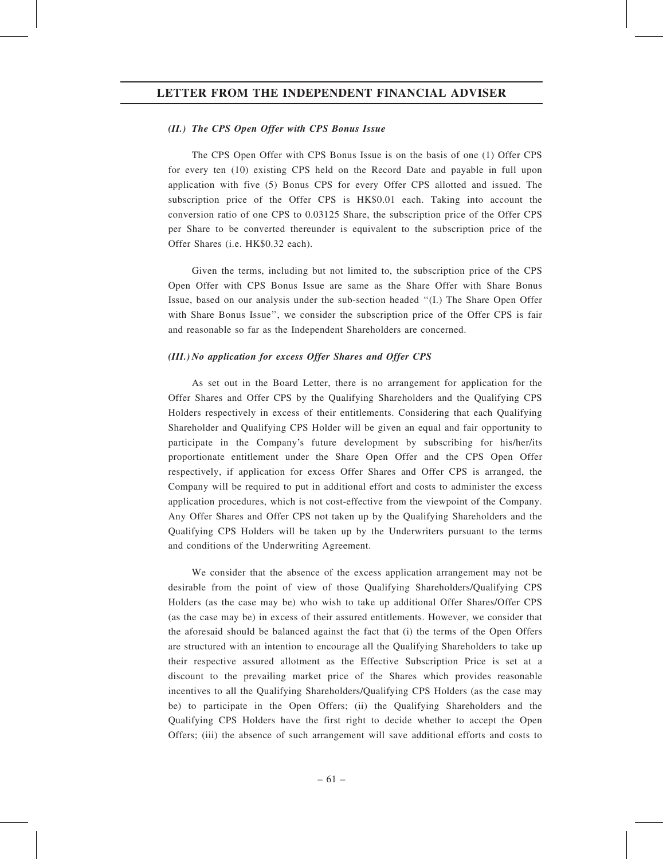#### (II.) The CPS Open Offer with CPS Bonus Issue

The CPS Open Offer with CPS Bonus Issue is on the basis of one (1) Offer CPS for every ten (10) existing CPS held on the Record Date and payable in full upon application with five (5) Bonus CPS for every Offer CPS allotted and issued. The subscription price of the Offer CPS is HK\$0.01 each. Taking into account the conversion ratio of one CPS to 0.03125 Share, the subscription price of the Offer CPS per Share to be converted thereunder is equivalent to the subscription price of the Offer Shares (i.e. HK\$0.32 each).

Given the terms, including but not limited to, the subscription price of the CPS Open Offer with CPS Bonus Issue are same as the Share Offer with Share Bonus Issue, based on our analysis under the sub-section headed ''(I.) The Share Open Offer with Share Bonus Issue'', we consider the subscription price of the Offer CPS is fair and reasonable so far as the Independent Shareholders are concerned.

#### (III.) No application for excess Offer Shares and Offer CPS

As set out in the Board Letter, there is no arrangement for application for the Offer Shares and Offer CPS by the Qualifying Shareholders and the Qualifying CPS Holders respectively in excess of their entitlements. Considering that each Qualifying Shareholder and Qualifying CPS Holder will be given an equal and fair opportunity to participate in the Company's future development by subscribing for his/her/its proportionate entitlement under the Share Open Offer and the CPS Open Offer respectively, if application for excess Offer Shares and Offer CPS is arranged, the Company will be required to put in additional effort and costs to administer the excess application procedures, which is not cost-effective from the viewpoint of the Company. Any Offer Shares and Offer CPS not taken up by the Qualifying Shareholders and the Qualifying CPS Holders will be taken up by the Underwriters pursuant to the terms and conditions of the Underwriting Agreement.

We consider that the absence of the excess application arrangement may not be desirable from the point of view of those Qualifying Shareholders/Qualifying CPS Holders (as the case may be) who wish to take up additional Offer Shares/Offer CPS (as the case may be) in excess of their assured entitlements. However, we consider that the aforesaid should be balanced against the fact that (i) the terms of the Open Offers are structured with an intention to encourage all the Qualifying Shareholders to take up their respective assured allotment as the Effective Subscription Price is set at a discount to the prevailing market price of the Shares which provides reasonable incentives to all the Qualifying Shareholders/Qualifying CPS Holders (as the case may be) to participate in the Open Offers; (ii) the Qualifying Shareholders and the Qualifying CPS Holders have the first right to decide whether to accept the Open Offers; (iii) the absence of such arrangement will save additional efforts and costs to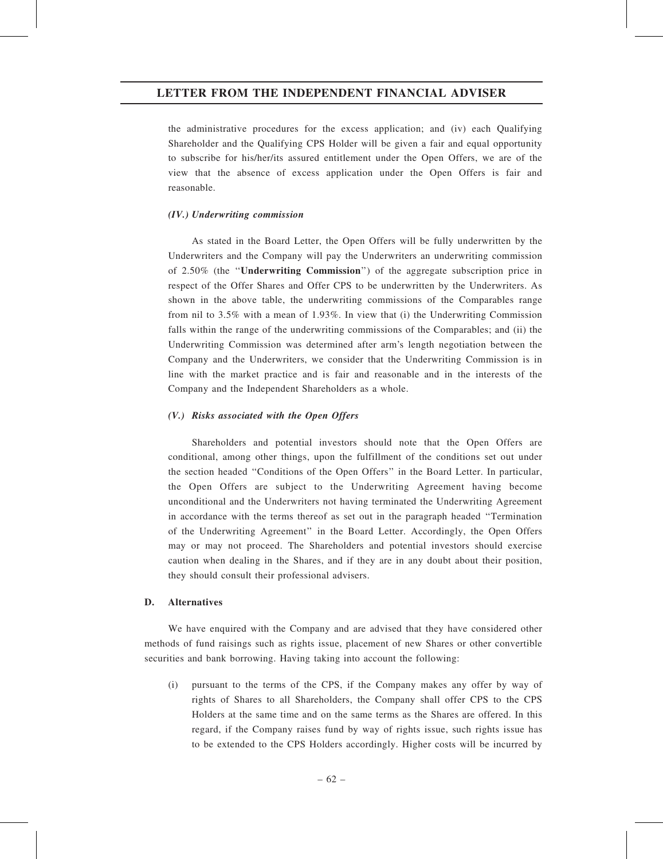the administrative procedures for the excess application; and (iv) each Qualifying Shareholder and the Qualifying CPS Holder will be given a fair and equal opportunity to subscribe for his/her/its assured entitlement under the Open Offers, we are of the view that the absence of excess application under the Open Offers is fair and reasonable.

#### (IV.) Underwriting commission

As stated in the Board Letter, the Open Offers will be fully underwritten by the Underwriters and the Company will pay the Underwriters an underwriting commission of 2.50% (the ''Underwriting Commission'') of the aggregate subscription price in respect of the Offer Shares and Offer CPS to be underwritten by the Underwriters. As shown in the above table, the underwriting commissions of the Comparables range from nil to 3.5% with a mean of 1.93%. In view that (i) the Underwriting Commission falls within the range of the underwriting commissions of the Comparables; and (ii) the Underwriting Commission was determined after arm's length negotiation between the Company and the Underwriters, we consider that the Underwriting Commission is in line with the market practice and is fair and reasonable and in the interests of the Company and the Independent Shareholders as a whole.

#### (V.) Risks associated with the Open Offers

Shareholders and potential investors should note that the Open Offers are conditional, among other things, upon the fulfillment of the conditions set out under the section headed ''Conditions of the Open Offers'' in the Board Letter. In particular, the Open Offers are subject to the Underwriting Agreement having become unconditional and the Underwriters not having terminated the Underwriting Agreement in accordance with the terms thereof as set out in the paragraph headed ''Termination of the Underwriting Agreement'' in the Board Letter. Accordingly, the Open Offers may or may not proceed. The Shareholders and potential investors should exercise caution when dealing in the Shares, and if they are in any doubt about their position, they should consult their professional advisers.

#### D. Alternatives

We have enquired with the Company and are advised that they have considered other methods of fund raisings such as rights issue, placement of new Shares or other convertible securities and bank borrowing. Having taking into account the following:

(i) pursuant to the terms of the CPS, if the Company makes any offer by way of rights of Shares to all Shareholders, the Company shall offer CPS to the CPS Holders at the same time and on the same terms as the Shares are offered. In this regard, if the Company raises fund by way of rights issue, such rights issue has to be extended to the CPS Holders accordingly. Higher costs will be incurred by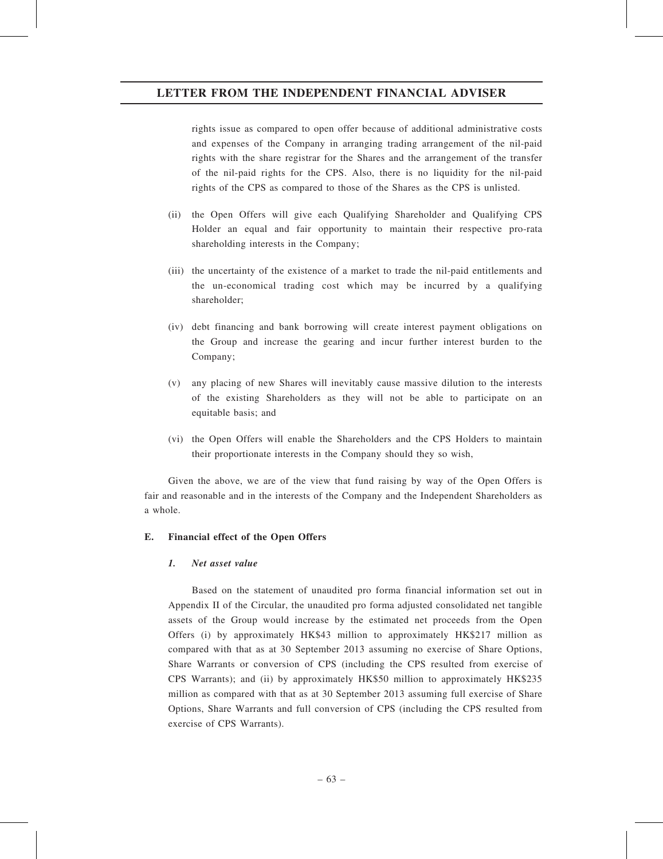rights issue as compared to open offer because of additional administrative costs and expenses of the Company in arranging trading arrangement of the nil-paid rights with the share registrar for the Shares and the arrangement of the transfer of the nil-paid rights for the CPS. Also, there is no liquidity for the nil-paid rights of the CPS as compared to those of the Shares as the CPS is unlisted.

- (ii) the Open Offers will give each Qualifying Shareholder and Qualifying CPS Holder an equal and fair opportunity to maintain their respective pro-rata shareholding interests in the Company;
- (iii) the uncertainty of the existence of a market to trade the nil-paid entitlements and the un-economical trading cost which may be incurred by a qualifying shareholder;
- (iv) debt financing and bank borrowing will create interest payment obligations on the Group and increase the gearing and incur further interest burden to the Company;
- (v) any placing of new Shares will inevitably cause massive dilution to the interests of the existing Shareholders as they will not be able to participate on an equitable basis; and
- (vi) the Open Offers will enable the Shareholders and the CPS Holders to maintain their proportionate interests in the Company should they so wish,

Given the above, we are of the view that fund raising by way of the Open Offers is fair and reasonable and in the interests of the Company and the Independent Shareholders as a whole.

#### E. Financial effect of the Open Offers

# 1. Net asset value

Based on the statement of unaudited pro forma financial information set out in Appendix II of the Circular, the unaudited pro forma adjusted consolidated net tangible assets of the Group would increase by the estimated net proceeds from the Open Offers (i) by approximately HK\$43 million to approximately HK\$217 million as compared with that as at 30 September 2013 assuming no exercise of Share Options, Share Warrants or conversion of CPS (including the CPS resulted from exercise of CPS Warrants); and (ii) by approximately HK\$50 million to approximately HK\$235 million as compared with that as at 30 September 2013 assuming full exercise of Share Options, Share Warrants and full conversion of CPS (including the CPS resulted from exercise of CPS Warrants).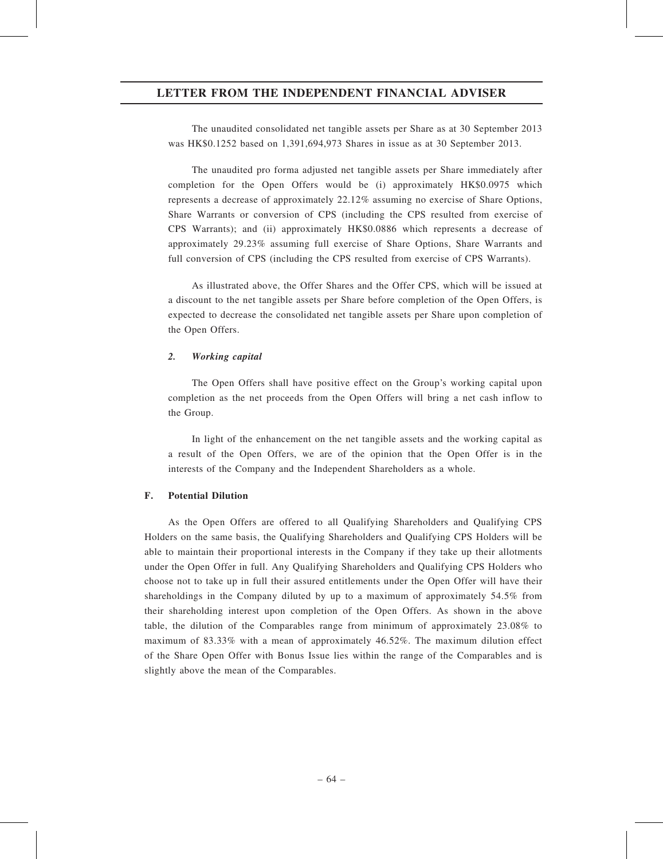The unaudited consolidated net tangible assets per Share as at 30 September 2013 was HK\$0.1252 based on 1,391,694,973 Shares in issue as at 30 September 2013.

The unaudited pro forma adjusted net tangible assets per Share immediately after completion for the Open Offers would be (i) approximately HK\$0.0975 which represents a decrease of approximately 22.12% assuming no exercise of Share Options, Share Warrants or conversion of CPS (including the CPS resulted from exercise of CPS Warrants); and (ii) approximately HK\$0.0886 which represents a decrease of approximately 29.23% assuming full exercise of Share Options, Share Warrants and full conversion of CPS (including the CPS resulted from exercise of CPS Warrants).

As illustrated above, the Offer Shares and the Offer CPS, which will be issued at a discount to the net tangible assets per Share before completion of the Open Offers, is expected to decrease the consolidated net tangible assets per Share upon completion of the Open Offers.

#### 2. Working capital

The Open Offers shall have positive effect on the Group's working capital upon completion as the net proceeds from the Open Offers will bring a net cash inflow to the Group.

In light of the enhancement on the net tangible assets and the working capital as a result of the Open Offers, we are of the opinion that the Open Offer is in the interests of the Company and the Independent Shareholders as a whole.

#### F. Potential Dilution

As the Open Offers are offered to all Qualifying Shareholders and Qualifying CPS Holders on the same basis, the Qualifying Shareholders and Qualifying CPS Holders will be able to maintain their proportional interests in the Company if they take up their allotments under the Open Offer in full. Any Qualifying Shareholders and Qualifying CPS Holders who choose not to take up in full their assured entitlements under the Open Offer will have their shareholdings in the Company diluted by up to a maximum of approximately 54.5% from their shareholding interest upon completion of the Open Offers. As shown in the above table, the dilution of the Comparables range from minimum of approximately 23.08% to maximum of 83.33% with a mean of approximately 46.52%. The maximum dilution effect of the Share Open Offer with Bonus Issue lies within the range of the Comparables and is slightly above the mean of the Comparables.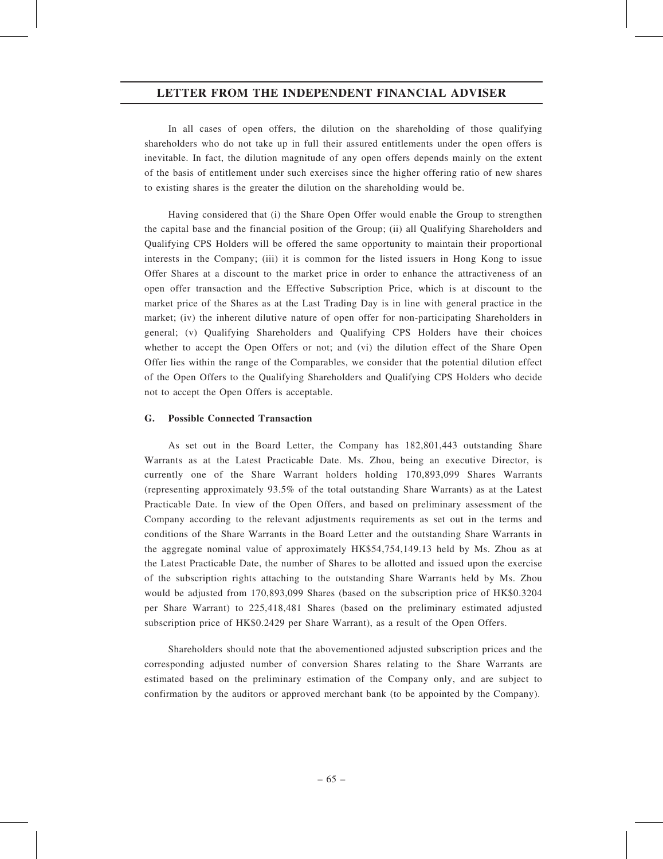In all cases of open offers, the dilution on the shareholding of those qualifying shareholders who do not take up in full their assured entitlements under the open offers is inevitable. In fact, the dilution magnitude of any open offers depends mainly on the extent of the basis of entitlement under such exercises since the higher offering ratio of new shares to existing shares is the greater the dilution on the shareholding would be.

Having considered that (i) the Share Open Offer would enable the Group to strengthen the capital base and the financial position of the Group; (ii) all Qualifying Shareholders and Qualifying CPS Holders will be offered the same opportunity to maintain their proportional interests in the Company; (iii) it is common for the listed issuers in Hong Kong to issue Offer Shares at a discount to the market price in order to enhance the attractiveness of an open offer transaction and the Effective Subscription Price, which is at discount to the market price of the Shares as at the Last Trading Day is in line with general practice in the market; (iv) the inherent dilutive nature of open offer for non-participating Shareholders in general; (v) Qualifying Shareholders and Qualifying CPS Holders have their choices whether to accept the Open Offers or not; and (vi) the dilution effect of the Share Open Offer lies within the range of the Comparables, we consider that the potential dilution effect of the Open Offers to the Qualifying Shareholders and Qualifying CPS Holders who decide not to accept the Open Offers is acceptable.

#### G. Possible Connected Transaction

As set out in the Board Letter, the Company has 182,801,443 outstanding Share Warrants as at the Latest Practicable Date. Ms. Zhou, being an executive Director, is currently one of the Share Warrant holders holding 170,893,099 Shares Warrants (representing approximately 93.5% of the total outstanding Share Warrants) as at the Latest Practicable Date. In view of the Open Offers, and based on preliminary assessment of the Company according to the relevant adjustments requirements as set out in the terms and conditions of the Share Warrants in the Board Letter and the outstanding Share Warrants in the aggregate nominal value of approximately HK\$54,754,149.13 held by Ms. Zhou as at the Latest Practicable Date, the number of Shares to be allotted and issued upon the exercise of the subscription rights attaching to the outstanding Share Warrants held by Ms. Zhou would be adjusted from 170,893,099 Shares (based on the subscription price of HK\$0.3204 per Share Warrant) to 225,418,481 Shares (based on the preliminary estimated adjusted subscription price of HK\$0.2429 per Share Warrant), as a result of the Open Offers.

Shareholders should note that the abovementioned adjusted subscription prices and the corresponding adjusted number of conversion Shares relating to the Share Warrants are estimated based on the preliminary estimation of the Company only, and are subject to confirmation by the auditors or approved merchant bank (to be appointed by the Company).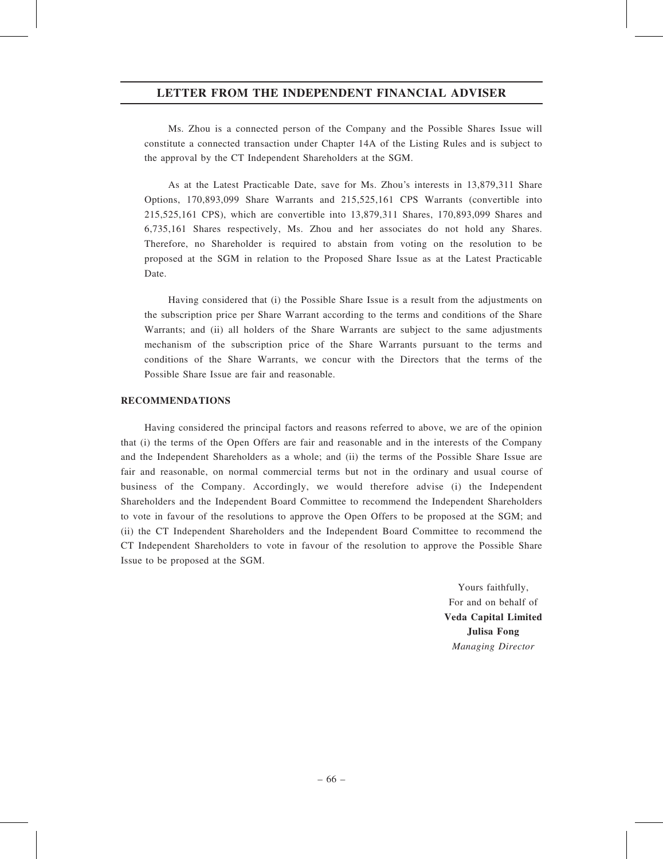Ms. Zhou is a connected person of the Company and the Possible Shares Issue will constitute a connected transaction under Chapter 14A of the Listing Rules and is subject to the approval by the CT Independent Shareholders at the SGM.

As at the Latest Practicable Date, save for Ms. Zhou's interests in 13,879,311 Share Options, 170,893,099 Share Warrants and 215,525,161 CPS Warrants (convertible into 215,525,161 CPS), which are convertible into 13,879,311 Shares, 170,893,099 Shares and 6,735,161 Shares respectively, Ms. Zhou and her associates do not hold any Shares. Therefore, no Shareholder is required to abstain from voting on the resolution to be proposed at the SGM in relation to the Proposed Share Issue as at the Latest Practicable Date.

Having considered that (i) the Possible Share Issue is a result from the adjustments on the subscription price per Share Warrant according to the terms and conditions of the Share Warrants; and (ii) all holders of the Share Warrants are subject to the same adjustments mechanism of the subscription price of the Share Warrants pursuant to the terms and conditions of the Share Warrants, we concur with the Directors that the terms of the Possible Share Issue are fair and reasonable.

#### RECOMMENDATIONS

Having considered the principal factors and reasons referred to above, we are of the opinion that (i) the terms of the Open Offers are fair and reasonable and in the interests of the Company and the Independent Shareholders as a whole; and (ii) the terms of the Possible Share Issue are fair and reasonable, on normal commercial terms but not in the ordinary and usual course of business of the Company. Accordingly, we would therefore advise (i) the Independent Shareholders and the Independent Board Committee to recommend the Independent Shareholders to vote in favour of the resolutions to approve the Open Offers to be proposed at the SGM; and (ii) the CT Independent Shareholders and the Independent Board Committee to recommend the CT Independent Shareholders to vote in favour of the resolution to approve the Possible Share Issue to be proposed at the SGM.

> Yours faithfully, For and on behalf of Veda Capital Limited Julisa Fong Managing Director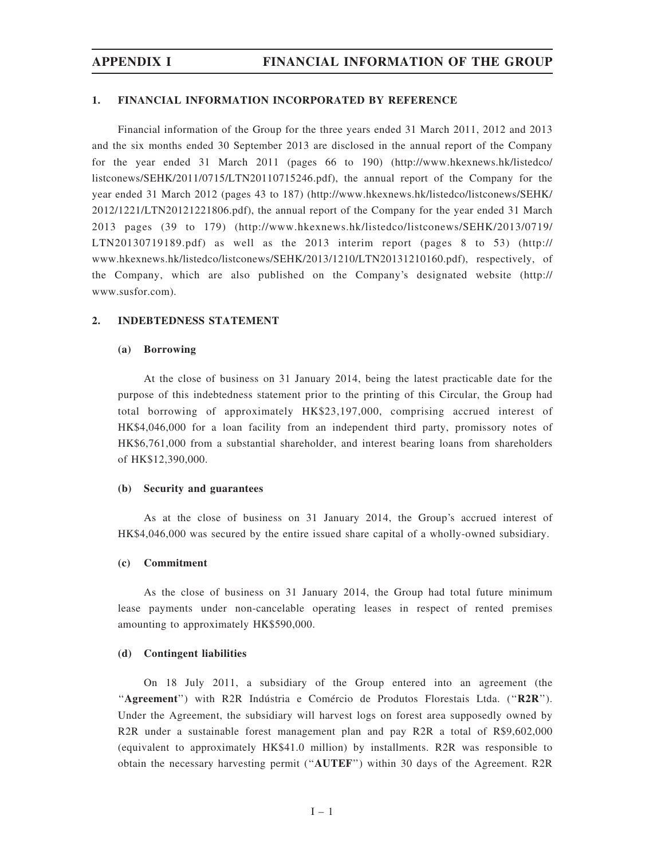#### 1. FINANCIAL INFORMATION INCORPORATED BY REFERENCE

Financial information of the Group for the three years ended 31 March 2011, 2012 and 2013 and the six months ended 30 September 2013 are disclosed in the annual report of the Company for the year ended 31 March 2011 (pages 66 to 190) (http://www.hkexnews.hk/listedco/ listconews/SEHK/2011/0715/LTN20110715246.pdf), the annual report of the Company for the year ended 31 March 2012 (pages 43 to 187) (http://www.hkexnews.hk/listedco/listconews/SEHK/ 2012/1221/LTN20121221806.pdf), the annual report of the Company for the year ended 31 March 2013 pages (39 to 179) (http://www.hkexnews.hk/listedco/listconews/SEHK/2013/0719/ LTN20130719189.pdf) as well as the 2013 interim report (pages 8 to 53) (http:// www.hkexnews.hk/listedco/listconews/SEHK/2013/1210/LTN20131210160.pdf), respectively, of the Company, which are also published on the Company's designated website (http:// www.susfor.com).

#### 2. INDEBTEDNESS STATEMENT

#### (a) Borrowing

At the close of business on 31 January 2014, being the latest practicable date for the purpose of this indebtedness statement prior to the printing of this Circular, the Group had total borrowing of approximately HK\$23,197,000, comprising accrued interest of HK\$4,046,000 for a loan facility from an independent third party, promissory notes of HK\$6,761,000 from a substantial shareholder, and interest bearing loans from shareholders of HK\$12,390,000.

#### (b) Security and guarantees

As at the close of business on 31 January 2014, the Group's accrued interest of HK\$4,046,000 was secured by the entire issued share capital of a wholly-owned subsidiary.

#### (c) Commitment

As the close of business on 31 January 2014, the Group had total future minimum lease payments under non-cancelable operating leases in respect of rented premises amounting to approximately HK\$590,000.

#### (d) Contingent liabilities

On 18 July 2011, a subsidiary of the Group entered into an agreement (the ''Agreement'') with R2R Indústria e Comércio de Produtos Florestais Ltda. (''R2R''). Under the Agreement, the subsidiary will harvest logs on forest area supposedly owned by R2R under a sustainable forest management plan and pay R2R a total of R\$9,602,000 (equivalent to approximately HK\$41.0 million) by installments. R2R was responsible to obtain the necessary harvesting permit (''AUTEF'') within 30 days of the Agreement. R2R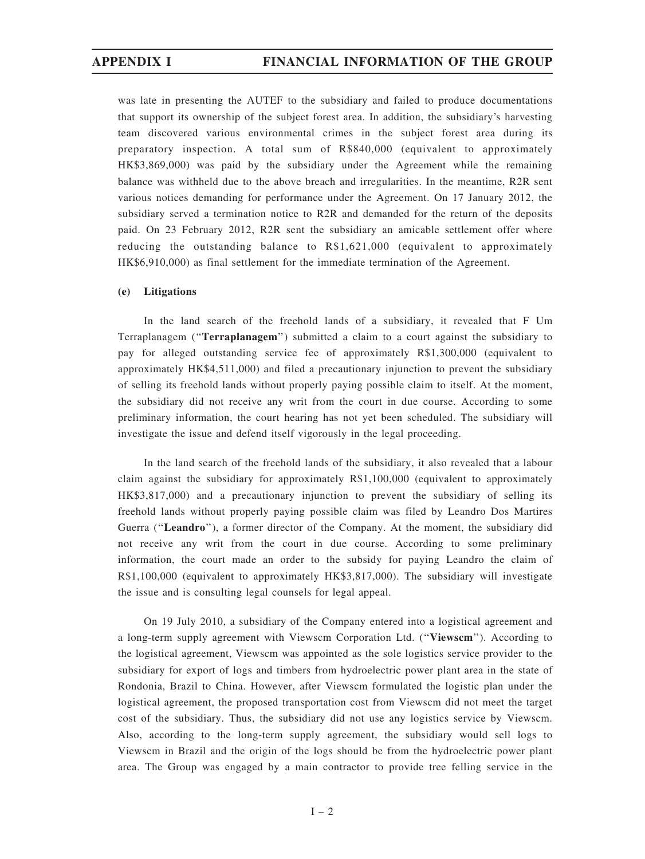was late in presenting the AUTEF to the subsidiary and failed to produce documentations that support its ownership of the subject forest area. In addition, the subsidiary's harvesting team discovered various environmental crimes in the subject forest area during its preparatory inspection. A total sum of R\$840,000 (equivalent to approximately HK\$3,869,000) was paid by the subsidiary under the Agreement while the remaining balance was withheld due to the above breach and irregularities. In the meantime, R2R sent various notices demanding for performance under the Agreement. On 17 January 2012, the subsidiary served a termination notice to R2R and demanded for the return of the deposits paid. On 23 February 2012, R2R sent the subsidiary an amicable settlement offer where reducing the outstanding balance to R\$1,621,000 (equivalent to approximately HK\$6,910,000) as final settlement for the immediate termination of the Agreement.

#### (e) Litigations

In the land search of the freehold lands of a subsidiary, it revealed that F Um Terraplanagem (''Terraplanagem'') submitted a claim to a court against the subsidiary to pay for alleged outstanding service fee of approximately R\$1,300,000 (equivalent to approximately HK\$4,511,000) and filed a precautionary injunction to prevent the subsidiary of selling its freehold lands without properly paying possible claim to itself. At the moment, the subsidiary did not receive any writ from the court in due course. According to some preliminary information, the court hearing has not yet been scheduled. The subsidiary will investigate the issue and defend itself vigorously in the legal proceeding.

In the land search of the freehold lands of the subsidiary, it also revealed that a labour claim against the subsidiary for approximately R\$1,100,000 (equivalent to approximately HK\$3,817,000) and a precautionary injunction to prevent the subsidiary of selling its freehold lands without properly paying possible claim was filed by Leandro Dos Martires Guerra ("Leandro"), a former director of the Company. At the moment, the subsidiary did not receive any writ from the court in due course. According to some preliminary information, the court made an order to the subsidy for paying Leandro the claim of R\$1,100,000 (equivalent to approximately HK\$3,817,000). The subsidiary will investigate the issue and is consulting legal counsels for legal appeal.

On 19 July 2010, a subsidiary of the Company entered into a logistical agreement and a long-term supply agreement with Viewscm Corporation Ltd. (''Viewscm''). According to the logistical agreement, Viewscm was appointed as the sole logistics service provider to the subsidiary for export of logs and timbers from hydroelectric power plant area in the state of Rondonia, Brazil to China. However, after Viewscm formulated the logistic plan under the logistical agreement, the proposed transportation cost from Viewscm did not meet the target cost of the subsidiary. Thus, the subsidiary did not use any logistics service by Viewscm. Also, according to the long-term supply agreement, the subsidiary would sell logs to Viewscm in Brazil and the origin of the logs should be from the hydroelectric power plant area. The Group was engaged by a main contractor to provide tree felling service in the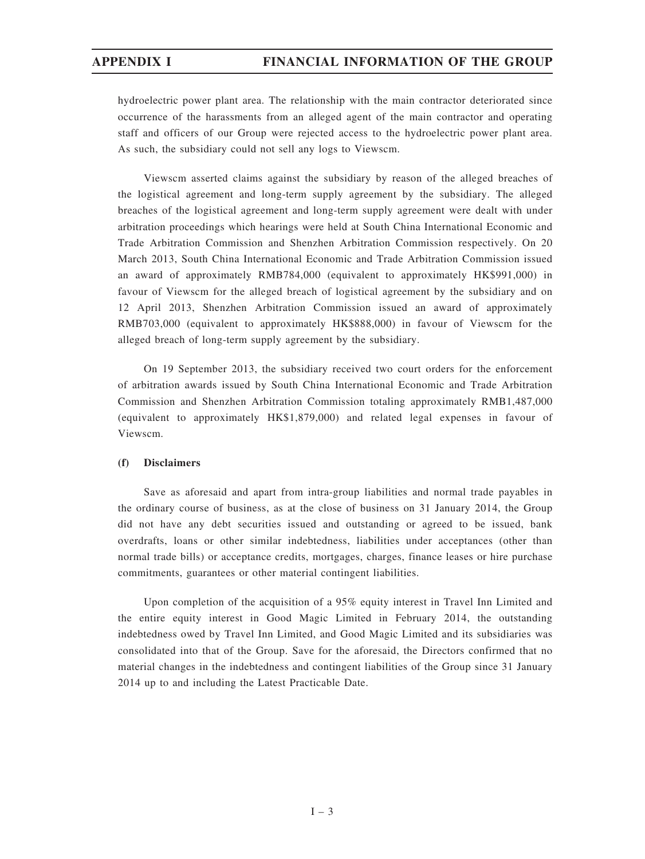hydroelectric power plant area. The relationship with the main contractor deteriorated since occurrence of the harassments from an alleged agent of the main contractor and operating staff and officers of our Group were rejected access to the hydroelectric power plant area. As such, the subsidiary could not sell any logs to Viewscm.

Viewscm asserted claims against the subsidiary by reason of the alleged breaches of the logistical agreement and long-term supply agreement by the subsidiary. The alleged breaches of the logistical agreement and long-term supply agreement were dealt with under arbitration proceedings which hearings were held at South China International Economic and Trade Arbitration Commission and Shenzhen Arbitration Commission respectively. On 20 March 2013, South China International Economic and Trade Arbitration Commission issued an award of approximately RMB784,000 (equivalent to approximately HK\$991,000) in favour of Viewscm for the alleged breach of logistical agreement by the subsidiary and on 12 April 2013, Shenzhen Arbitration Commission issued an award of approximately RMB703,000 (equivalent to approximately HK\$888,000) in favour of Viewscm for the alleged breach of long-term supply agreement by the subsidiary.

On 19 September 2013, the subsidiary received two court orders for the enforcement of arbitration awards issued by South China International Economic and Trade Arbitration Commission and Shenzhen Arbitration Commission totaling approximately RMB1,487,000 (equivalent to approximately HK\$1,879,000) and related legal expenses in favour of Viewscm.

#### (f) Disclaimers

Save as aforesaid and apart from intra-group liabilities and normal trade payables in the ordinary course of business, as at the close of business on 31 January 2014, the Group did not have any debt securities issued and outstanding or agreed to be issued, bank overdrafts, loans or other similar indebtedness, liabilities under acceptances (other than normal trade bills) or acceptance credits, mortgages, charges, finance leases or hire purchase commitments, guarantees or other material contingent liabilities.

Upon completion of the acquisition of a 95% equity interest in Travel Inn Limited and the entire equity interest in Good Magic Limited in February 2014, the outstanding indebtedness owed by Travel Inn Limited, and Good Magic Limited and its subsidiaries was consolidated into that of the Group. Save for the aforesaid, the Directors confirmed that no material changes in the indebtedness and contingent liabilities of the Group since 31 January 2014 up to and including the Latest Practicable Date.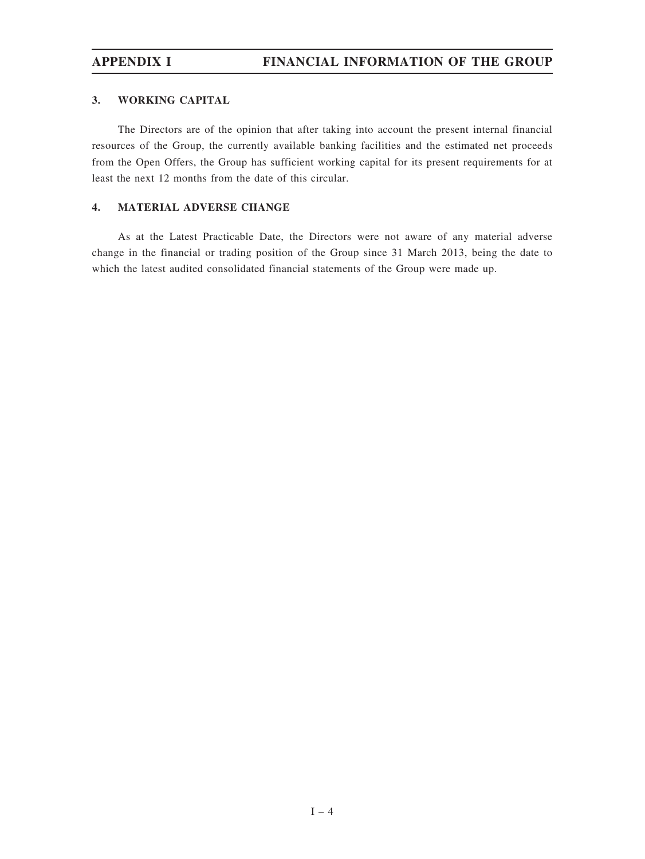# APPENDIX I FINANCIAL INFORMATION OF THE GROUP

# 3. WORKING CAPITAL

The Directors are of the opinion that after taking into account the present internal financial resources of the Group, the currently available banking facilities and the estimated net proceeds from the Open Offers, the Group has sufficient working capital for its present requirements for at least the next 12 months from the date of this circular.

# 4. MATERIAL ADVERSE CHANGE

As at the Latest Practicable Date, the Directors were not aware of any material adverse change in the financial or trading position of the Group since 31 March 2013, being the date to which the latest audited consolidated financial statements of the Group were made up.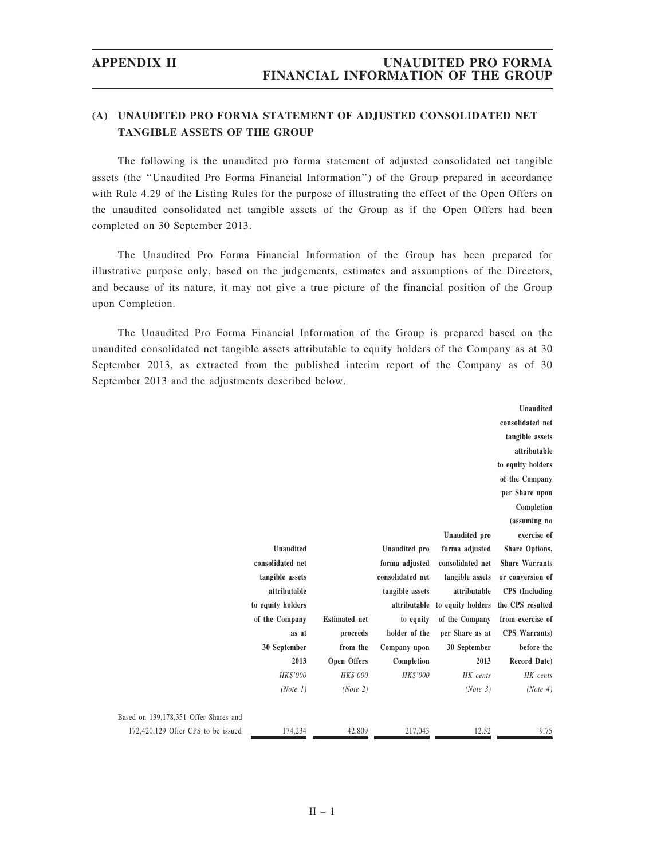# (A) UNAUDITED PRO FORMA STATEMENT OF ADJUSTED CONSOLIDATED NET TANGIBLE ASSETS OF THE GROUP

The following is the unaudited pro forma statement of adjusted consolidated net tangible assets (the ''Unaudited Pro Forma Financial Information'') of the Group prepared in accordance with Rule 4.29 of the Listing Rules for the purpose of illustrating the effect of the Open Offers on the unaudited consolidated net tangible assets of the Group as if the Open Offers had been completed on 30 September 2013.

The Unaudited Pro Forma Financial Information of the Group has been prepared for illustrative purpose only, based on the judgements, estimates and assumptions of the Directors, and because of its nature, it may not give a true picture of the financial position of the Group upon Completion.

The Unaudited Pro Forma Financial Information of the Group is prepared based on the unaudited consolidated net tangible assets attributable to equity holders of the Company as at 30 September 2013, as extracted from the published interim report of the Company as of 30 September 2013 and the adjustments described below.

|                                       |                   |                      |                  |                   | Unaudited             |
|---------------------------------------|-------------------|----------------------|------------------|-------------------|-----------------------|
|                                       |                   |                      |                  |                   | consolidated net      |
|                                       |                   |                      |                  |                   | tangible assets       |
|                                       |                   |                      |                  |                   | attributable          |
|                                       |                   |                      |                  |                   | to equity holders     |
|                                       |                   |                      |                  |                   | of the Company        |
|                                       |                   |                      |                  |                   | per Share upon        |
|                                       |                   |                      |                  |                   | Completion            |
|                                       |                   |                      |                  |                   | (assuming no          |
|                                       |                   |                      |                  | Unaudited pro     | exercise of           |
|                                       | Unaudited         |                      | Unaudited pro    | forma adjusted    | Share Options,        |
|                                       | consolidated net  |                      | forma adjusted   | consolidated net  | <b>Share Warrants</b> |
|                                       | tangible assets   |                      | consolidated net | tangible assets   | or conversion of      |
|                                       | attributable      |                      | tangible assets  | attributable      | <b>CPS</b> (Including |
|                                       | to equity holders |                      | attributable     | to equity holders | the CPS resulted      |
|                                       | of the Company    | <b>Estimated</b> net | to equity        | of the Company    | from exercise of      |
|                                       | as at             | proceeds             | holder of the    | per Share as at   | <b>CPS</b> Warrants)  |
|                                       | 30 September      | from the             | Company upon     | 30 September      | before the            |
|                                       | 2013              | Open Offers          | Completion       | 2013              | Record Date)          |
|                                       | HK\$'000          | HK\$'000             | HK\$'000         | HK cents          | HK cents              |
|                                       | (Note 1)          | (Note 2)             |                  | (Note 3)          | (Note 4)              |
| Based on 139,178,351 Offer Shares and |                   |                      |                  |                   |                       |
| 172,420,129 Offer CPS to be issued    | 174.234           | 42,809               | 217,043          | 12.52             | 9.75                  |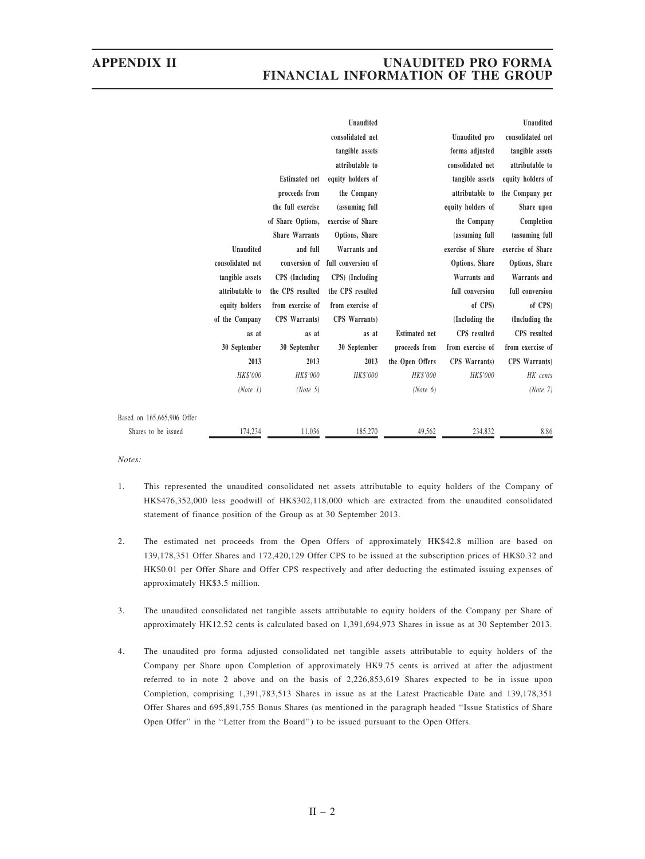# APPENDIX II UNAUDITED PRO FORMA FINANCIAL INFORMATION OF THE GROUP

|                            |                  |                       | Unaudited          |                      |                   | Unaudited         |
|----------------------------|------------------|-----------------------|--------------------|----------------------|-------------------|-------------------|
|                            |                  |                       | consolidated net   |                      | Unaudited pro     | consolidated net  |
|                            |                  |                       | tangible assets    |                      | forma adjusted    | tangible assets   |
|                            |                  |                       | attributable to    |                      | consolidated net  | attributable to   |
|                            |                  | <b>Estimated</b> net  | equity holders of  |                      | tangible assets   | equity holders of |
|                            |                  | proceeds from         | the Company        |                      | attributable to   | the Company per   |
|                            |                  | the full exercise     | (assuming full     |                      | equity holders of | Share upon        |
|                            |                  | of Share Options,     | exercise of Share  |                      | the Company       | Completion        |
|                            |                  | <b>Share Warrants</b> | Options, Share     |                      | (assuming full    | (assuming full    |
|                            | <b>Unaudited</b> | and full              | Warrants and       |                      | exercise of Share | exercise of Share |
|                            | consolidated net | conversion of         | full conversion of |                      | Options, Share    | Options, Share    |
|                            | tangible assets  | CPS (Including        | CPS) (Including    |                      | Warrants and      | Warrants and      |
|                            | attributable to  | the CPS resulted      | the CPS resulted   |                      | full conversion   | full conversion   |
|                            | equity holders   | from exercise of      | from exercise of   |                      | of CPS)           | of CPS)           |
|                            | of the Company   | CPS Warrants)         | CPS Warrants)      |                      | (Including the    | (Including the    |
|                            | as at            | as at                 | as at              | <b>Estimated</b> net | CPS resulted      | CPS resulted      |
|                            | 30 September     | 30 September          | 30 September       | proceeds from        | from exercise of  | from exercise of  |
|                            | 2013             | 2013                  | 2013               | the Open Offers      | CPS Warrants)     | CPS Warrants)     |
|                            | HK\$'000         | HK\$'000              | HK\$'000           | <b>HK\$'000</b>      | HK\$'000          | HK cents          |
|                            | (Note 1)         | (Note 5)              |                    | (Note 6)             |                   | (Note 7)          |
| Based on 165,665,906 Offer |                  |                       |                    |                      |                   |                   |
| Shares to be issued        | 174,234          | 11,036                | 185,270            | 49,562               | 234,832           | 8.86              |

Notes:

- 1. This represented the unaudited consolidated net assets attributable to equity holders of the Company of HK\$476,352,000 less goodwill of HK\$302,118,000 which are extracted from the unaudited consolidated statement of finance position of the Group as at 30 September 2013.
- 2. The estimated net proceeds from the Open Offers of approximately HK\$42.8 million are based on 139,178,351 Offer Shares and 172,420,129 Offer CPS to be issued at the subscription prices of HK\$0.32 and HK\$0.01 per Offer Share and Offer CPS respectively and after deducting the estimated issuing expenses of approximately HK\$3.5 million.
- 3. The unaudited consolidated net tangible assets attributable to equity holders of the Company per Share of approximately HK12.52 cents is calculated based on 1,391,694,973 Shares in issue as at 30 September 2013.
- 4. The unaudited pro forma adjusted consolidated net tangible assets attributable to equity holders of the Company per Share upon Completion of approximately HK9.75 cents is arrived at after the adjustment referred to in note 2 above and on the basis of 2,226,853,619 Shares expected to be in issue upon Completion, comprising 1,391,783,513 Shares in issue as at the Latest Practicable Date and 139,178,351 Offer Shares and 695,891,755 Bonus Shares (as mentioned in the paragraph headed ''Issue Statistics of Share Open Offer'' in the ''Letter from the Board'') to be issued pursuant to the Open Offers.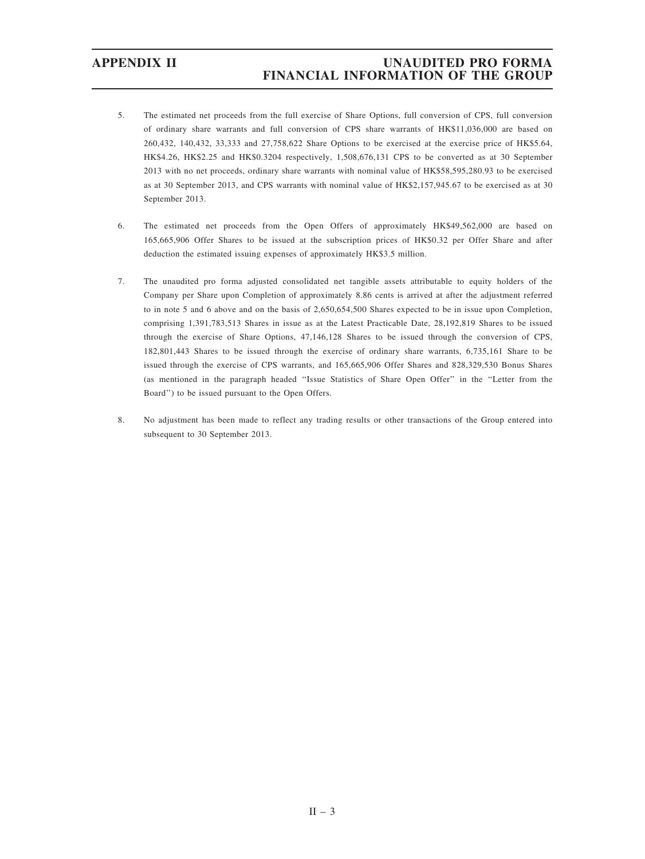- 5. The estimated net proceeds from the full exercise of Share Options, full conversion of CPS, full conversion of ordinary share warrants and full conversion of CPS share warrants of HK\$11,036,000 are based on 260,432, 140,432, 33,333 and 27,758,622 Share Options to be exercised at the exercise price of HK\$5.64, HK\$4.26, HK\$2.25 and HK\$0.3204 respectively, 1,508,676,131 CPS to be converted as at 30 September 2013 with no net proceeds, ordinary share warrants with nominal value of HK\$58,595,280.93 to be exercised as at 30 September 2013, and CPS warrants with nominal value of HK\$2,157,945.67 to be exercised as at 30 September 2013.
- 6. The estimated net proceeds from the Open Offers of approximately HK\$49,562,000 are based on 165,665,906 Offer Shares to be issued at the subscription prices of HK\$0.32 per Offer Share and after deduction the estimated issuing expenses of approximately HK\$3.5 million.
- 7. The unaudited pro forma adjusted consolidated net tangible assets attributable to equity holders of the Company per Share upon Completion of approximately 8.86 cents is arrived at after the adjustment referred to in note 5 and 6 above and on the basis of 2,650,654,500 Shares expected to be in issue upon Completion, comprising 1,391,783,513 Shares in issue as at the Latest Practicable Date, 28,192,819 Shares to be issued through the exercise of Share Options, 47,146,128 Shares to be issued through the conversion of CPS, 182,801,443 Shares to be issued through the exercise of ordinary share warrants, 6,735,161 Share to be issued through the exercise of CPS warrants, and 165,665,906 Offer Shares and 828,329,530 Bonus Shares (as mentioned in the paragraph headed ''Issue Statistics of Share Open Offer'' in the ''Letter from the Board'') to be issued pursuant to the Open Offers.
- 8. No adjustment has been made to reflect any trading results or other transactions of the Group entered into subsequent to 30 September 2013.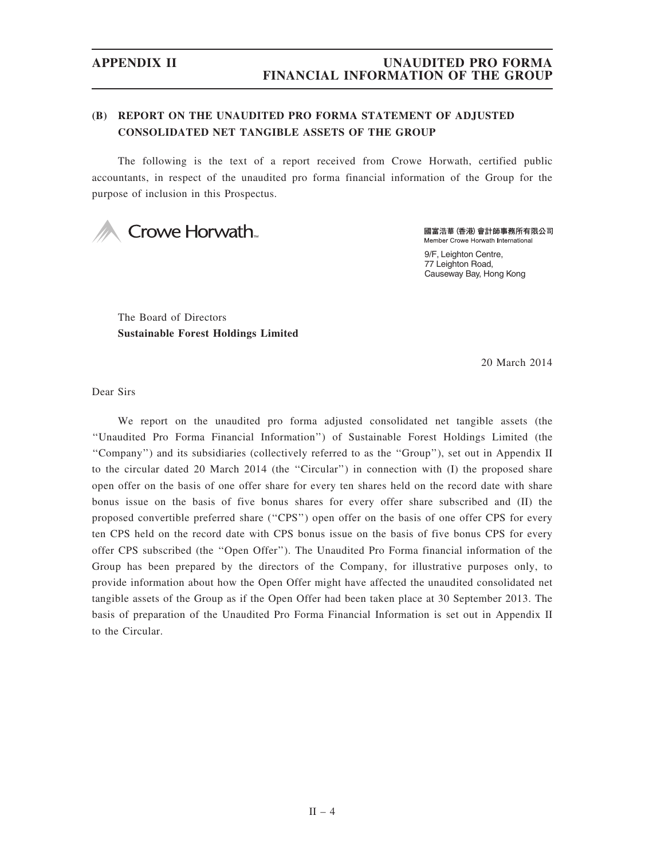# APPENDIX II UNAUDITED PRO FORMA FINANCIAL INFORMATION OF THE GROUP

# (B) REPORT ON THE UNAUDITED PRO FORMA STATEMENT OF ADJUSTED CONSOLIDATED NET TANGIBLE ASSETS OF THE GROUP

The following is the text of a report received from Crowe Horwath, certified public accountants, in respect of the unaudited pro forma financial information of the Group for the purpose of inclusion in this Prospectus.



國富浩華 (香港) 會計師事務所有限公司 Member Crowe Horwath International

9/F, Leighton Centre, 77 Leighton Road, Causeway Bay, Hong Kong

The Board of Directors Sustainable Forest Holdings Limited

20 March 2014

Dear Sirs

We report on the unaudited pro forma adjusted consolidated net tangible assets (the ''Unaudited Pro Forma Financial Information'') of Sustainable Forest Holdings Limited (the ''Company'') and its subsidiaries (collectively referred to as the ''Group''), set out in Appendix II to the circular dated 20 March 2014 (the ''Circular'') in connection with (I) the proposed share open offer on the basis of one offer share for every ten shares held on the record date with share bonus issue on the basis of five bonus shares for every offer share subscribed and (II) the proposed convertible preferred share (''CPS'') open offer on the basis of one offer CPS for every ten CPS held on the record date with CPS bonus issue on the basis of five bonus CPS for every offer CPS subscribed (the ''Open Offer''). The Unaudited Pro Forma financial information of the Group has been prepared by the directors of the Company, for illustrative purposes only, to provide information about how the Open Offer might have affected the unaudited consolidated net tangible assets of the Group as if the Open Offer had been taken place at 30 September 2013. The basis of preparation of the Unaudited Pro Forma Financial Information is set out in Appendix II to the Circular.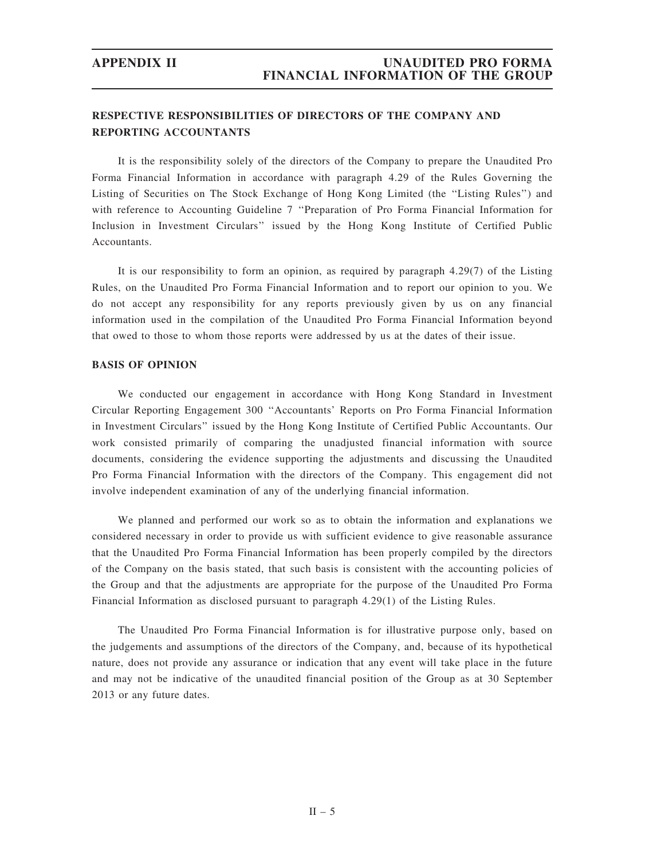# RESPECTIVE RESPONSIBILITIES OF DIRECTORS OF THE COMPANY AND REPORTING ACCOUNTANTS

It is the responsibility solely of the directors of the Company to prepare the Unaudited Pro Forma Financial Information in accordance with paragraph 4.29 of the Rules Governing the Listing of Securities on The Stock Exchange of Hong Kong Limited (the ''Listing Rules'') and with reference to Accounting Guideline 7 ''Preparation of Pro Forma Financial Information for Inclusion in Investment Circulars'' issued by the Hong Kong Institute of Certified Public Accountants.

It is our responsibility to form an opinion, as required by paragraph 4.29(7) of the Listing Rules, on the Unaudited Pro Forma Financial Information and to report our opinion to you. We do not accept any responsibility for any reports previously given by us on any financial information used in the compilation of the Unaudited Pro Forma Financial Information beyond that owed to those to whom those reports were addressed by us at the dates of their issue.

### BASIS OF OPINION

We conducted our engagement in accordance with Hong Kong Standard in Investment Circular Reporting Engagement 300 ''Accountants' Reports on Pro Forma Financial Information in Investment Circulars'' issued by the Hong Kong Institute of Certified Public Accountants. Our work consisted primarily of comparing the unadjusted financial information with source documents, considering the evidence supporting the adjustments and discussing the Unaudited Pro Forma Financial Information with the directors of the Company. This engagement did not involve independent examination of any of the underlying financial information.

We planned and performed our work so as to obtain the information and explanations we considered necessary in order to provide us with sufficient evidence to give reasonable assurance that the Unaudited Pro Forma Financial Information has been properly compiled by the directors of the Company on the basis stated, that such basis is consistent with the accounting policies of the Group and that the adjustments are appropriate for the purpose of the Unaudited Pro Forma Financial Information as disclosed pursuant to paragraph 4.29(1) of the Listing Rules.

The Unaudited Pro Forma Financial Information is for illustrative purpose only, based on the judgements and assumptions of the directors of the Company, and, because of its hypothetical nature, does not provide any assurance or indication that any event will take place in the future and may not be indicative of the unaudited financial position of the Group as at 30 September 2013 or any future dates.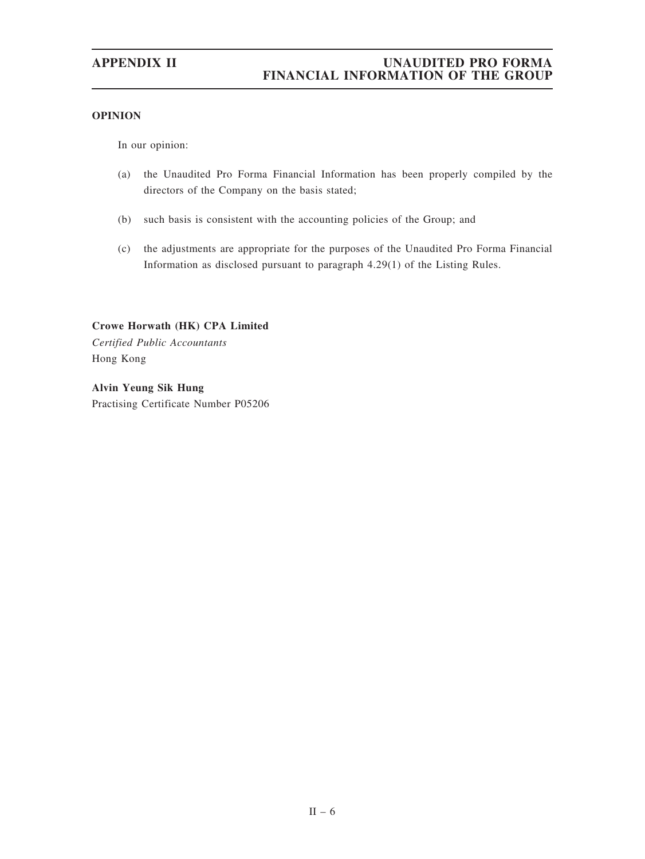# OPINION

In our opinion:

- (a) the Unaudited Pro Forma Financial Information has been properly compiled by the directors of the Company on the basis stated;
- (b) such basis is consistent with the accounting policies of the Group; and
- (c) the adjustments are appropriate for the purposes of the Unaudited Pro Forma Financial Information as disclosed pursuant to paragraph 4.29(1) of the Listing Rules.

Crowe Horwath (HK) CPA Limited Certified Public Accountants Hong Kong

Alvin Yeung Sik Hung Practising Certificate Number P05206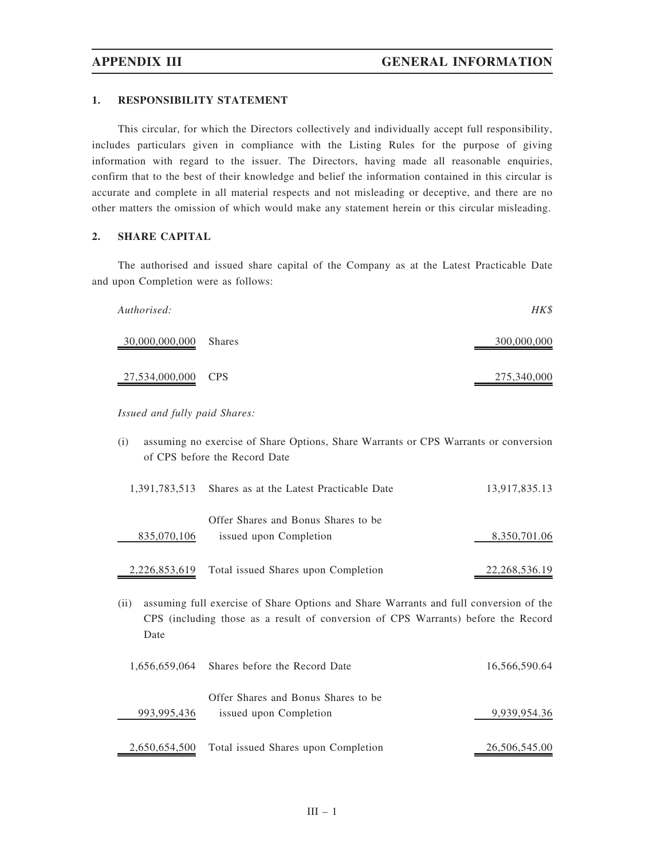### 1. RESPONSIBILITY STATEMENT

This circular, for which the Directors collectively and individually accept full responsibility, includes particulars given in compliance with the Listing Rules for the purpose of giving information with regard to the issuer. The Directors, having made all reasonable enquiries, confirm that to the best of their knowledge and belief the information contained in this circular is accurate and complete in all material respects and not misleading or deceptive, and there are no other matters the omission of which would make any statement herein or this circular misleading.

### 2. SHARE CAPITAL

The authorised and issued share capital of the Company as at the Latest Practicable Date and upon Completion were as follows:

| Authorised:           | HK\$        |
|-----------------------|-------------|
| 30,000,000,000 Shares | 300,000,000 |
| 27,534,000,000 CPS    | 275,340,000 |

Issued and fully paid Shares:

835,070,106

(i) assuming no exercise of Share Options, Share Warrants or CPS Warrants or conversion of CPS before the Record Date 1,391,783,513 Shares as at the Latest Practicable Date 13,917,835.13 Offer Shares and Bonus Shares to be

| 2,226,853,619 Total issued Shares upon Completion | 22, 268, 536. 19 |
|---------------------------------------------------|------------------|

issued upon Completion 8,350,701.06

(ii) assuming full exercise of Share Options and Share Warrants and full conversion of the CPS (including those as a result of conversion of CPS Warrants) before the Record Date

|             | 1,656,659,064 Shares before the Record Date       | 16,566,590.64 |
|-------------|---------------------------------------------------|---------------|
|             | Offer Shares and Bonus Shares to be               |               |
| 993,995,436 | issued upon Completion                            | 9,939,954.36  |
|             | 2,650,654,500 Total issued Shares upon Completion | 26,506,545.00 |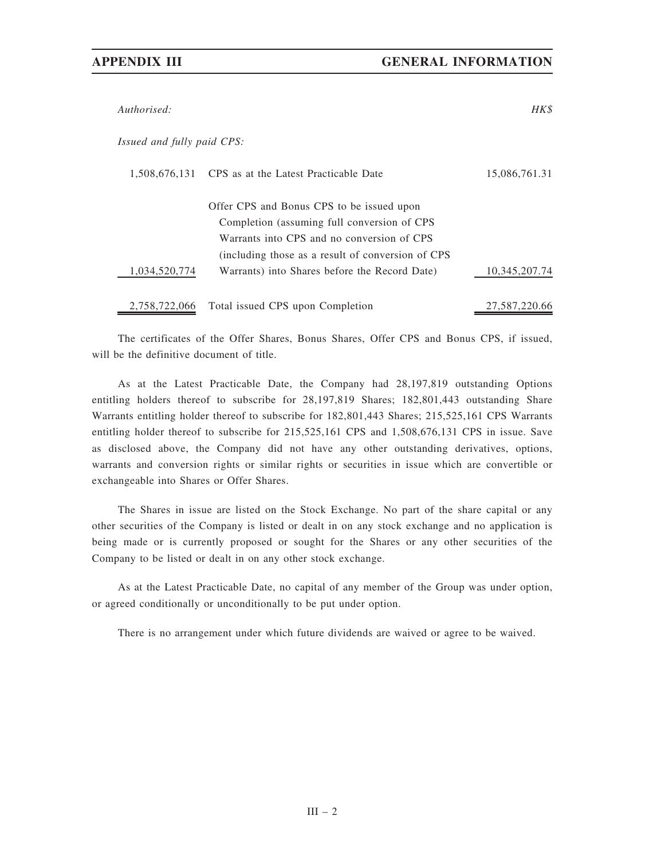Authorised: HK\$

Issued and fully paid CPS:

|               | 1,508,676,131 CPS as at the Latest Practicable Date | 15,086,761.31 |
|---------------|-----------------------------------------------------|---------------|
|               |                                                     |               |
|               | Offer CPS and Bonus CPS to be issued upon           |               |
|               | Completion (assuming full conversion of CPS         |               |
|               | Warrants into CPS and no conversion of CPS          |               |
|               | (including those as a result of conversion of CPS)  |               |
| 1,034,520,774 | Warrants) into Shares before the Record Date)       | 10,345,207.74 |
|               |                                                     |               |
|               | 2,758,722,066 Total issued CPS upon Completion      | 27,587,220.66 |

The certificates of the Offer Shares, Bonus Shares, Offer CPS and Bonus CPS, if issued, will be the definitive document of title.

As at the Latest Practicable Date, the Company had 28,197,819 outstanding Options entitling holders thereof to subscribe for 28,197,819 Shares; 182,801,443 outstanding Share Warrants entitling holder thereof to subscribe for 182,801,443 Shares; 215,525,161 CPS Warrants entitling holder thereof to subscribe for 215,525,161 CPS and 1,508,676,131 CPS in issue. Save as disclosed above, the Company did not have any other outstanding derivatives, options, warrants and conversion rights or similar rights or securities in issue which are convertible or exchangeable into Shares or Offer Shares.

The Shares in issue are listed on the Stock Exchange. No part of the share capital or any other securities of the Company is listed or dealt in on any stock exchange and no application is being made or is currently proposed or sought for the Shares or any other securities of the Company to be listed or dealt in on any other stock exchange.

As at the Latest Practicable Date, no capital of any member of the Group was under option, or agreed conditionally or unconditionally to be put under option.

There is no arrangement under which future dividends are waived or agree to be waived.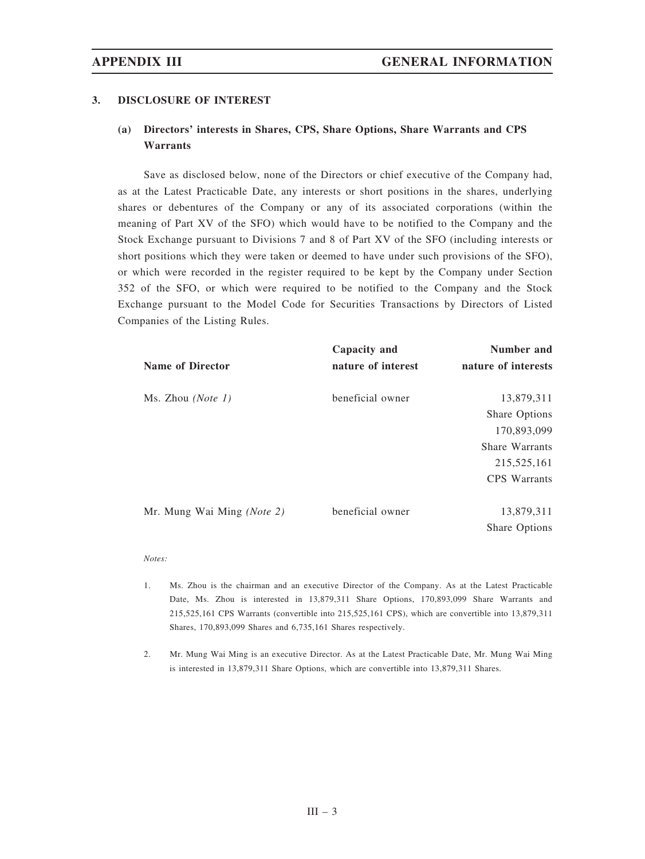### 3. DISCLOSURE OF INTEREST

# (a) Directors' interests in Shares, CPS, Share Options, Share Warrants and CPS Warrants

Save as disclosed below, none of the Directors or chief executive of the Company had, as at the Latest Practicable Date, any interests or short positions in the shares, underlying shares or debentures of the Company or any of its associated corporations (within the meaning of Part XV of the SFO) which would have to be notified to the Company and the Stock Exchange pursuant to Divisions 7 and 8 of Part XV of the SFO (including interests or short positions which they were taken or deemed to have under such provisions of the SFO), or which were recorded in the register required to be kept by the Company under Section 352 of the SFO, or which were required to be notified to the Company and the Stock Exchange pursuant to the Model Code for Securities Transactions by Directors of Listed Companies of the Listing Rules.

|                            | Capacity and       | Number and           |
|----------------------------|--------------------|----------------------|
| <b>Name of Director</b>    | nature of interest | nature of interests  |
| Ms. Zhou ( <i>Note 1</i> ) | beneficial owner   | 13,879,311           |
|                            |                    | Share Options        |
|                            |                    | 170,893,099          |
|                            |                    | Share Warrants       |
|                            |                    | 215, 525, 161        |
|                            |                    | <b>CPS</b> Warrants  |
|                            |                    |                      |
| Mr. Mung Wai Ming (Note 2) | beneficial owner   | 13,879,311           |
|                            |                    | <b>Share Options</b> |

### Notes:

- 1. Ms. Zhou is the chairman and an executive Director of the Company. As at the Latest Practicable Date, Ms. Zhou is interested in 13,879,311 Share Options, 170,893,099 Share Warrants and 215,525,161 CPS Warrants (convertible into 215,525,161 CPS), which are convertible into 13,879,311 Shares, 170,893,099 Shares and 6,735,161 Shares respectively.
- 2. Mr. Mung Wai Ming is an executive Director. As at the Latest Practicable Date, Mr. Mung Wai Ming is interested in 13,879,311 Share Options, which are convertible into 13,879,311 Shares.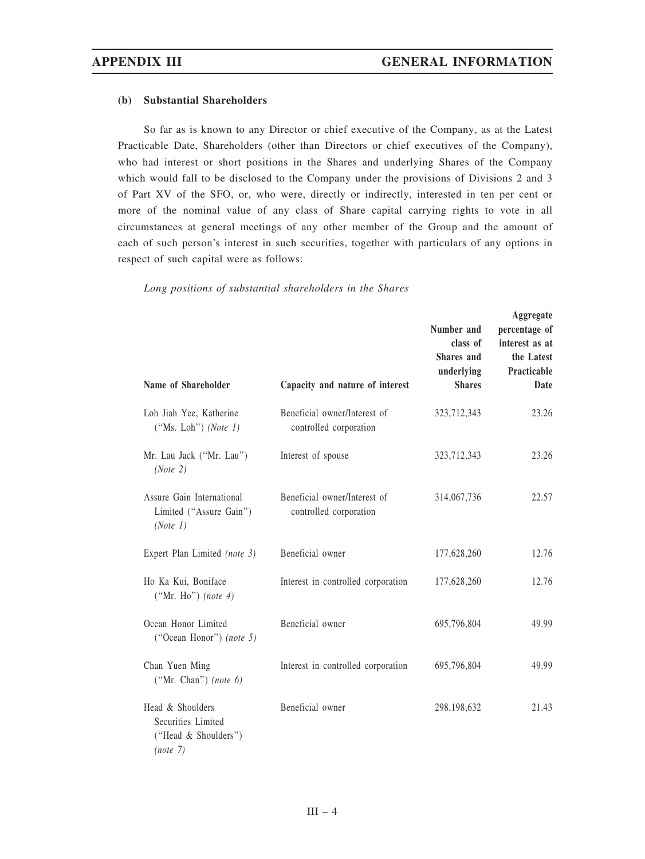### (b) Substantial Shareholders

So far as is known to any Director or chief executive of the Company, as at the Latest Practicable Date, Shareholders (other than Directors or chief executives of the Company), who had interest or short positions in the Shares and underlying Shares of the Company which would fall to be disclosed to the Company under the provisions of Divisions 2 and 3 of Part XV of the SFO, or, who were, directly or indirectly, interested in ten per cent or more of the nominal value of any class of Share capital carrying rights to vote in all circumstances at general meetings of any other member of the Group and the amount of each of such person's interest in such securities, together with particulars of any options in respect of such capital were as follows:

| Name of Shareholder                                                        | Capacity and nature of interest                        | Number and<br>class of<br><b>Shares</b> and<br>underlying<br><b>Shares</b> | Aggregate<br>percentage of<br>interest as at<br>the Latest<br>Practicable<br>Date |
|----------------------------------------------------------------------------|--------------------------------------------------------|----------------------------------------------------------------------------|-----------------------------------------------------------------------------------|
| Loh Jiah Yee, Katherine<br>("Ms. Loh") (Note $1$ )                         | Beneficial owner/Interest of<br>controlled corporation | 323,712,343                                                                | 23.26                                                                             |
| Mr. Lau Jack ("Mr. Lau")<br>(Note 2)                                       | Interest of spouse                                     | 323,712,343                                                                | 23.26                                                                             |
| Assure Gain International<br>Limited ("Assure Gain")<br>(Note 1)           | Beneficial owner/Interest of<br>controlled corporation | 314,067,736                                                                | 22.57                                                                             |
| Expert Plan Limited (note 3)                                               | Beneficial owner                                       | 177,628,260                                                                | 12.76                                                                             |
| Ho Ka Kui, Boniface<br>("Mr. Ho") (note $4$ )                              | Interest in controlled corporation                     | 177,628,260                                                                | 12.76                                                                             |
| Ocean Honor Limited<br>("Ocean Honor") (note 5)                            | Beneficial owner                                       | 695,796,804                                                                | 49.99                                                                             |
| Chan Yuen Ming<br>("Mr. Chan") (note $6$ )                                 | Interest in controlled corporation                     | 695,796,804                                                                | 49.99                                                                             |
| Head & Shoulders<br>Securities Limited<br>("Head & Shoulders")<br>(note 7) | Beneficial owner                                       | 298,198,632                                                                | 21.43                                                                             |

Long positions of substantial shareholders in the Shares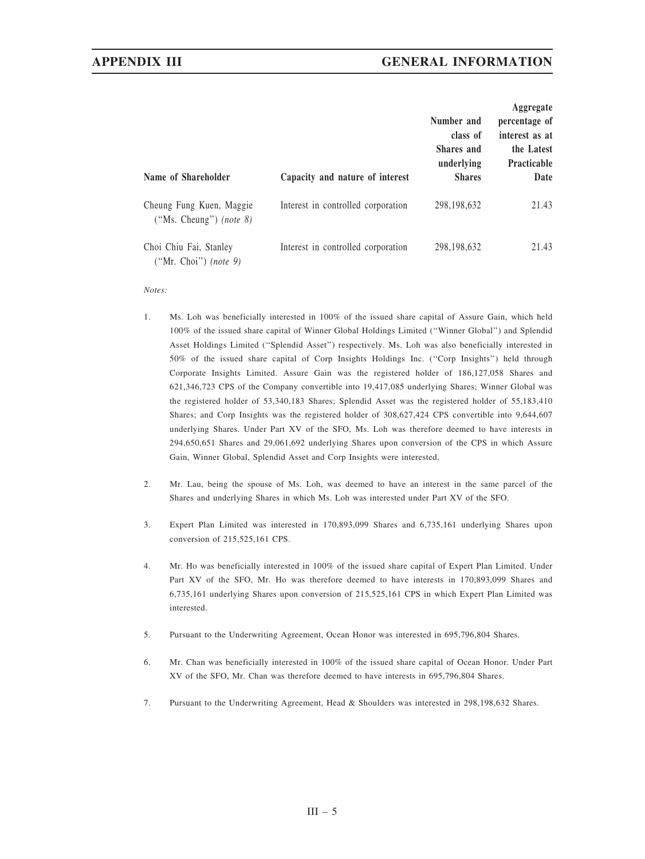# APPENDIX III GENERAL INFORMATION

| Name of Shareholder                                        | Capacity and nature of interest    | Number and<br>class of<br><b>Shares</b> and<br>underlying<br><b>Shares</b> | Aggregate<br>percentage of<br>interest as at<br>the Latest<br><b>Practicable</b><br>Date |
|------------------------------------------------------------|------------------------------------|----------------------------------------------------------------------------|------------------------------------------------------------------------------------------|
| Cheung Fung Kuen, Maggie<br>("Ms. Cheung") <i>(note 8)</i> | Interest in controlled corporation | 298,198,632                                                                | 21.43                                                                                    |
| Choi Chiu Fai, Stanley<br>$("Mr. Choi")$ (note 9)          | Interest in controlled corporation | 298,198,632                                                                | 21.43                                                                                    |

### Notes:

- 1. Ms. Loh was beneficially interested in 100% of the issued share capital of Assure Gain, which held 100% of the issued share capital of Winner Global Holdings Limited (''Winner Global'') and Splendid Asset Holdings Limited (''Splendid Asset'') respectively. Ms. Loh was also beneficially interested in 50% of the issued share capital of Corp Insights Holdings Inc. (''Corp Insights'') held through Corporate Insights Limited. Assure Gain was the registered holder of 186,127,058 Shares and 621,346,723 CPS of the Company convertible into 19,417,085 underlying Shares; Winner Global was the registered holder of 53,340,183 Shares; Splendid Asset was the registered holder of 55,183,410 Shares; and Corp Insights was the registered holder of 308,627,424 CPS convertible into 9,644,607 underlying Shares. Under Part XV of the SFO, Ms. Loh was therefore deemed to have interests in 294,650,651 Shares and 29,061,692 underlying Shares upon conversion of the CPS in which Assure Gain, Winner Global, Splendid Asset and Corp Insights were interested.
- 2. Mr. Lau, being the spouse of Ms. Loh, was deemed to have an interest in the same parcel of the Shares and underlying Shares in which Ms. Loh was interested under Part XV of the SFO.
- 3. Expert Plan Limited was interested in 170,893,099 Shares and 6,735,161 underlying Shares upon conversion of 215,525,161 CPS.
- 4. Mr. Ho was beneficially interested in 100% of the issued share capital of Expert Plan Limited. Under Part XV of the SFO, Mr. Ho was therefore deemed to have interests in 170,893,099 Shares and 6,735,161 underlying Shares upon conversion of 215,525,161 CPS in which Expert Plan Limited was interested.
- 5. Pursuant to the Underwriting Agreement, Ocean Honor was interested in 695,796,804 Shares.
- 6. Mr. Chan was beneficially interested in 100% of the issued share capital of Ocean Honor. Under Part XV of the SFO, Mr. Chan was therefore deemed to have interests in 695,796,804 Shares.
- 7. Pursuant to the Underwriting Agreement, Head & Shoulders was interested in 298,198,632 Shares.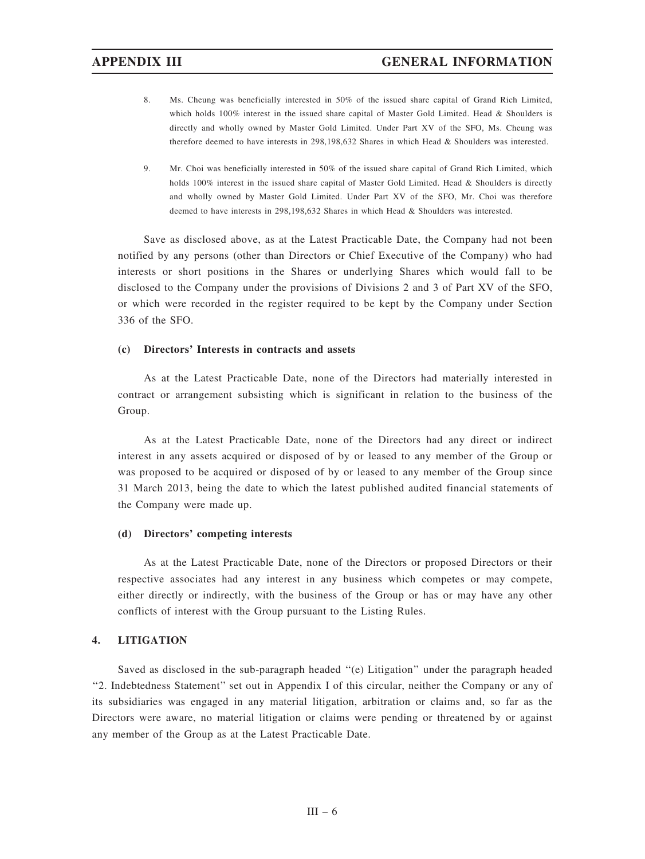- 8. Ms. Cheung was beneficially interested in 50% of the issued share capital of Grand Rich Limited, which holds 100% interest in the issued share capital of Master Gold Limited. Head & Shoulders is directly and wholly owned by Master Gold Limited. Under Part XV of the SFO, Ms. Cheung was therefore deemed to have interests in 298,198,632 Shares in which Head & Shoulders was interested.
- 9. Mr. Choi was beneficially interested in 50% of the issued share capital of Grand Rich Limited, which holds 100% interest in the issued share capital of Master Gold Limited. Head & Shoulders is directly and wholly owned by Master Gold Limited. Under Part XV of the SFO, Mr. Choi was therefore deemed to have interests in 298,198,632 Shares in which Head & Shoulders was interested.

Save as disclosed above, as at the Latest Practicable Date, the Company had not been notified by any persons (other than Directors or Chief Executive of the Company) who had interests or short positions in the Shares or underlying Shares which would fall to be disclosed to the Company under the provisions of Divisions 2 and 3 of Part XV of the SFO, or which were recorded in the register required to be kept by the Company under Section 336 of the SFO.

### (c) Directors' Interests in contracts and assets

As at the Latest Practicable Date, none of the Directors had materially interested in contract or arrangement subsisting which is significant in relation to the business of the Group.

As at the Latest Practicable Date, none of the Directors had any direct or indirect interest in any assets acquired or disposed of by or leased to any member of the Group or was proposed to be acquired or disposed of by or leased to any member of the Group since 31 March 2013, being the date to which the latest published audited financial statements of the Company were made up.

### (d) Directors' competing interests

As at the Latest Practicable Date, none of the Directors or proposed Directors or their respective associates had any interest in any business which competes or may compete, either directly or indirectly, with the business of the Group or has or may have any other conflicts of interest with the Group pursuant to the Listing Rules.

### 4. LITIGATION

Saved as disclosed in the sub-paragraph headed ''(e) Litigation'' under the paragraph headed "2. Indebtedness Statement" set out in Appendix I of this circular, neither the Company or any of its subsidiaries was engaged in any material litigation, arbitration or claims and, so far as the Directors were aware, no material litigation or claims were pending or threatened by or against any member of the Group as at the Latest Practicable Date.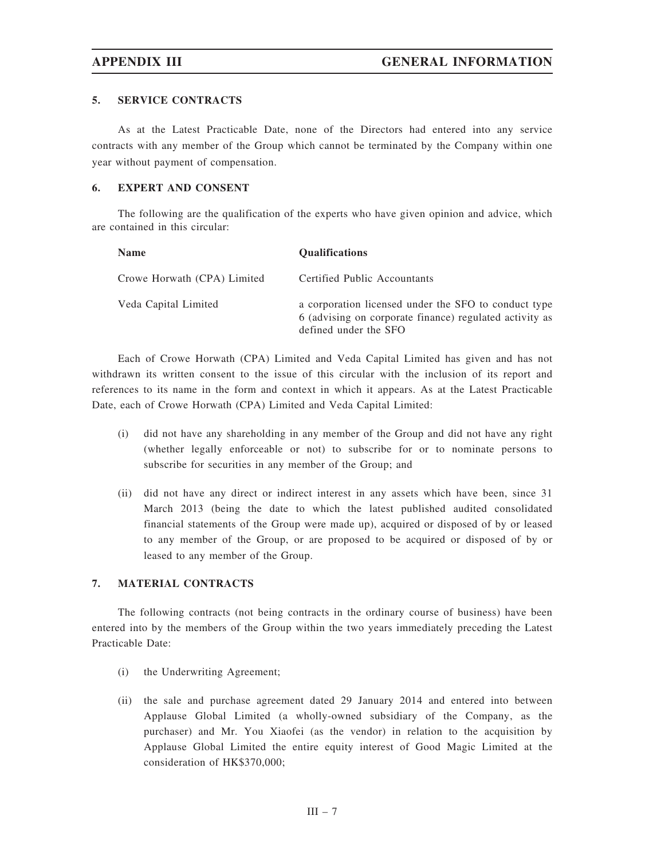### 5. SERVICE CONTRACTS

As at the Latest Practicable Date, none of the Directors had entered into any service contracts with any member of the Group which cannot be terminated by the Company within one year without payment of compensation.

### 6. EXPERT AND CONSENT

The following are the qualification of the experts who have given opinion and advice, which are contained in this circular:

| <b>Name</b>                 | <b>Qualifications</b>                                                                                                                    |
|-----------------------------|------------------------------------------------------------------------------------------------------------------------------------------|
| Crowe Horwath (CPA) Limited | Certified Public Accountants                                                                                                             |
| Veda Capital Limited        | a corporation licensed under the SFO to conduct type<br>6 (advising on corporate finance) regulated activity as<br>defined under the SFO |

Each of Crowe Horwath (CPA) Limited and Veda Capital Limited has given and has not withdrawn its written consent to the issue of this circular with the inclusion of its report and references to its name in the form and context in which it appears. As at the Latest Practicable Date, each of Crowe Horwath (CPA) Limited and Veda Capital Limited:

- (i) did not have any shareholding in any member of the Group and did not have any right (whether legally enforceable or not) to subscribe for or to nominate persons to subscribe for securities in any member of the Group; and
- (ii) did not have any direct or indirect interest in any assets which have been, since 31 March 2013 (being the date to which the latest published audited consolidated financial statements of the Group were made up), acquired or disposed of by or leased to any member of the Group, or are proposed to be acquired or disposed of by or leased to any member of the Group.

### 7. MATERIAL CONTRACTS

The following contracts (not being contracts in the ordinary course of business) have been entered into by the members of the Group within the two years immediately preceding the Latest Practicable Date:

- (i) the Underwriting Agreement;
- (ii) the sale and purchase agreement dated 29 January 2014 and entered into between Applause Global Limited (a wholly-owned subsidiary of the Company, as the purchaser) and Mr. You Xiaofei (as the vendor) in relation to the acquisition by Applause Global Limited the entire equity interest of Good Magic Limited at the consideration of HK\$370,000;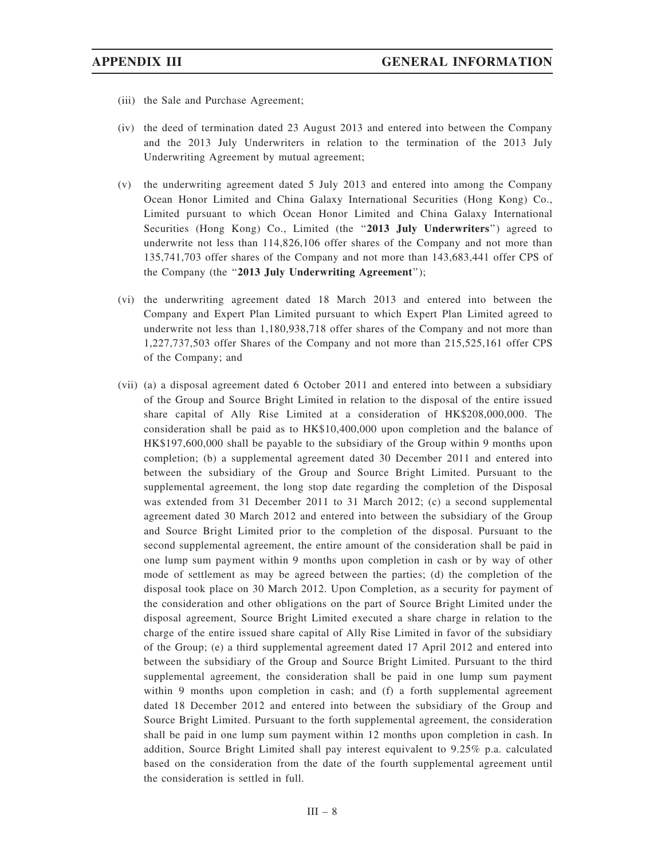- (iii) the Sale and Purchase Agreement;
- (iv) the deed of termination dated 23 August 2013 and entered into between the Company and the 2013 July Underwriters in relation to the termination of the 2013 July Underwriting Agreement by mutual agreement;
- (v) the underwriting agreement dated 5 July 2013 and entered into among the Company Ocean Honor Limited and China Galaxy International Securities (Hong Kong) Co., Limited pursuant to which Ocean Honor Limited and China Galaxy International Securities (Hong Kong) Co., Limited (the "2013 July Underwriters") agreed to underwrite not less than 114,826,106 offer shares of the Company and not more than 135,741,703 offer shares of the Company and not more than 143,683,441 offer CPS of the Company (the ''2013 July Underwriting Agreement'');
- (vi) the underwriting agreement dated 18 March 2013 and entered into between the Company and Expert Plan Limited pursuant to which Expert Plan Limited agreed to underwrite not less than 1,180,938,718 offer shares of the Company and not more than 1,227,737,503 offer Shares of the Company and not more than 215,525,161 offer CPS of the Company; and
- (vii) (a) a disposal agreement dated 6 October 2011 and entered into between a subsidiary of the Group and Source Bright Limited in relation to the disposal of the entire issued share capital of Ally Rise Limited at a consideration of HK\$208,000,000. The consideration shall be paid as to HK\$10,400,000 upon completion and the balance of HK\$197,600,000 shall be payable to the subsidiary of the Group within 9 months upon completion; (b) a supplemental agreement dated 30 December 2011 and entered into between the subsidiary of the Group and Source Bright Limited. Pursuant to the supplemental agreement, the long stop date regarding the completion of the Disposal was extended from 31 December 2011 to 31 March 2012; (c) a second supplemental agreement dated 30 March 2012 and entered into between the subsidiary of the Group and Source Bright Limited prior to the completion of the disposal. Pursuant to the second supplemental agreement, the entire amount of the consideration shall be paid in one lump sum payment within 9 months upon completion in cash or by way of other mode of settlement as may be agreed between the parties; (d) the completion of the disposal took place on 30 March 2012. Upon Completion, as a security for payment of the consideration and other obligations on the part of Source Bright Limited under the disposal agreement, Source Bright Limited executed a share charge in relation to the charge of the entire issued share capital of Ally Rise Limited in favor of the subsidiary of the Group; (e) a third supplemental agreement dated 17 April 2012 and entered into between the subsidiary of the Group and Source Bright Limited. Pursuant to the third supplemental agreement, the consideration shall be paid in one lump sum payment within 9 months upon completion in cash; and (f) a forth supplemental agreement dated 18 December 2012 and entered into between the subsidiary of the Group and Source Bright Limited. Pursuant to the forth supplemental agreement, the consideration shall be paid in one lump sum payment within 12 months upon completion in cash. In addition, Source Bright Limited shall pay interest equivalent to 9.25% p.a. calculated based on the consideration from the date of the fourth supplemental agreement until the consideration is settled in full.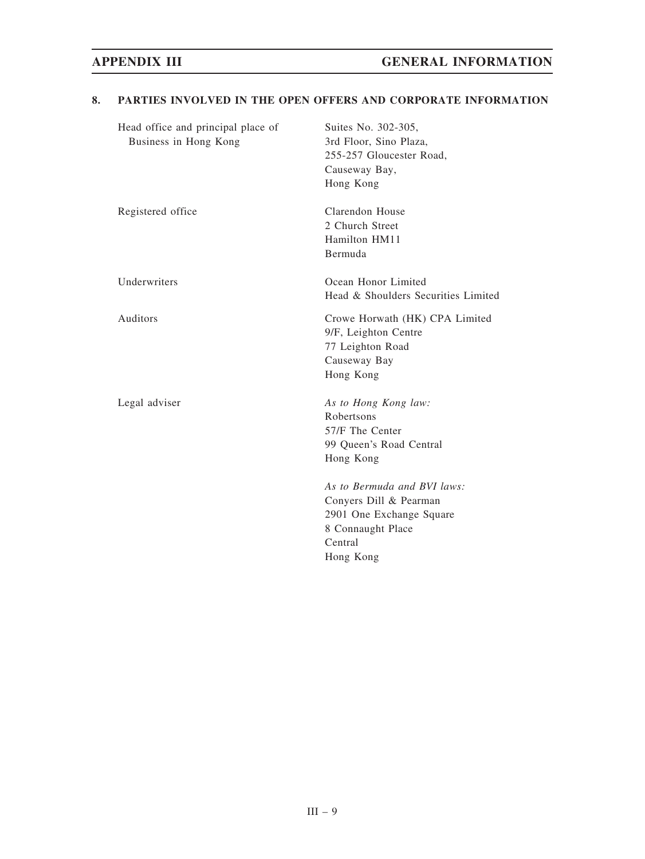| Head office and principal place of<br>Business in Hong Kong | Suites No. 302-305,<br>3rd Floor, Sino Plaza,<br>255-257 Gloucester Road,<br>Causeway Bay,<br>Hong Kong                        |
|-------------------------------------------------------------|--------------------------------------------------------------------------------------------------------------------------------|
| Registered office                                           | Clarendon House<br>2 Church Street<br>Hamilton HM11<br>Bermuda                                                                 |
| Underwriters                                                | Ocean Honor Limited<br>Head & Shoulders Securities Limited                                                                     |
| Auditors                                                    | Crowe Horwath (HK) CPA Limited<br>9/F, Leighton Centre<br>77 Leighton Road<br>Causeway Bay<br>Hong Kong                        |
| Legal adviser                                               | As to Hong Kong law:<br>Robertsons<br>57/F The Center<br>99 Queen's Road Central<br>Hong Kong                                  |
|                                                             | As to Bermuda and BVI laws:<br>Conyers Dill & Pearman<br>2901 One Exchange Square<br>8 Connaught Place<br>Central<br>Hong Kong |

## 8. PARTIES INVOLVED IN THE OPEN OFFERS AND CORPORATE INFORMATION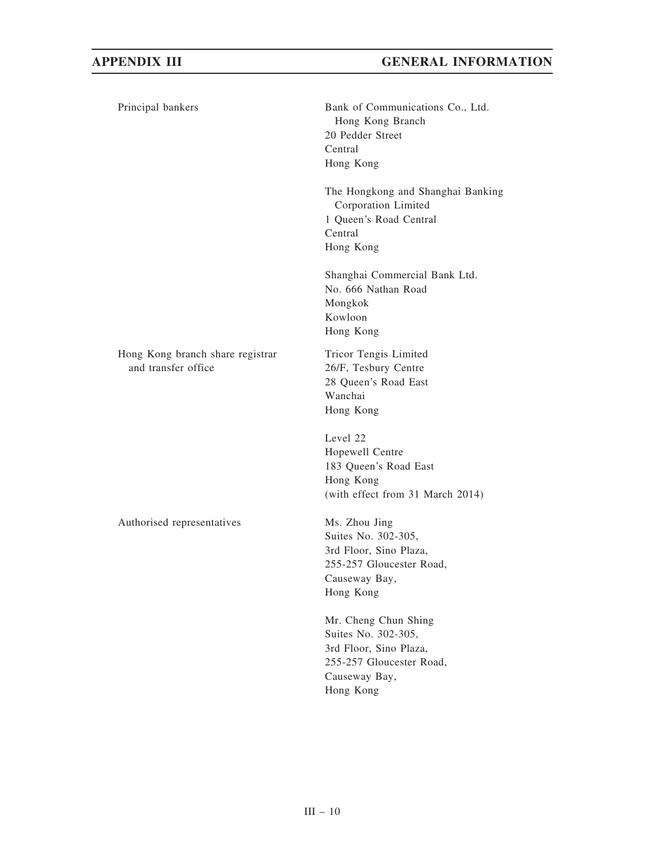| Principal bankers                                       | Bank of Communications Co., Ltd.<br>Hong Kong Branch<br>20 Pedder Street<br>Central<br>Hong Kong                                |
|---------------------------------------------------------|---------------------------------------------------------------------------------------------------------------------------------|
|                                                         | The Hongkong and Shanghai Banking<br>Corporation Limited<br>1 Queen's Road Central<br>Central<br>Hong Kong                      |
|                                                         | Shanghai Commercial Bank Ltd.<br>No. 666 Nathan Road<br>Mongkok<br>Kowloon<br>Hong Kong                                         |
| Hong Kong branch share registrar<br>and transfer office | Tricor Tengis Limited<br>26/F, Tesbury Centre<br>28 Queen's Road East<br>Wanchai<br>Hong Kong                                   |
|                                                         | Level 22<br>Hopewell Centre<br>183 Queen's Road East<br>Hong Kong<br>(with effect from 31 March 2014)                           |
| Authorised representatives                              | Ms. Zhou Jing<br>Suites No. 302-305,<br>3rd Floor, Sino Plaza,<br>255-257 Gloucester Road,<br>Causeway Bay,<br>Hong Kong        |
|                                                         | Mr. Cheng Chun Shing<br>Suites No. 302-305,<br>3rd Floor, Sino Plaza,<br>255-257 Gloucester Road,<br>Causeway Bay,<br>Hong Kong |
|                                                         |                                                                                                                                 |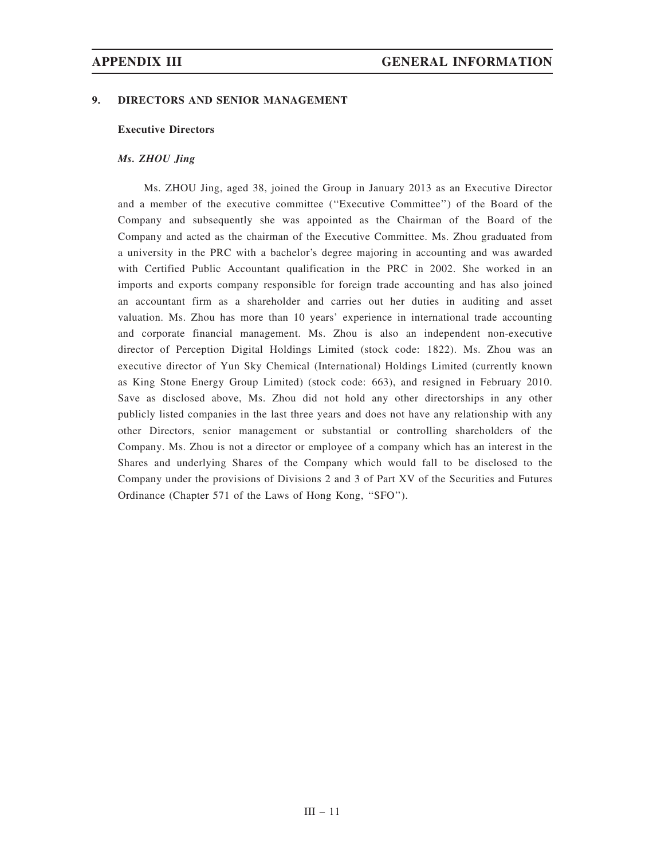### 9. DIRECTORS AND SENIOR MANAGEMENT

### Executive Directors

### Ms. ZHOU Jing

Ms. ZHOU Jing, aged 38, joined the Group in January 2013 as an Executive Director and a member of the executive committee (''Executive Committee'') of the Board of the Company and subsequently she was appointed as the Chairman of the Board of the Company and acted as the chairman of the Executive Committee. Ms. Zhou graduated from a university in the PRC with a bachelor's degree majoring in accounting and was awarded with Certified Public Accountant qualification in the PRC in 2002. She worked in an imports and exports company responsible for foreign trade accounting and has also joined an accountant firm as a shareholder and carries out her duties in auditing and asset valuation. Ms. Zhou has more than 10 years' experience in international trade accounting and corporate financial management. Ms. Zhou is also an independent non-executive director of Perception Digital Holdings Limited (stock code: 1822). Ms. Zhou was an executive director of Yun Sky Chemical (International) Holdings Limited (currently known as King Stone Energy Group Limited) (stock code: 663), and resigned in February 2010. Save as disclosed above, Ms. Zhou did not hold any other directorships in any other publicly listed companies in the last three years and does not have any relationship with any other Directors, senior management or substantial or controlling shareholders of the Company. Ms. Zhou is not a director or employee of a company which has an interest in the Shares and underlying Shares of the Company which would fall to be disclosed to the Company under the provisions of Divisions 2 and 3 of Part XV of the Securities and Futures Ordinance (Chapter 571 of the Laws of Hong Kong, ''SFO'').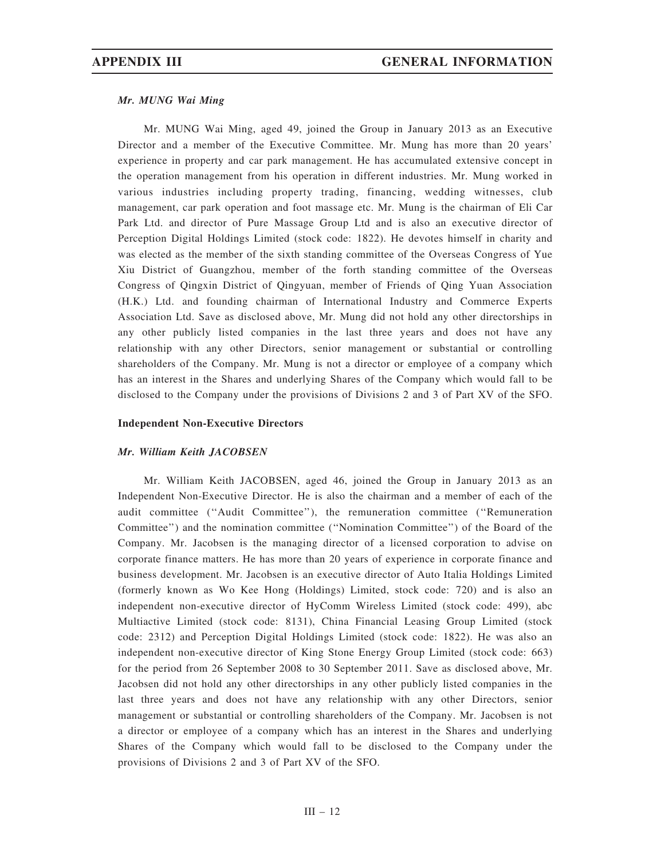### Mr. MUNG Wai Ming

Mr. MUNG Wai Ming, aged 49, joined the Group in January 2013 as an Executive Director and a member of the Executive Committee. Mr. Mung has more than 20 years' experience in property and car park management. He has accumulated extensive concept in the operation management from his operation in different industries. Mr. Mung worked in various industries including property trading, financing, wedding witnesses, club management, car park operation and foot massage etc. Mr. Mung is the chairman of Eli Car Park Ltd. and director of Pure Massage Group Ltd and is also an executive director of Perception Digital Holdings Limited (stock code: 1822). He devotes himself in charity and was elected as the member of the sixth standing committee of the Overseas Congress of Yue Xiu District of Guangzhou, member of the forth standing committee of the Overseas Congress of Qingxin District of Qingyuan, member of Friends of Qing Yuan Association (H.K.) Ltd. and founding chairman of International Industry and Commerce Experts Association Ltd. Save as disclosed above, Mr. Mung did not hold any other directorships in any other publicly listed companies in the last three years and does not have any relationship with any other Directors, senior management or substantial or controlling shareholders of the Company. Mr. Mung is not a director or employee of a company which has an interest in the Shares and underlying Shares of the Company which would fall to be disclosed to the Company under the provisions of Divisions 2 and 3 of Part XV of the SFO.

### Independent Non-Executive Directors

### Mr. William Keith JACOBSEN

Mr. William Keith JACOBSEN, aged 46, joined the Group in January 2013 as an Independent Non-Executive Director. He is also the chairman and a member of each of the audit committee (''Audit Committee''), the remuneration committee (''Remuneration Committee'') and the nomination committee (''Nomination Committee'') of the Board of the Company. Mr. Jacobsen is the managing director of a licensed corporation to advise on corporate finance matters. He has more than 20 years of experience in corporate finance and business development. Mr. Jacobsen is an executive director of Auto Italia Holdings Limited (formerly known as Wo Kee Hong (Holdings) Limited, stock code: 720) and is also an independent non-executive director of HyComm Wireless Limited (stock code: 499), abc Multiactive Limited (stock code: 8131), China Financial Leasing Group Limited (stock code: 2312) and Perception Digital Holdings Limited (stock code: 1822). He was also an independent non-executive director of King Stone Energy Group Limited (stock code: 663) for the period from 26 September 2008 to 30 September 2011. Save as disclosed above, Mr. Jacobsen did not hold any other directorships in any other publicly listed companies in the last three years and does not have any relationship with any other Directors, senior management or substantial or controlling shareholders of the Company. Mr. Jacobsen is not a director or employee of a company which has an interest in the Shares and underlying Shares of the Company which would fall to be disclosed to the Company under the provisions of Divisions 2 and 3 of Part XV of the SFO.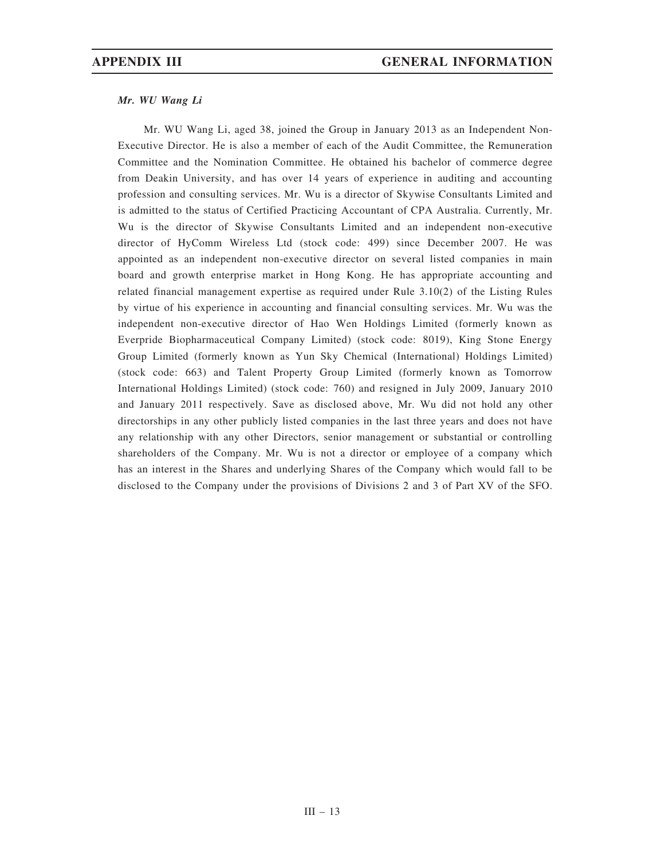### Mr. WU Wang Li

Mr. WU Wang Li, aged 38, joined the Group in January 2013 as an Independent Non-Executive Director. He is also a member of each of the Audit Committee, the Remuneration Committee and the Nomination Committee. He obtained his bachelor of commerce degree from Deakin University, and has over 14 years of experience in auditing and accounting profession and consulting services. Mr. Wu is a director of Skywise Consultants Limited and is admitted to the status of Certified Practicing Accountant of CPA Australia. Currently, Mr. Wu is the director of Skywise Consultants Limited and an independent non-executive director of HyComm Wireless Ltd (stock code: 499) since December 2007. He was appointed as an independent non-executive director on several listed companies in main board and growth enterprise market in Hong Kong. He has appropriate accounting and related financial management expertise as required under Rule 3.10(2) of the Listing Rules by virtue of his experience in accounting and financial consulting services. Mr. Wu was the independent non-executive director of Hao Wen Holdings Limited (formerly known as Everpride Biopharmaceutical Company Limited) (stock code: 8019), King Stone Energy Group Limited (formerly known as Yun Sky Chemical (International) Holdings Limited) (stock code: 663) and Talent Property Group Limited (formerly known as Tomorrow International Holdings Limited) (stock code: 760) and resigned in July 2009, January 2010 and January 2011 respectively. Save as disclosed above, Mr. Wu did not hold any other directorships in any other publicly listed companies in the last three years and does not have any relationship with any other Directors, senior management or substantial or controlling shareholders of the Company. Mr. Wu is not a director or employee of a company which has an interest in the Shares and underlying Shares of the Company which would fall to be disclosed to the Company under the provisions of Divisions 2 and 3 of Part XV of the SFO.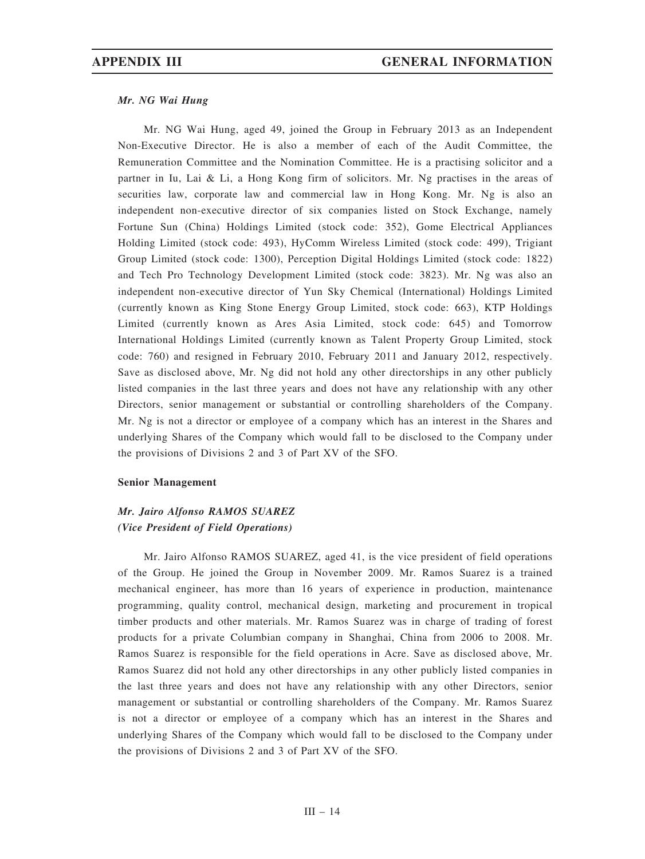### Mr. NG Wai Hung

Mr. NG Wai Hung, aged 49, joined the Group in February 2013 as an Independent Non-Executive Director. He is also a member of each of the Audit Committee, the Remuneration Committee and the Nomination Committee. He is a practising solicitor and a partner in Iu, Lai & Li, a Hong Kong firm of solicitors. Mr. Ng practises in the areas of securities law, corporate law and commercial law in Hong Kong. Mr. Ng is also an independent non-executive director of six companies listed on Stock Exchange, namely Fortune Sun (China) Holdings Limited (stock code: 352), Gome Electrical Appliances Holding Limited (stock code: 493), HyComm Wireless Limited (stock code: 499), Trigiant Group Limited (stock code: 1300), Perception Digital Holdings Limited (stock code: 1822) and Tech Pro Technology Development Limited (stock code: 3823). Mr. Ng was also an independent non-executive director of Yun Sky Chemical (International) Holdings Limited (currently known as King Stone Energy Group Limited, stock code: 663), KTP Holdings Limited (currently known as Ares Asia Limited, stock code: 645) and Tomorrow International Holdings Limited (currently known as Talent Property Group Limited, stock code: 760) and resigned in February 2010, February 2011 and January 2012, respectively. Save as disclosed above, Mr. Ng did not hold any other directorships in any other publicly listed companies in the last three years and does not have any relationship with any other Directors, senior management or substantial or controlling shareholders of the Company. Mr. Ng is not a director or employee of a company which has an interest in the Shares and underlying Shares of the Company which would fall to be disclosed to the Company under the provisions of Divisions 2 and 3 of Part XV of the SFO.

### Senior Management

# Mr. Jairo Alfonso RAMOS SUAREZ (Vice President of Field Operations)

Mr. Jairo Alfonso RAMOS SUAREZ, aged 41, is the vice president of field operations of the Group. He joined the Group in November 2009. Mr. Ramos Suarez is a trained mechanical engineer, has more than 16 years of experience in production, maintenance programming, quality control, mechanical design, marketing and procurement in tropical timber products and other materials. Mr. Ramos Suarez was in charge of trading of forest products for a private Columbian company in Shanghai, China from 2006 to 2008. Mr. Ramos Suarez is responsible for the field operations in Acre. Save as disclosed above, Mr. Ramos Suarez did not hold any other directorships in any other publicly listed companies in the last three years and does not have any relationship with any other Directors, senior management or substantial or controlling shareholders of the Company. Mr. Ramos Suarez is not a director or employee of a company which has an interest in the Shares and underlying Shares of the Company which would fall to be disclosed to the Company under the provisions of Divisions 2 and 3 of Part XV of the SFO.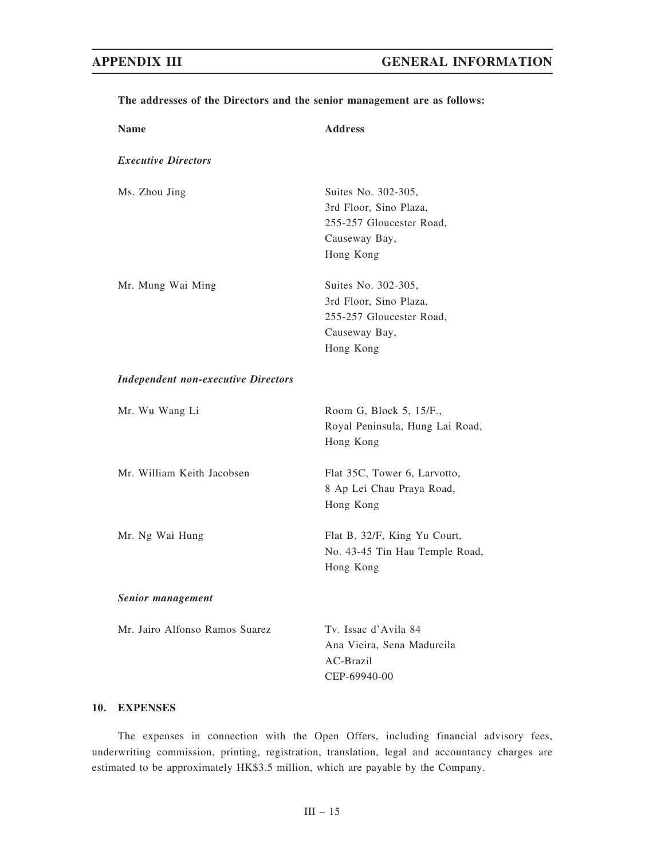| <b>Name</b>                                | <b>Address</b>                                                                                          |
|--------------------------------------------|---------------------------------------------------------------------------------------------------------|
| <b>Executive Directors</b>                 |                                                                                                         |
| Ms. Zhou Jing                              | Suites No. 302-305,<br>3rd Floor, Sino Plaza,<br>255-257 Gloucester Road,<br>Causeway Bay,<br>Hong Kong |
| Mr. Mung Wai Ming                          | Suites No. 302-305,<br>3rd Floor, Sino Plaza,<br>255-257 Gloucester Road,<br>Causeway Bay,<br>Hong Kong |
| <b>Independent non-executive Directors</b> |                                                                                                         |
| Mr. Wu Wang Li                             | Room G, Block 5, 15/F.,<br>Royal Peninsula, Hung Lai Road,<br>Hong Kong                                 |
| Mr. William Keith Jacobsen                 | Flat 35C, Tower 6, Larvotto,<br>8 Ap Lei Chau Praya Road,<br>Hong Kong                                  |
| Mr. Ng Wai Hung                            | Flat B, 32/F, King Yu Court,<br>No. 43-45 Tin Hau Temple Road,<br>Hong Kong                             |
| Senior management                          |                                                                                                         |
| Mr. Jairo Alfonso Ramos Suarez             | Tv. Issac d'Avila 84<br>Ana Vieira, Sena Madureila<br>AC-Brazil<br>CEP-69940-00                         |

### The addresses of the Directors and the senior management are as follows:

### 10. EXPENSES

The expenses in connection with the Open Offers, including financial advisory fees, underwriting commission, printing, registration, translation, legal and accountancy charges are estimated to be approximately HK\$3.5 million, which are payable by the Company.

III – 15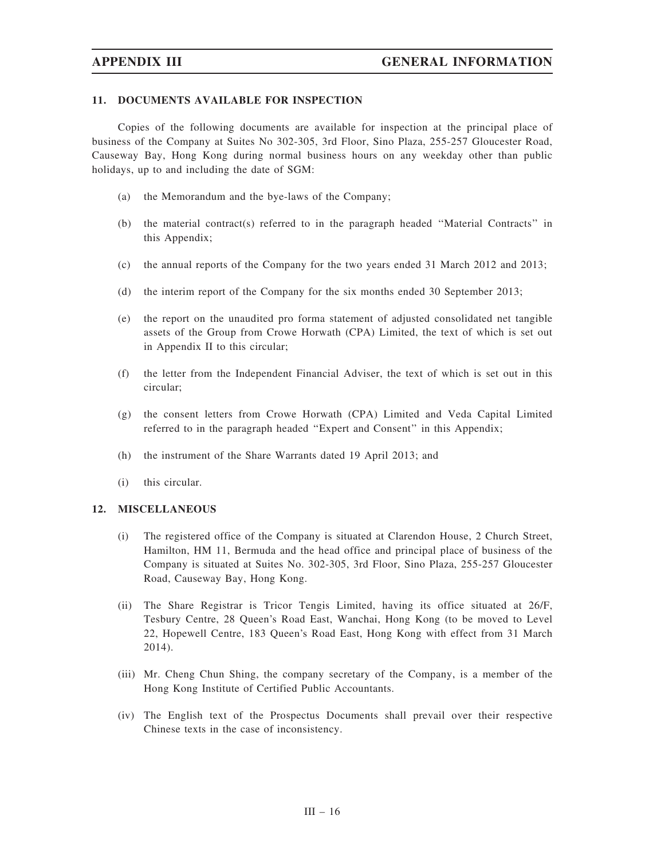### 11. DOCUMENTS AVAILABLE FOR INSPECTION

Copies of the following documents are available for inspection at the principal place of business of the Company at Suites No 302-305, 3rd Floor, Sino Plaza, 255-257 Gloucester Road, Causeway Bay, Hong Kong during normal business hours on any weekday other than public holidays, up to and including the date of SGM:

- (a) the Memorandum and the bye-laws of the Company;
- (b) the material contract(s) referred to in the paragraph headed ''Material Contracts'' in this Appendix;
- (c) the annual reports of the Company for the two years ended 31 March 2012 and 2013;
- (d) the interim report of the Company for the six months ended 30 September 2013;
- (e) the report on the unaudited pro forma statement of adjusted consolidated net tangible assets of the Group from Crowe Horwath (CPA) Limited, the text of which is set out in Appendix II to this circular;
- (f) the letter from the Independent Financial Adviser, the text of which is set out in this circular;
- (g) the consent letters from Crowe Horwath (CPA) Limited and Veda Capital Limited referred to in the paragraph headed "Expert and Consent" in this Appendix;
- (h) the instrument of the Share Warrants dated 19 April 2013; and
- (i) this circular.

### 12. MISCELLANEOUS

- (i) The registered office of the Company is situated at Clarendon House, 2 Church Street, Hamilton, HM 11, Bermuda and the head office and principal place of business of the Company is situated at Suites No. 302-305, 3rd Floor, Sino Plaza, 255-257 Gloucester Road, Causeway Bay, Hong Kong.
- (ii) The Share Registrar is Tricor Tengis Limited, having its office situated at 26/F, Tesbury Centre, 28 Queen's Road East, Wanchai, Hong Kong (to be moved to Level 22, Hopewell Centre, 183 Queen's Road East, Hong Kong with effect from 31 March 2014).
- (iii) Mr. Cheng Chun Shing, the company secretary of the Company, is a member of the Hong Kong Institute of Certified Public Accountants.
- (iv) The English text of the Prospectus Documents shall prevail over their respective Chinese texts in the case of inconsistency.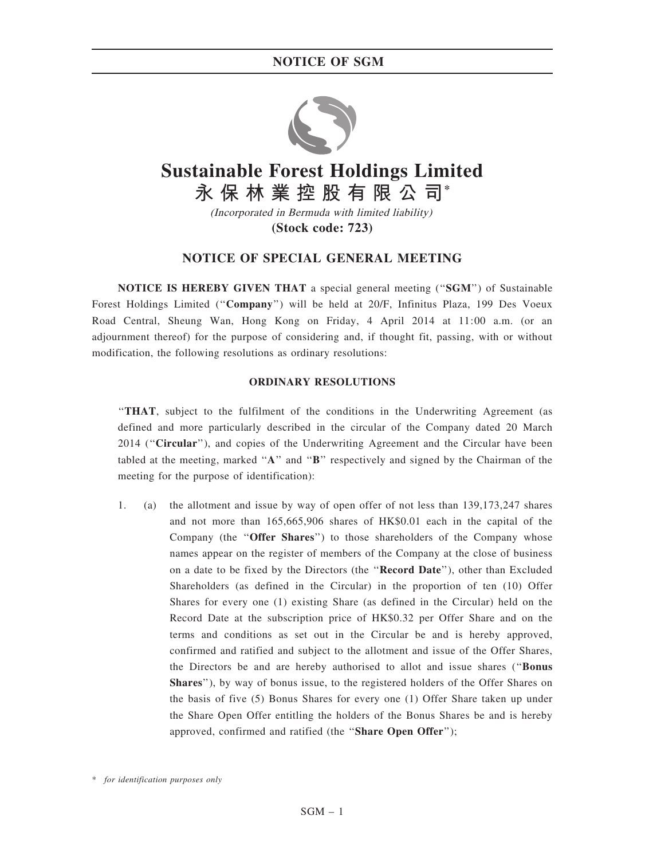

# **Sustainable Forest Holdings Limited 永保林業控股有限公司\***

(Incorporated in Bermuda with limited liability) **(Stock code: 723)**

# NOTICE OF SPECIAL GENERAL MEETING

NOTICE IS HEREBY GIVEN THAT a special general meeting (''SGM'') of Sustainable Forest Holdings Limited (''Company'') will be held at 20/F, Infinitus Plaza, 199 Des Voeux Road Central, Sheung Wan, Hong Kong on Friday, 4 April 2014 at 11:00 a.m. (or an adjournment thereof) for the purpose of considering and, if thought fit, passing, with or without modification, the following resolutions as ordinary resolutions:

### ORDINARY RESOLUTIONS

''THAT, subject to the fulfilment of the conditions in the Underwriting Agreement (as defined and more particularly described in the circular of the Company dated 20 March 2014 ("Circular"), and copies of the Underwriting Agreement and the Circular have been tabled at the meeting, marked "A" and "B" respectively and signed by the Chairman of the meeting for the purpose of identification):

1. (a) the allotment and issue by way of open offer of not less than 139,173,247 shares and not more than 165,665,906 shares of HK\$0.01 each in the capital of the Company (the "Offer Shares") to those shareholders of the Company whose names appear on the register of members of the Company at the close of business on a date to be fixed by the Directors (the ''Record Date''), other than Excluded Shareholders (as defined in the Circular) in the proportion of ten (10) Offer Shares for every one (1) existing Share (as defined in the Circular) held on the Record Date at the subscription price of HK\$0.32 per Offer Share and on the terms and conditions as set out in the Circular be and is hereby approved, confirmed and ratified and subject to the allotment and issue of the Offer Shares, the Directors be and are hereby authorised to allot and issue shares (''Bonus Shares''), by way of bonus issue, to the registered holders of the Offer Shares on the basis of five (5) Bonus Shares for every one (1) Offer Share taken up under the Share Open Offer entitling the holders of the Bonus Shares be and is hereby approved, confirmed and ratified (the "Share Open Offer");

<sup>\*</sup> for identification purposes only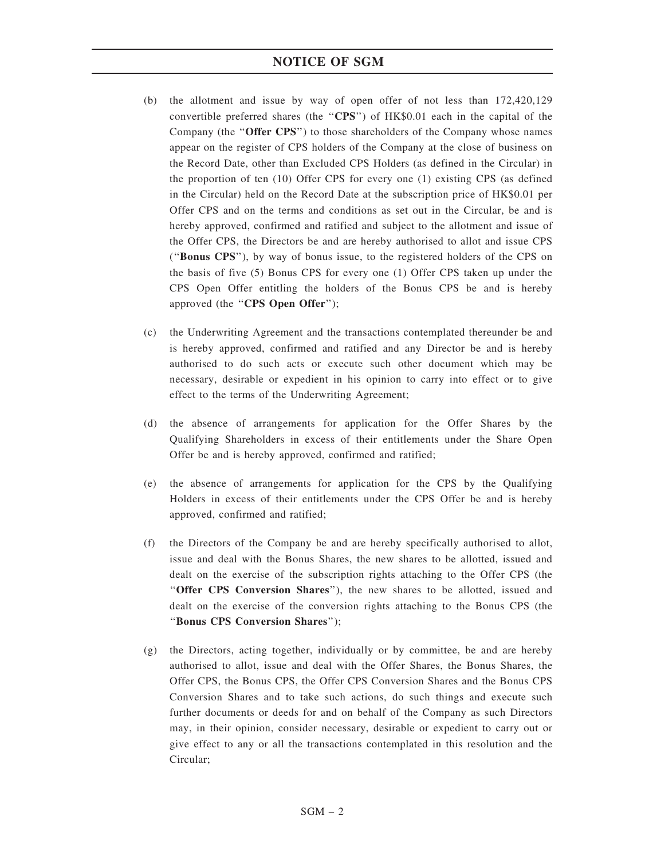- (b) the allotment and issue by way of open offer of not less than 172,420,129 convertible preferred shares (the "CPS") of HK\$0.01 each in the capital of the Company (the "Offer CPS") to those shareholders of the Company whose names appear on the register of CPS holders of the Company at the close of business on the Record Date, other than Excluded CPS Holders (as defined in the Circular) in the proportion of ten (10) Offer CPS for every one (1) existing CPS (as defined in the Circular) held on the Record Date at the subscription price of HK\$0.01 per Offer CPS and on the terms and conditions as set out in the Circular, be and is hereby approved, confirmed and ratified and subject to the allotment and issue of the Offer CPS, the Directors be and are hereby authorised to allot and issue CPS (''Bonus CPS''), by way of bonus issue, to the registered holders of the CPS on the basis of five (5) Bonus CPS for every one (1) Offer CPS taken up under the CPS Open Offer entitling the holders of the Bonus CPS be and is hereby approved (the "CPS Open Offer");
- (c) the Underwriting Agreement and the transactions contemplated thereunder be and is hereby approved, confirmed and ratified and any Director be and is hereby authorised to do such acts or execute such other document which may be necessary, desirable or expedient in his opinion to carry into effect or to give effect to the terms of the Underwriting Agreement;
- (d) the absence of arrangements for application for the Offer Shares by the Qualifying Shareholders in excess of their entitlements under the Share Open Offer be and is hereby approved, confirmed and ratified;
- (e) the absence of arrangements for application for the CPS by the Qualifying Holders in excess of their entitlements under the CPS Offer be and is hereby approved, confirmed and ratified;
- (f) the Directors of the Company be and are hereby specifically authorised to allot, issue and deal with the Bonus Shares, the new shares to be allotted, issued and dealt on the exercise of the subscription rights attaching to the Offer CPS (the "Offer CPS Conversion Shares"), the new shares to be allotted, issued and dealt on the exercise of the conversion rights attaching to the Bonus CPS (the ''Bonus CPS Conversion Shares'');
- (g) the Directors, acting together, individually or by committee, be and are hereby authorised to allot, issue and deal with the Offer Shares, the Bonus Shares, the Offer CPS, the Bonus CPS, the Offer CPS Conversion Shares and the Bonus CPS Conversion Shares and to take such actions, do such things and execute such further documents or deeds for and on behalf of the Company as such Directors may, in their opinion, consider necessary, desirable or expedient to carry out or give effect to any or all the transactions contemplated in this resolution and the Circular;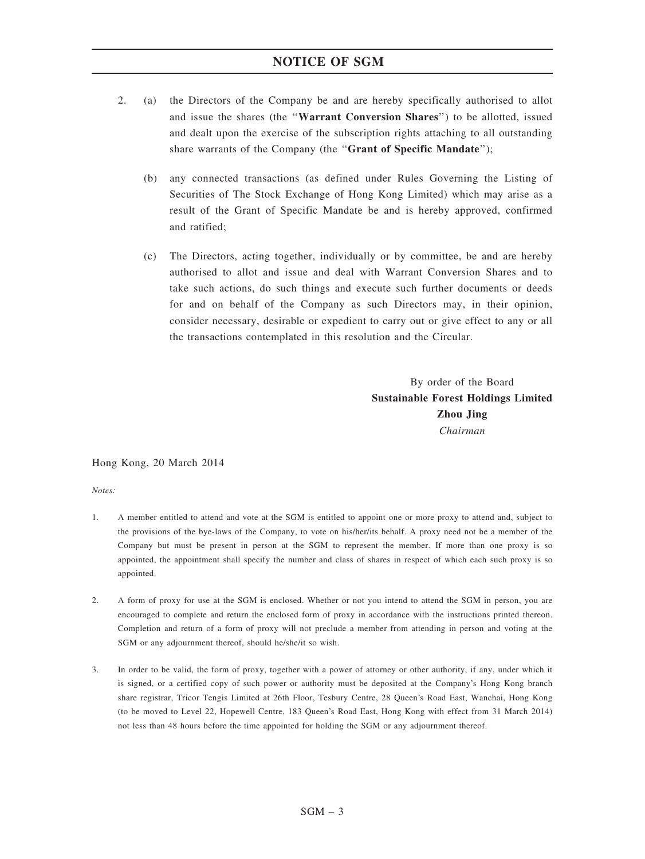- 2. (a) the Directors of the Company be and are hereby specifically authorised to allot and issue the shares (the ''Warrant Conversion Shares'') to be allotted, issued and dealt upon the exercise of the subscription rights attaching to all outstanding share warrants of the Company (the "Grant of Specific Mandate");
	- (b) any connected transactions (as defined under Rules Governing the Listing of Securities of The Stock Exchange of Hong Kong Limited) which may arise as a result of the Grant of Specific Mandate be and is hereby approved, confirmed and ratified;
	- (c) The Directors, acting together, individually or by committee, be and are hereby authorised to allot and issue and deal with Warrant Conversion Shares and to take such actions, do such things and execute such further documents or deeds for and on behalf of the Company as such Directors may, in their opinion, consider necessary, desirable or expedient to carry out or give effect to any or all the transactions contemplated in this resolution and the Circular.

By order of the Board Sustainable Forest Holdings Limited Zhou Jing Chairman

Hong Kong, 20 March 2014

Notes:

- 1. A member entitled to attend and vote at the SGM is entitled to appoint one or more proxy to attend and, subject to the provisions of the bye-laws of the Company, to vote on his/her/its behalf. A proxy need not be a member of the Company but must be present in person at the SGM to represent the member. If more than one proxy is so appointed, the appointment shall specify the number and class of shares in respect of which each such proxy is so appointed.
- 2. A form of proxy for use at the SGM is enclosed. Whether or not you intend to attend the SGM in person, you are encouraged to complete and return the enclosed form of proxy in accordance with the instructions printed thereon. Completion and return of a form of proxy will not preclude a member from attending in person and voting at the SGM or any adjournment thereof, should he/she/it so wish.
- 3. In order to be valid, the form of proxy, together with a power of attorney or other authority, if any, under which it is signed, or a certified copy of such power or authority must be deposited at the Company's Hong Kong branch share registrar, Tricor Tengis Limited at 26th Floor, Tesbury Centre, 28 Queen's Road East, Wanchai, Hong Kong (to be moved to Level 22, Hopewell Centre, 183 Queen's Road East, Hong Kong with effect from 31 March 2014) not less than 48 hours before the time appointed for holding the SGM or any adjournment thereof.